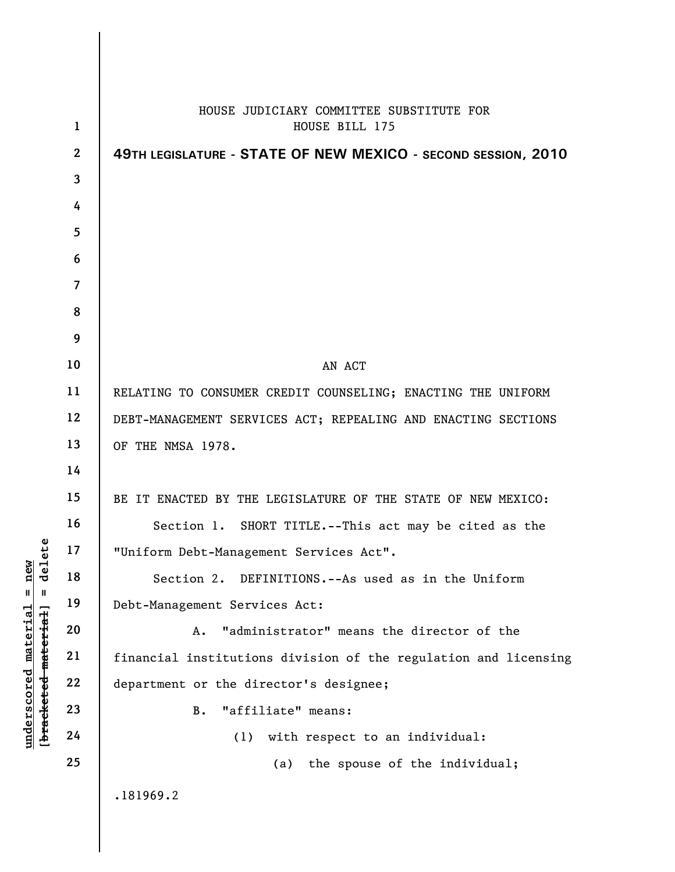|                      |                  | HOUSE JUDICIARY COMMITTEE SUBSTITUTE FOR                        |
|----------------------|------------------|-----------------------------------------------------------------|
|                      | $\mathbf{1}$     | HOUSE BILL 175                                                  |
|                      | $\boldsymbol{2}$ | 49TH LEGISLATURE - STATE OF NEW MEXICO - SECOND SESSION, 2010   |
|                      | 3                |                                                                 |
|                      | 4                |                                                                 |
|                      | 5                |                                                                 |
|                      | 6                |                                                                 |
|                      | $\overline{7}$   |                                                                 |
|                      | 8                |                                                                 |
|                      | 9                |                                                                 |
|                      | 10               | AN ACT                                                          |
|                      | 11               | RELATING TO CONSUMER CREDIT COUNSELING; ENACTING THE UNIFORM    |
|                      | 12               | DEBT-MANAGEMENT SERVICES ACT; REPEALING AND ENACTING SECTIONS   |
|                      | 13               | OF THE NMSA 1978.                                               |
|                      | 14               |                                                                 |
|                      | 15               | BE IT ENACTED BY THE LEGISLATURE OF THE STATE OF NEW MEXICO:    |
|                      | 16               | Section 1. SHORT TITLE.--This act may be cited as the           |
| ت                    | 17               | "Uniform Debt-Management Services Act".                         |
| $\det$               | 18               | Section 2. DEFINITIONS.--As used as in the Uniform              |
| $\mathbf{I}$         | 19               | Debt-Management Services Act:                                   |
| [bracketed-material] | 20               | "administrator" means the director of the<br>Α.                 |
|                      | 21               | financial institutions division of the regulation and licensing |
|                      | 22               | department or the director's designee;                          |
|                      | 23               | "affiliate" means:<br>B.                                        |
|                      | 24               | with respect to an individual:<br>(1)                           |
|                      | 25               | the spouse of the individual;<br>(a)                            |
|                      |                  | .181969.2                                                       |

**underscored material = new**

 $\mathbf{I}$ 

 $underscored material = new$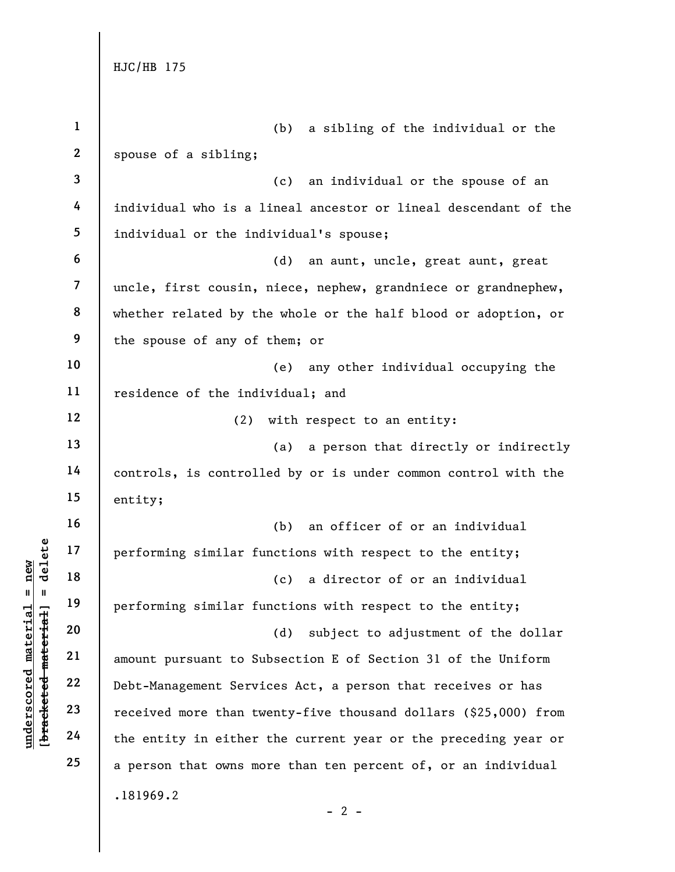**1 2 3 4 5 6 7 8 9 10 11 12 13 14 15 16 17 18 19 20 21 22 23 24 25**  .181969.2 (b) a sibling of the individual or the spouse of a sibling; (c) an individual or the spouse of an individual who is a lineal ancestor or lineal descendant of the individual or the individual's spouse; (d) an aunt, uncle, great aunt, great uncle, first cousin, niece, nephew, grandniece or grandnephew, whether related by the whole or the half blood or adoption, or the spouse of any of them; or (e) any other individual occupying the residence of the individual; and (2) with respect to an entity: (a) a person that directly or indirectly controls, is controlled by or is under common control with the entity; (b) an officer of or an individual performing similar functions with respect to the entity; (c) a director of or an individual performing similar functions with respect to the entity; (d) subject to adjustment of the dollar amount pursuant to Subsection E of Section 31 of the Uniform Debt-Management Services Act, a person that receives or has received more than twenty-five thousand dollars (\$25,000) from the entity in either the current year or the preceding year or a person that owns more than ten percent of, or an individual

## $$ **[bracketed material] = delete** inderscored material = new **underscored material = new**

 $- 2 -$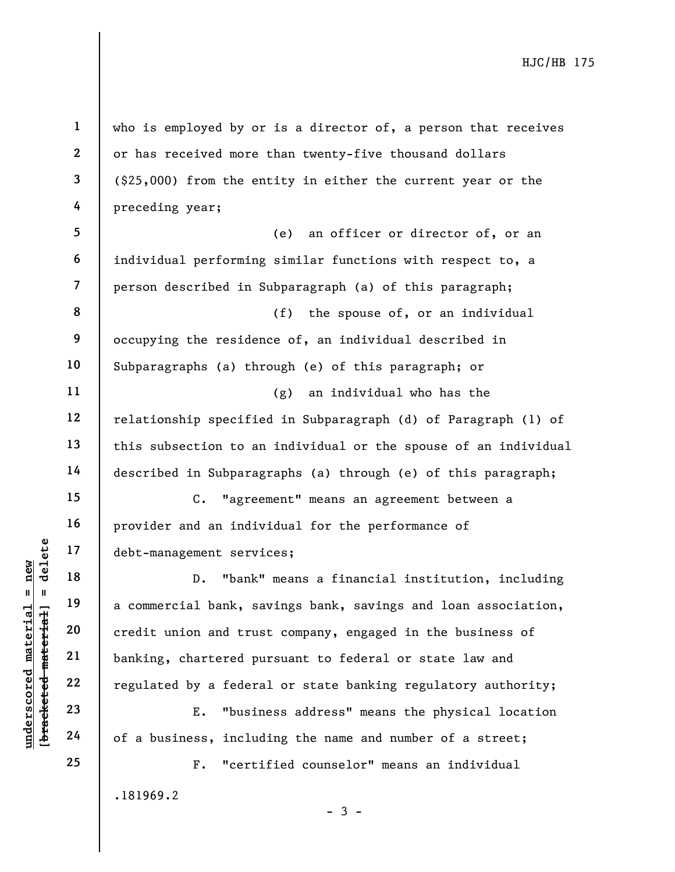**1 2 3 4 5 6 7 8 9 10 11 12 13 14 15 16 17 18 19 20 21 22 23 24 25**  who is employed by or is a director of, a person that receives or has received more than twenty-five thousand dollars (\$25,000) from the entity in either the current year or the preceding year; (e) an officer or director of, or an individual performing similar functions with respect to, a person described in Subparagraph (a) of this paragraph; (f) the spouse of, or an individual occupying the residence of, an individual described in Subparagraphs (a) through (e) of this paragraph; or (g) an individual who has the relationship specified in Subparagraph (d) of Paragraph (1) of this subsection to an individual or the spouse of an individual described in Subparagraphs (a) through (e) of this paragraph; C. "agreement" means an agreement between a provider and an individual for the performance of debt-management services; D. "bank" means a financial institution, including a commercial bank, savings bank, savings and loan association, credit union and trust company, engaged in the business of banking, chartered pursuant to federal or state law and regulated by a federal or state banking regulatory authority; E. "business address" means the physical location of a business, including the name and number of a street; F. "certified counselor" means an individual

.181969.2

- 3 -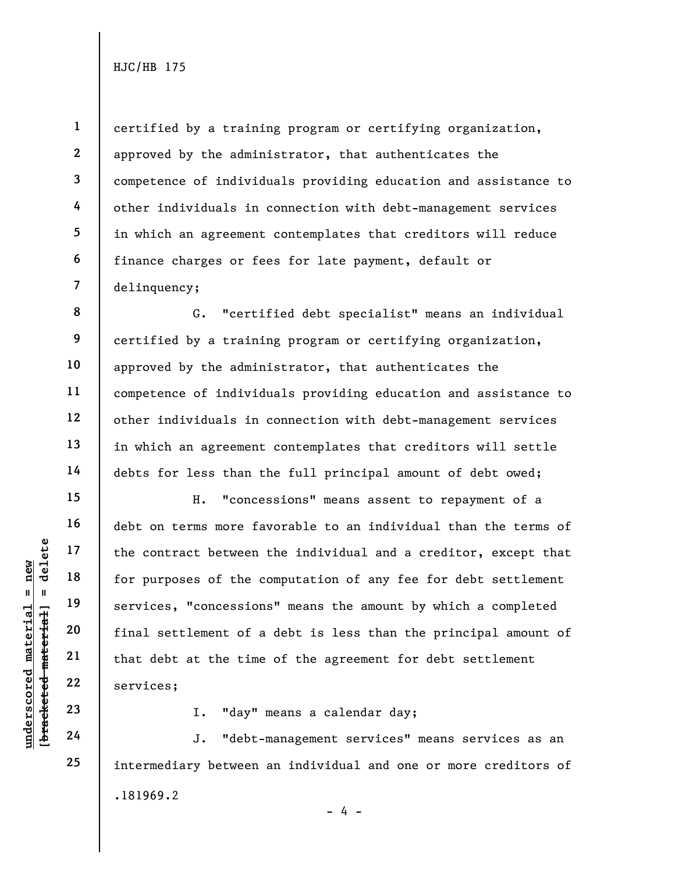**1** 

**2** 

**3** 

**4** 

**5** 

**6** 

**7** 

**8** 

**9** 

**10** 

**11** 

**12** 

**13** 

**14** 

**15** 

**16** 

**17** 

**18** 

**19** 

**20** 

**21** 

**22** 

**23** 

**24** 

**25** 

certified by a training program or certifying organization, approved by the administrator, that authenticates the competence of individuals providing education and assistance to other individuals in connection with debt-management services in which an agreement contemplates that creditors will reduce finance charges or fees for late payment, default or delinquency;

G. "certified debt specialist" means an individual certified by a training program or certifying organization, approved by the administrator, that authenticates the competence of individuals providing education and assistance to other individuals in connection with debt-management services in which an agreement contemplates that creditors will settle debts for less than the full principal amount of debt owed;

H. "concessions" means assent to repayment of a debt on terms more favorable to an individual than the terms of the contract between the individual and a creditor, except that for purposes of the computation of any fee for debt settlement services, "concessions" means the amount by which a completed final settlement of a debt is less than the principal amount of that debt at the time of the agreement for debt settlement services;

I. "day" means a calendar day;

.181969.2  $- 4 -$ J. "debt-management services" means services as an intermediary between an individual and one or more creditors of

 $b$ racketed material] = delete **[bracketed material] = delete**  $anderscored material = new$ **underscored material = new**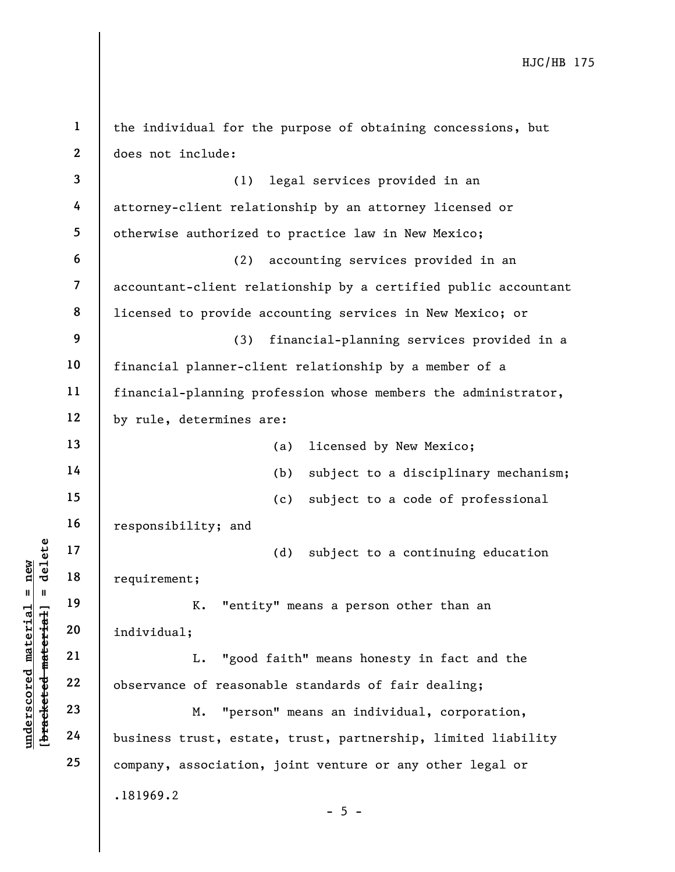| $\mathbf{1}$             | the individual for the purpose of obtaining concessions, but    |
|--------------------------|-----------------------------------------------------------------|
| $\mathbf{2}$             | does not include:                                               |
| $\overline{\mathbf{3}}$  | legal services provided in an<br>(1)                            |
| 4                        | attorney-client relationship by an attorney licensed or         |
| 5                        | otherwise authorized to practice law in New Mexico;             |
| 6                        | accounting services provided in an<br>(2)                       |
| $\overline{\mathcal{L}}$ | accountant-client relationship by a certified public accountant |
| 8                        | licensed to provide accounting services in New Mexico; or       |
| 9                        | financial-planning services provided in a<br>(3)                |
| 10                       | financial planner-client relationship by a member of a          |
| 11                       | financial-planning profession whose members the administrator,  |
| 12                       | by rule, determines are:                                        |
| 13                       | licensed by New Mexico;<br>(a)                                  |
| 14                       | (b)<br>subject to a disciplinary mechanism;                     |
| 15                       | (c)<br>subject to a code of professional                        |
| 16                       | responsibility; and                                             |
| 17                       | (d)<br>subject to a continuing education                        |
| 18                       | requirement;                                                    |
| 19                       | K.<br>"entity" means a person other than an                     |
| 20                       | individual;                                                     |
| 21                       | "good faith" means honesty in fact and the<br>L.                |
| 22                       | observance of reasonable standards of fair dealing;             |
| 23                       | "person" means an individual, corporation,<br>М.                |
| 24                       | business trust, estate, trust, partnership, limited liability   |
| 25                       | company, association, joint venture or any other legal or       |
|                          | .181969.2                                                       |
|                          | $-5 -$                                                          |

**underscored material = new [bracketed material] = delete**

[bracketed material] = delete  $underscored material = new$ 

 $\vert$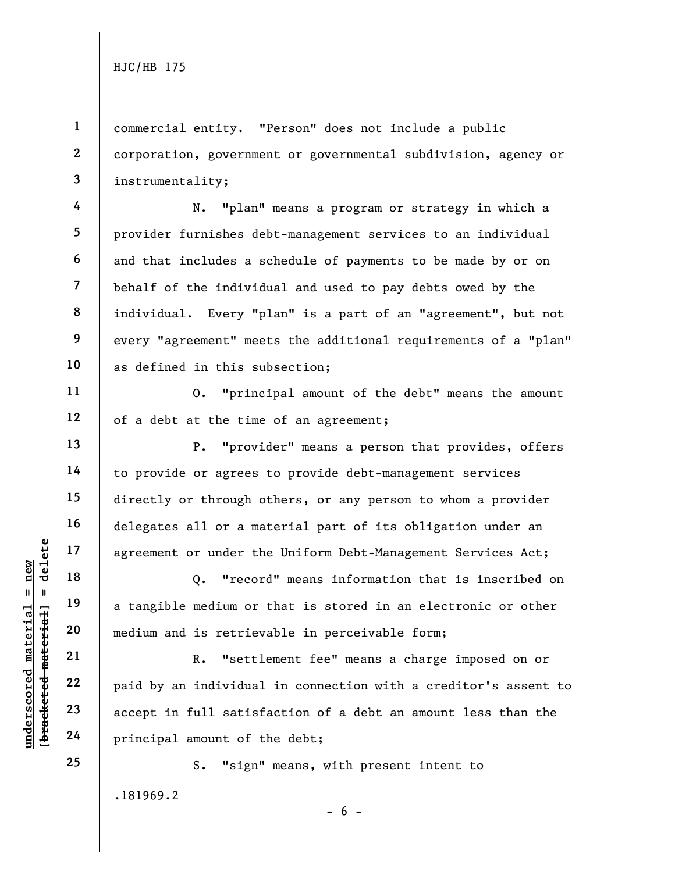**1** 

**4** 

**5** 

**6** 

**7** 

**8** 

**9** 

**10** 

**11** 

**12** 

**13** 

**14** 

**15** 

**16** 

**17** 

**18** 

**19** 

**20** 

**21** 

**22** 

**23** 

**24** 

**25** 

**2 3**  commercial entity. "Person" does not include a public corporation, government or governmental subdivision, agency or instrumentality;

N. "plan" means a program or strategy in which a provider furnishes debt-management services to an individual and that includes a schedule of payments to be made by or on behalf of the individual and used to pay debts owed by the individual. Every "plan" is a part of an "agreement", but not every "agreement" meets the additional requirements of a "plan" as defined in this subsection;

O. "principal amount of the debt" means the amount of a debt at the time of an agreement;

P. "provider" means a person that provides, offers to provide or agrees to provide debt-management services directly or through others, or any person to whom a provider delegates all or a material part of its obligation under an agreement or under the Uniform Debt-Management Services Act;

Q. "record" means information that is inscribed on a tangible medium or that is stored in an electronic or other medium and is retrievable in perceivable form;

R. "settlement fee" means a charge imposed on or paid by an individual in connection with a creditor's assent to accept in full satisfaction of a debt an amount less than the principal amount of the debt;

.181969.2 - 6 - S. "sign" means, with present intent to

 $b$ racketed material] = delete **[bracketed material] = delete**  $anderscored material = new$ **underscored material = new**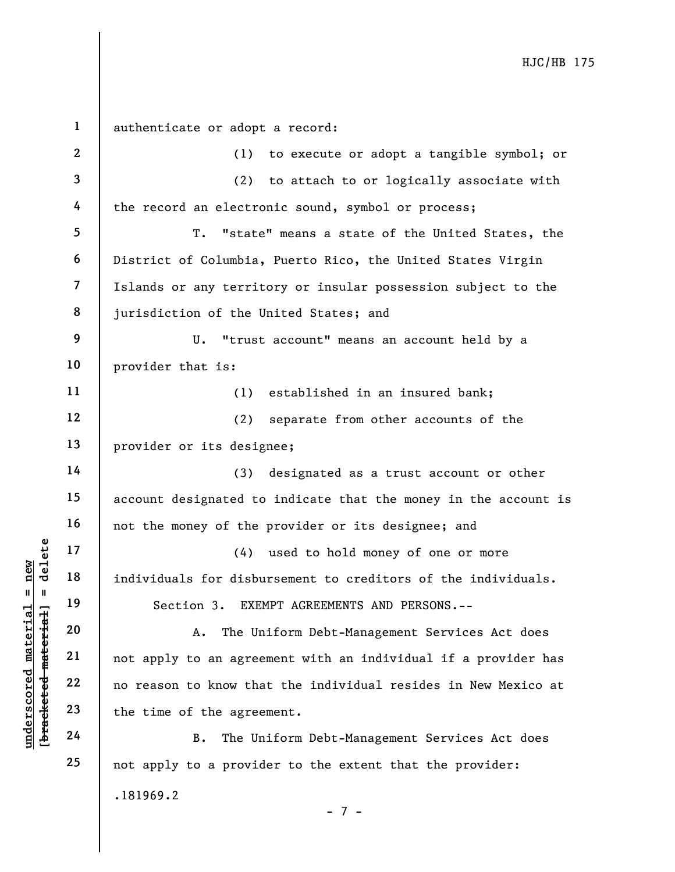| $\mathbf{1}$            | authenticate or adopt a record:                                 |
|-------------------------|-----------------------------------------------------------------|
| $\boldsymbol{2}$        | (1) to execute or adopt a tangible symbol; or                   |
| 3                       | (2) to attach to or logically associate with                    |
| 4                       | the record an electronic sound, symbol or process;              |
| 5                       | T. "state" means a state of the United States, the              |
| 6                       | District of Columbia, Puerto Rico, the United States Virgin     |
| $\overline{\mathbf{7}}$ | Islands or any territory or insular possession subject to the   |
| 8                       | jurisdiction of the United States; and                          |
| 9                       | U. "trust account" means an account held by a                   |
| 10                      | provider that is:                                               |
| 11                      | (1)<br>established in an insured bank;                          |
| 12                      | (2)<br>separate from other accounts of the                      |
| 13                      | provider or its designee;                                       |
| 14                      | (3) designated as a trust account or other                      |
| 15                      | account designated to indicate that the money in the account is |
| 16                      | not the money of the provider or its designee; and              |
| 17                      | (4) used to hold money of one or more                           |
| 18                      | individuals for disbursement to creditors of the individuals.   |
| 19                      | Section 3. EXEMPT AGREEMENTS AND PERSONS.--                     |
| 20                      | The Uniform Debt-Management Services Act does<br>Α.             |
| 21                      | not apply to an agreement with an individual if a provider has  |
| 22                      | no reason to know that the individual resides in New Mexico at  |
| 23                      | the time of the agreement.                                      |
| 24                      | The Uniform Debt-Management Services Act does<br>B.             |
| 25                      | not apply to a provider to the extent that the provider:        |
|                         | .181969.2                                                       |

- 7 -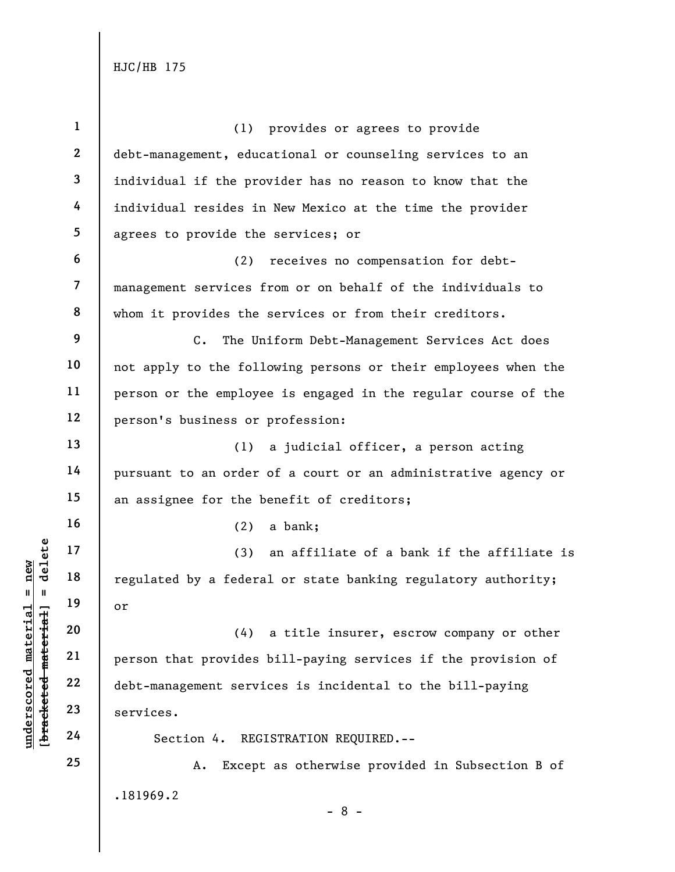| $\mathbf{1}$             | (1) provides or agrees to provide                              |
|--------------------------|----------------------------------------------------------------|
| $\mathbf{2}$             | debt-management, educational or counseling services to an      |
| $\mathbf{3}$             | individual if the provider has no reason to know that the      |
| 4                        | individual resides in New Mexico at the time the provider      |
| 5                        | agrees to provide the services; or                             |
| 6                        | receives no compensation for debt-<br>(2)                      |
| $\overline{\phantom{a}}$ | management services from or on behalf of the individuals to    |
| 8                        | whom it provides the services or from their creditors.         |
| 9                        | $C$ .<br>The Uniform Debt-Management Services Act does         |
| 10                       | not apply to the following persons or their employees when the |
| 11                       | person or the employee is engaged in the regular course of the |
| 12                       | person's business or profession:                               |
| 13                       | a judicial officer, a person acting<br>(1)                     |
| 14                       | pursuant to an order of a court or an administrative agency or |
| 15                       | an assignee for the benefit of creditors;                      |
| 16                       | (2)<br>a bank;                                                 |
| 17                       | (3)<br>an affiliate of a bank if the affiliate is              |
| 18                       | regulated by a federal or state banking regulatory authority;  |
| 19                       | or                                                             |
| 20                       | a title insurer, escrow company or other<br>(4)                |
| 21                       | person that provides bill-paying services if the provision of  |
| 22                       | debt-management services is incidental to the bill-paying      |
| 23                       | services.                                                      |
| 24                       | Section 4. REGISTRATION REQUIRED.--                            |
| 25                       | Except as otherwise provided in Subsection B of<br>Α.          |
|                          | .181969.2<br>$-8-$                                             |

[bracketed material] = delete **[bracketed material] = delete**  $underscored material = new$ **underscored material = new**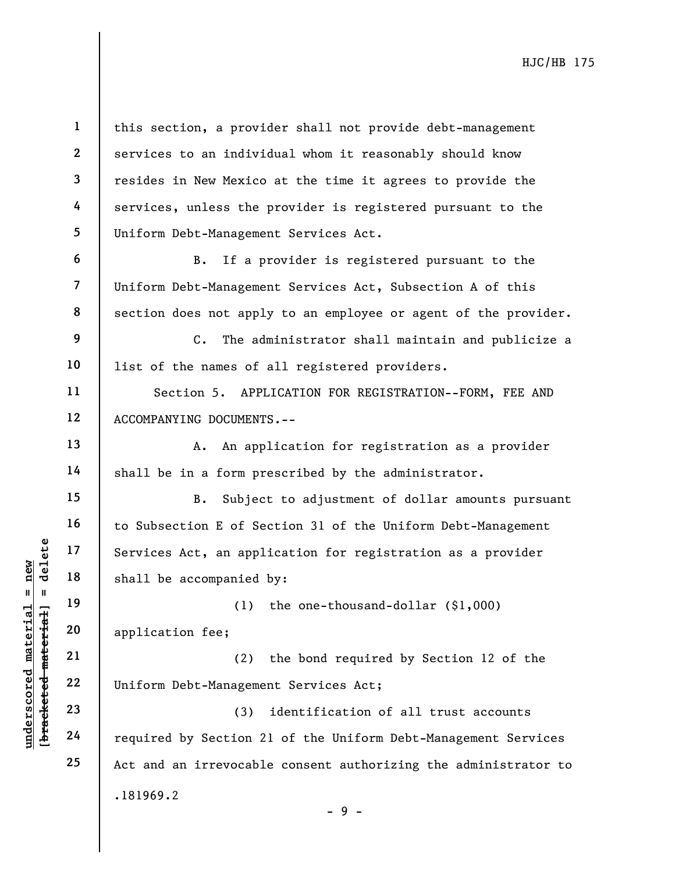**1 2 3 4 5 6**  this section, a provider shall not provide debt-management services to an individual whom it reasonably should know resides in New Mexico at the time it agrees to provide the services, unless the provider is registered pursuant to the Uniform Debt-Management Services Act. B. If a provider is registered pursuant to the

Uniform Debt-Management Services Act, Subsection A of this section does not apply to an employee or agent of the provider.

C. The administrator shall maintain and publicize a list of the names of all registered providers.

Section 5. APPLICATION FOR REGISTRATION--FORM, FEE AND ACCOMPANYING DOCUMENTS.--

A. An application for registration as a provider shall be in a form prescribed by the administrator.

B. Subject to adjustment of dollar amounts pursuant to Subsection E of Section 31 of the Uniform Debt-Management Services Act, an application for registration as a provider shall be accompanied by:

(1) the one-thousand-dollar (\$1,000) application fee;

(2) the bond required by Section 12 of the Uniform Debt-Management Services Act;

.181969.2 (3) identification of all trust accounts required by Section 21 of the Uniform Debt-Management Services Act and an irrevocable consent authorizing the administrator to

 $b$ racketed material] = delete **[bracketed material] = delete** inderscored material = new **underscored material = new**

**7** 

**8** 

**9** 

**10** 

**11** 

**12** 

**13** 

**14** 

**15** 

**16** 

**17** 

**18** 

**19** 

**20** 

**21** 

**22** 

**23** 

**24** 

**25** 

- 9 -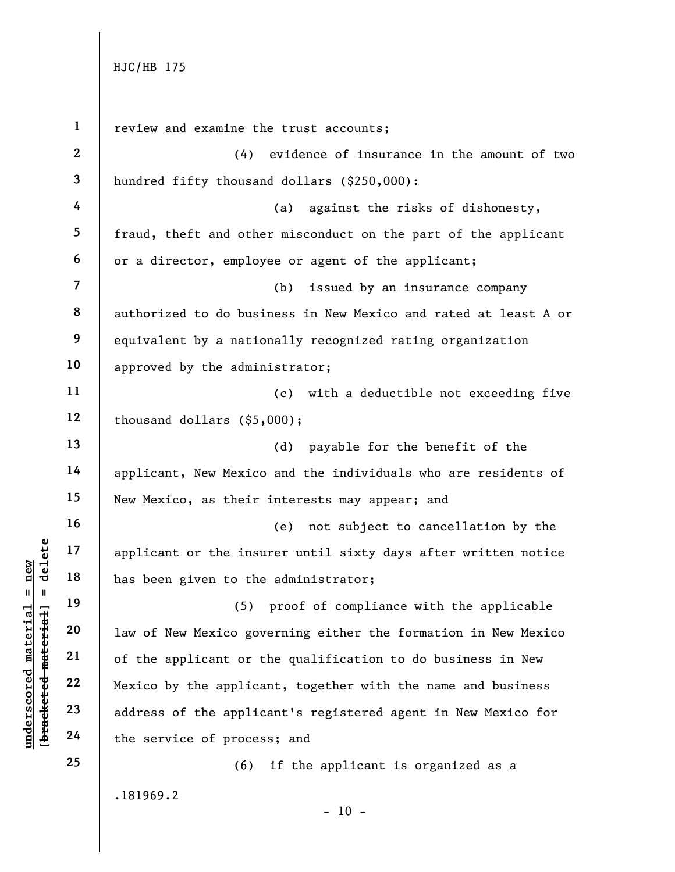**underscored material = new [bracketed material] = delete**

 $$  $anderscored material = new$ 

**1 2 3 4 5 6 7 8 9 10 11 12 13 14 15 16 17 18 19 20 21 22 23 24 25**  .181969.2 review and examine the trust accounts; (4) evidence of insurance in the amount of two hundred fifty thousand dollars (\$250,000): (a) against the risks of dishonesty, fraud, theft and other misconduct on the part of the applicant or a director, employee or agent of the applicant; (b) issued by an insurance company authorized to do business in New Mexico and rated at least A or equivalent by a nationally recognized rating organization approved by the administrator; (c) with a deductible not exceeding five thousand dollars (\$5,000); (d) payable for the benefit of the applicant, New Mexico and the individuals who are residents of New Mexico, as their interests may appear; and (e) not subject to cancellation by the applicant or the insurer until sixty days after written notice has been given to the administrator; (5) proof of compliance with the applicable law of New Mexico governing either the formation in New Mexico of the applicant or the qualification to do business in New Mexico by the applicant, together with the name and business address of the applicant's registered agent in New Mexico for the service of process; and (6) if the applicant is organized as a

 $- 10 -$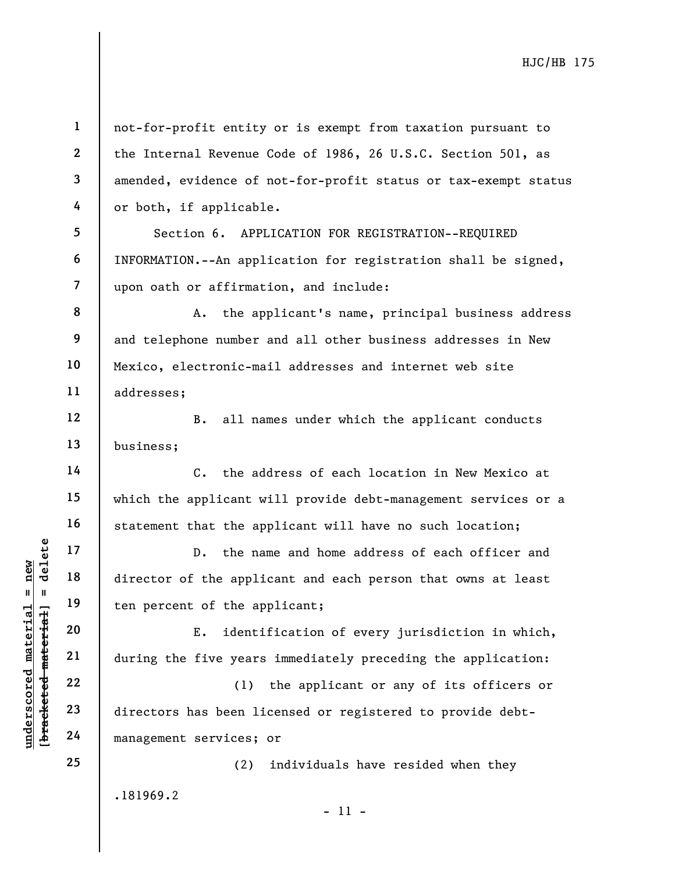**1 2 3 4 5 6 7 8 9 10 11 12 13 14 15 16 17 18 19 20 21 22 23 24 25**  .181969.2 not-for-profit entity or is exempt from taxation pursuant to the Internal Revenue Code of 1986, 26 U.S.C. Section 501, as amended, evidence of not-for-profit status or tax-exempt status or both, if applicable. Section 6. APPLICATION FOR REGISTRATION--REQUIRED INFORMATION.--An application for registration shall be signed, upon oath or affirmation, and include: A. the applicant's name, principal business address and telephone number and all other business addresses in New Mexico, electronic-mail addresses and internet web site addresses; B. all names under which the applicant conducts business; C. the address of each location in New Mexico at which the applicant will provide debt-management services or a statement that the applicant will have no such location; D. the name and home address of each officer and director of the applicant and each person that owns at least ten percent of the applicant; E. identification of every jurisdiction in which, during the five years immediately preceding the application: (1) the applicant or any of its officers or directors has been licensed or registered to provide debtmanagement services; or (2) individuals have resided when they

- 11 -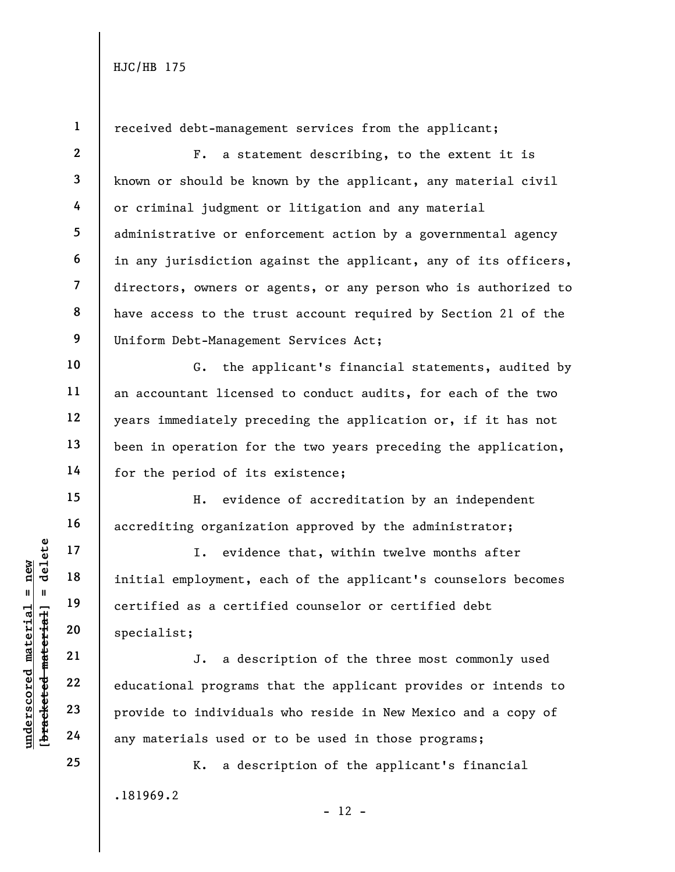**1 2 3 4 5 6 7 8 9 10 11 12 13 14 15 16 17 18 19 20 21 22 23 24 25**  .181969.2 received debt-management services from the applicant; F. a statement describing, to the extent it is known or should be known by the applicant, any material civil or criminal judgment or litigation and any material administrative or enforcement action by a governmental agency in any jurisdiction against the applicant, any of its officers, directors, owners or agents, or any person who is authorized to have access to the trust account required by Section 21 of the Uniform Debt-Management Services Act; G. the applicant's financial statements, audited by an accountant licensed to conduct audits, for each of the two years immediately preceding the application or, if it has not been in operation for the two years preceding the application, for the period of its existence; H. evidence of accreditation by an independent accrediting organization approved by the administrator; I. evidence that, within twelve months after initial employment, each of the applicant's counselors becomes certified as a certified counselor or certified debt specialist; J. a description of the three most commonly used educational programs that the applicant provides or intends to provide to individuals who reside in New Mexico and a copy of any materials used or to be used in those programs; K. a description of the applicant's financial

 $b$ racketed material] = delete **[bracketed material] = delete**  $anderscored material = new$ **underscored material = new**

 $- 12 -$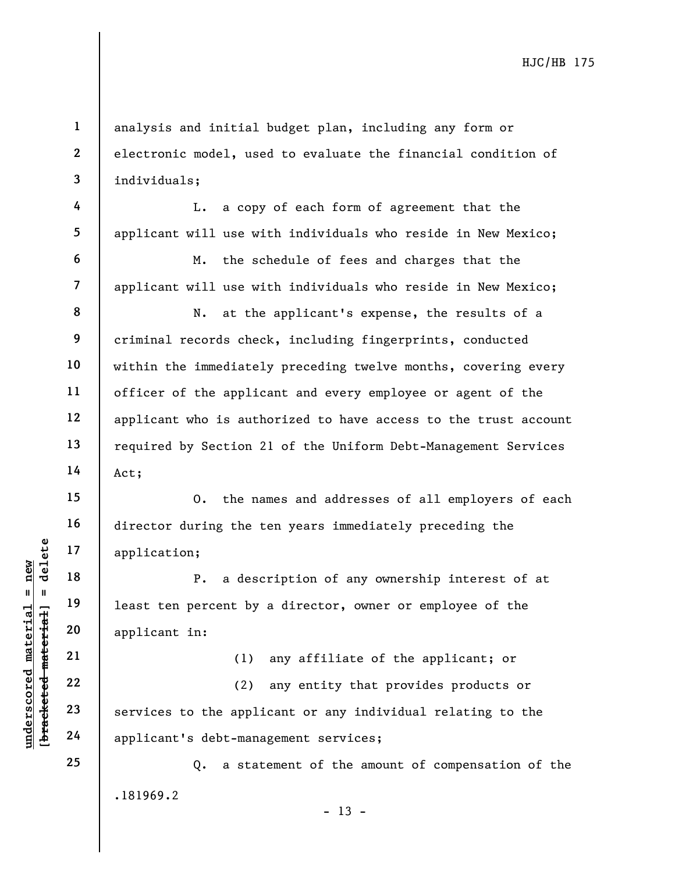analysis and initial budget plan, including any form or electronic model, used to evaluate the financial condition of individuals;

L. a copy of each form of agreement that the applicant will use with individuals who reside in New Mexico;

M. the schedule of fees and charges that the applicant will use with individuals who reside in New Mexico;

N. at the applicant's expense, the results of a criminal records check, including fingerprints, conducted within the immediately preceding twelve months, covering every officer of the applicant and every employee or agent of the applicant who is authorized to have access to the trust account required by Section 21 of the Uniform Debt-Management Services Act;

O. the names and addresses of all employers of each director during the ten years immediately preceding the application;

P. a description of any ownership interest of at least ten percent by a director, owner or employee of the applicant in:

(1) any affiliate of the applicant; or

(2) any entity that provides products or services to the applicant or any individual relating to the applicant's debt-management services;

.181969.2  $- 13 -$ Q. a statement of the amount of compensation of the

 $b$ racketed material] = delete **[bracketed material] = delete**  $anderscored material = new$ **underscored material = new**

**1** 

**2** 

**3** 

**4** 

**5** 

**6** 

**7** 

**8** 

**9** 

**10** 

**11** 

**12** 

**13** 

**14** 

**15** 

**16** 

**17** 

**18** 

**19** 

**20** 

**21** 

**22** 

**23** 

**24** 

**25**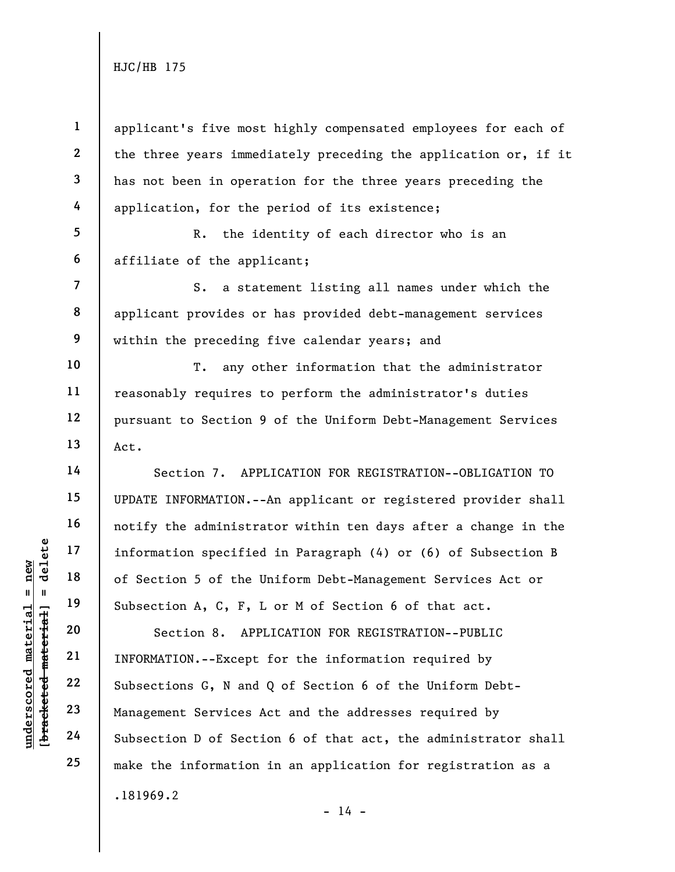**1 2 3 4**  applicant's five most highly compensated employees for each of the three years immediately preceding the application or, if it has not been in operation for the three years preceding the application, for the period of its existence;

**5 6**  R. the identity of each director who is an affiliate of the applicant;

S. a statement listing all names under which the applicant provides or has provided debt-management services within the preceding five calendar years; and

T. any other information that the administrator reasonably requires to perform the administrator's duties pursuant to Section 9 of the Uniform Debt-Management Services Act.

Section 7. APPLICATION FOR REGISTRATION--OBLIGATION TO UPDATE INFORMATION.--An applicant or registered provider shall notify the administrator within ten days after a change in the information specified in Paragraph (4) or (6) of Subsection B of Section 5 of the Uniform Debt-Management Services Act or Subsection A, C, F, L or M of Section 6 of that act.

.181969.2 Section 8. APPLICATION FOR REGISTRATION--PUBLIC INFORMATION.--Except for the information required by Subsections G, N and Q of Section 6 of the Uniform Debt-Management Services Act and the addresses required by Subsection D of Section 6 of that act, the administrator shall make the information in an application for registration as a

 $b$ racketed material] = delete **[bracketed material] = delete**  $anderscored material = new$ **underscored material = new**

**7** 

**8** 

**9** 

**10** 

**11** 

**12** 

**13** 

**14** 

**15** 

**16** 

**17** 

**18** 

**19** 

**20** 

**21** 

**22** 

**23** 

**24** 

**25** 

 $- 14 -$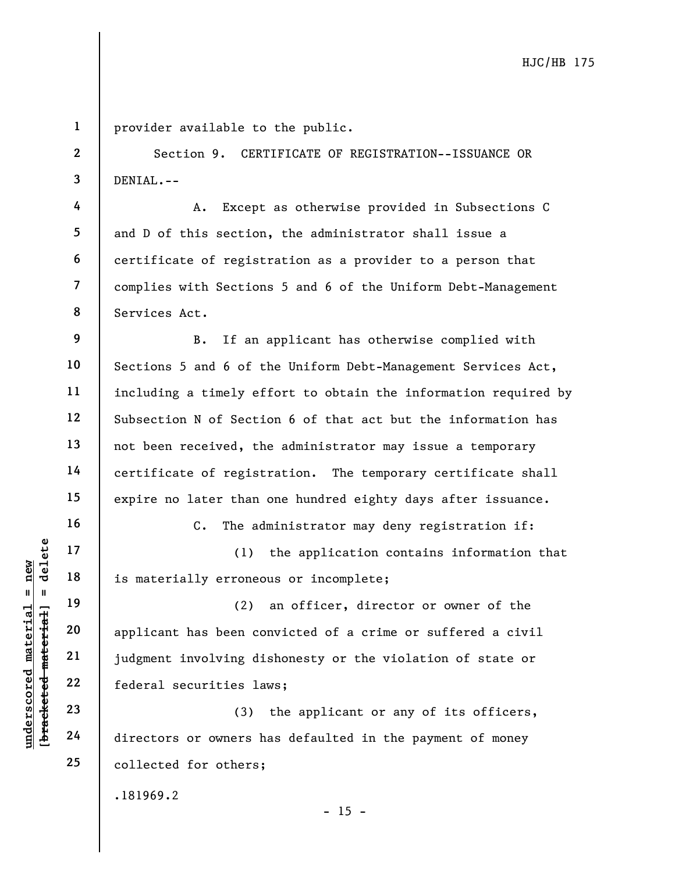**1** 

**2** 

**3** 

**4** 

**5** 

**6** 

**7** 

**8** 

**16** 

**17** 

**18** 

**19** 

**20** 

**21** 

**22** 

**23** 

**24** 

**25** 

provider available to the public.

Section 9. CERTIFICATE OF REGISTRATION--ISSUANCE OR DENIAL.--

A. Except as otherwise provided in Subsections C and D of this section, the administrator shall issue a certificate of registration as a provider to a person that complies with Sections 5 and 6 of the Uniform Debt-Management Services Act.

**9 10 11 12 13 14 15**  B. If an applicant has otherwise complied with Sections 5 and 6 of the Uniform Debt-Management Services Act, including a timely effort to obtain the information required by Subsection N of Section 6 of that act but the information has not been received, the administrator may issue a temporary certificate of registration. The temporary certificate shall expire no later than one hundred eighty days after issuance.

C. The administrator may deny registration if:

(1) the application contains information that is materially erroneous or incomplete;

(2) an officer, director or owner of the applicant has been convicted of a crime or suffered a civil judgment involving dishonesty or the violation of state or federal securities laws;

(3) the applicant or any of its officers, directors or owners has defaulted in the payment of money collected for others;

.181969.2

 $- 15 -$ 

bracketed material] = delete **[bracketed material] = delete**  $anderscored material = new$ **underscored material = new**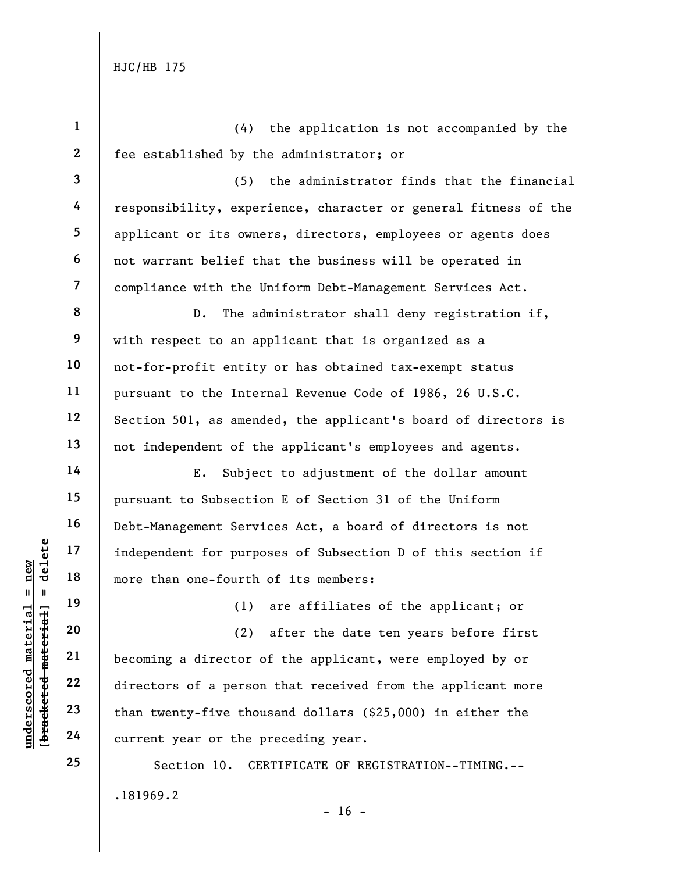**underscored material = new**

 $$  $anderscored material = new$ 

**[bracketed material] = delete 1 2 3 4 5 6 7 8 9 10 11 12 13 14 15 16 17 18 19 20 21 22 23 24 25**  .181969.2  $- 16 -$ (4) the application is not accompanied by the fee established by the administrator; or (5) the administrator finds that the financial responsibility, experience, character or general fitness of the applicant or its owners, directors, employees or agents does not warrant belief that the business will be operated in compliance with the Uniform Debt-Management Services Act. D. The administrator shall deny registration if, with respect to an applicant that is organized as a not-for-profit entity or has obtained tax-exempt status pursuant to the Internal Revenue Code of 1986, 26 U.S.C. Section 501, as amended, the applicant's board of directors is not independent of the applicant's employees and agents. E. Subject to adjustment of the dollar amount pursuant to Subsection E of Section 31 of the Uniform Debt-Management Services Act, a board of directors is not independent for purposes of Subsection D of this section if more than one-fourth of its members: (1) are affiliates of the applicant; or (2) after the date ten years before first becoming a director of the applicant, were employed by or directors of a person that received from the applicant more than twenty-five thousand dollars (\$25,000) in either the current year or the preceding year. Section 10. CERTIFICATE OF REGISTRATION--TIMING.--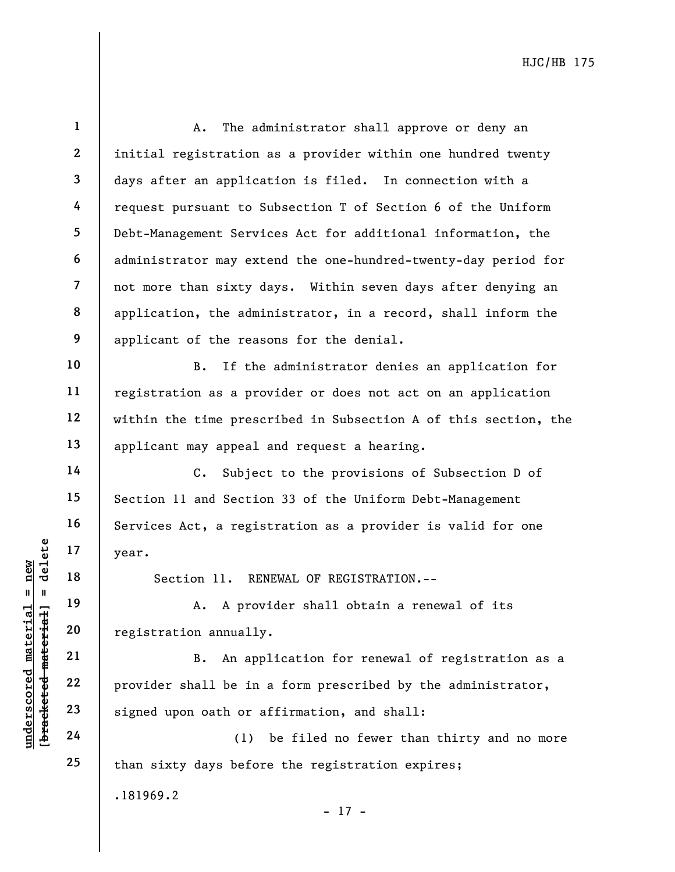**1 2 3 4 5 6 7 8 9 10 11 12 13 14 15 16 17 18 19 20 21 22 23 24 25**  .181969.2 A. The administrator shall approve or deny an initial registration as a provider within one hundred twenty days after an application is filed. In connection with a request pursuant to Subsection T of Section 6 of the Uniform Debt-Management Services Act for additional information, the administrator may extend the one-hundred-twenty-day period for not more than sixty days. Within seven days after denying an application, the administrator, in a record, shall inform the applicant of the reasons for the denial. B. If the administrator denies an application for registration as a provider or does not act on an application within the time prescribed in Subsection A of this section, the applicant may appeal and request a hearing. C. Subject to the provisions of Subsection D of Section 11 and Section 33 of the Uniform Debt-Management Services Act, a registration as a provider is valid for one year. Section 11. RENEWAL OF REGISTRATION.-- A. A provider shall obtain a renewal of its registration annually. B. An application for renewal of registration as a provider shall be in a form prescribed by the administrator, signed upon oath or affirmation, and shall: (1) be filed no fewer than thirty and no more than sixty days before the registration expires;

- 17 -

 $$ **[bracketed material] = delete** inderscored material = new **underscored material = new**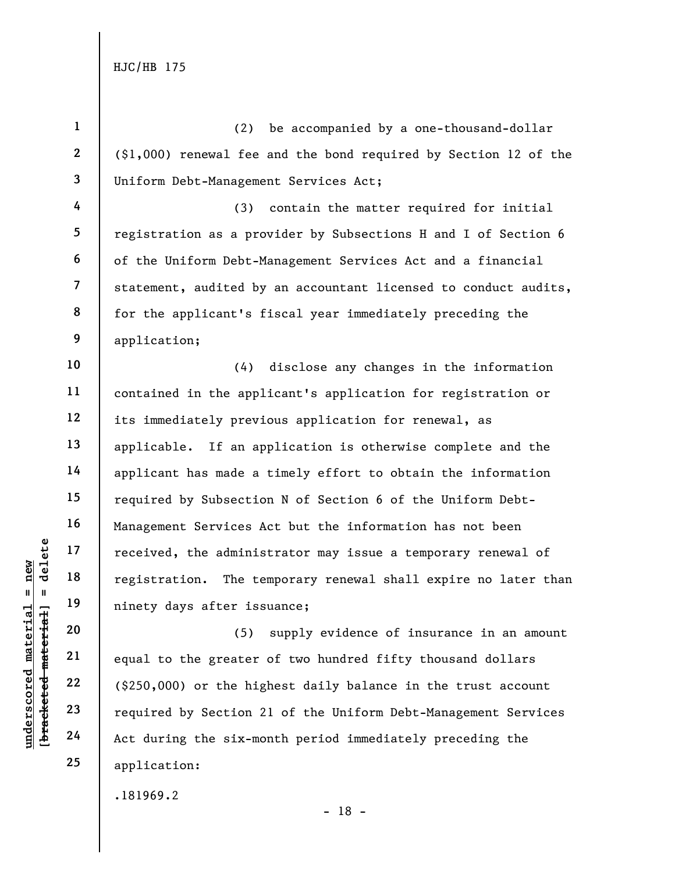**1** 

**underscored material = new [bracketed material] = delete**

 $b$ racketed material] = delete inderscored material = new

**2 3 4 5 6 7 8 9 10 11 12 13 14 15 16 17 18 19 20 21 22 23 24 25**  .181969.2 (2) be accompanied by a one-thousand-dollar (\$1,000) renewal fee and the bond required by Section 12 of the Uniform Debt-Management Services Act; (3) contain the matter required for initial registration as a provider by Subsections H and I of Section 6 of the Uniform Debt-Management Services Act and a financial statement, audited by an accountant licensed to conduct audits, for the applicant's fiscal year immediately preceding the application; (4) disclose any changes in the information contained in the applicant's application for registration or its immediately previous application for renewal, as applicable. If an application is otherwise complete and the applicant has made a timely effort to obtain the information required by Subsection N of Section 6 of the Uniform Debt-Management Services Act but the information has not been received, the administrator may issue a temporary renewal of registration. The temporary renewal shall expire no later than ninety days after issuance; (5) supply evidence of insurance in an amount equal to the greater of two hundred fifty thousand dollars (\$250,000) or the highest daily balance in the trust account required by Section 21 of the Uniform Debt-Management Services Act during the six-month period immediately preceding the application:

- 18 -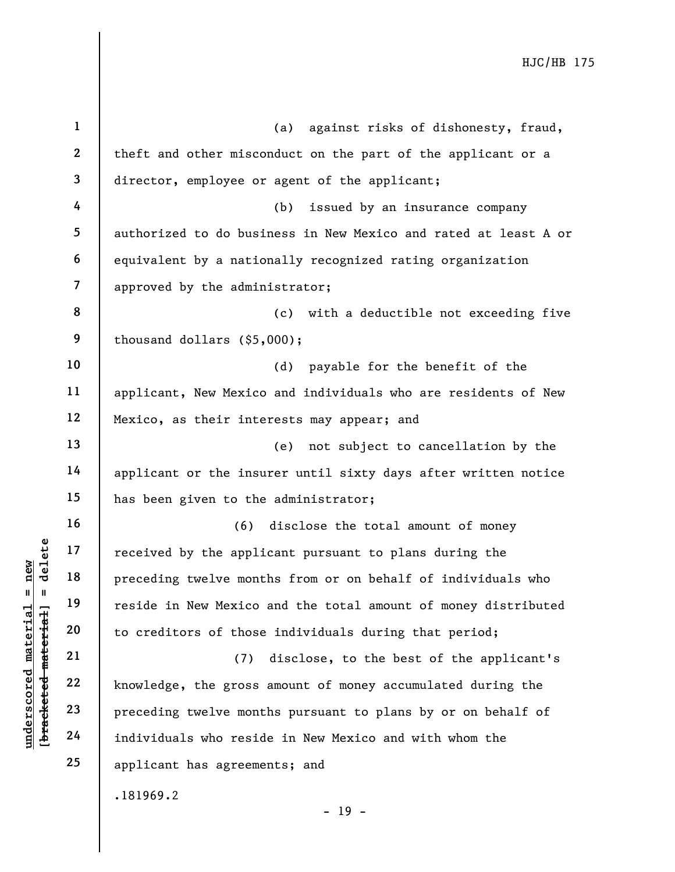**1 2 3 4 5 6 7 8 9 10 11 12 13 14 15 16 17 18 19 20 21 22 23 24 25**  .181969.2 - 19 - (a) against risks of dishonesty, fraud, theft and other misconduct on the part of the applicant or a director, employee or agent of the applicant; (b) issued by an insurance company authorized to do business in New Mexico and rated at least A or equivalent by a nationally recognized rating organization approved by the administrator; (c) with a deductible not exceeding five thousand dollars (\$5,000); (d) payable for the benefit of the applicant, New Mexico and individuals who are residents of New Mexico, as their interests may appear; and (e) not subject to cancellation by the applicant or the insurer until sixty days after written notice has been given to the administrator; (6) disclose the total amount of money received by the applicant pursuant to plans during the preceding twelve months from or on behalf of individuals who reside in New Mexico and the total amount of money distributed to creditors of those individuals during that period; (7) disclose, to the best of the applicant's knowledge, the gross amount of money accumulated during the preceding twelve months pursuant to plans by or on behalf of individuals who reside in New Mexico and with whom the applicant has agreements; and

**underscored material = new [bracketed material] = delete**

 $$ inderscored material = new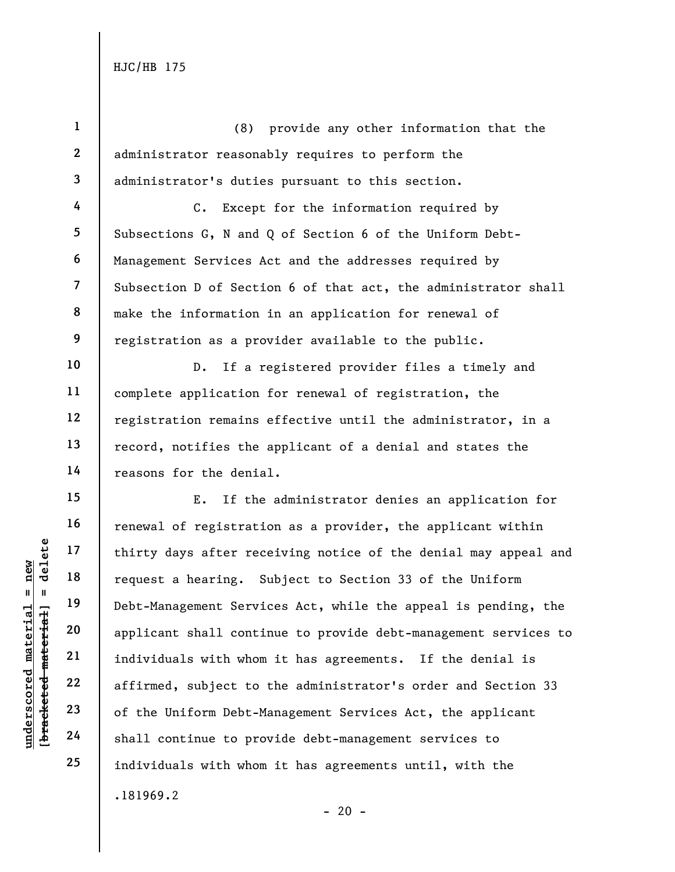**1 2 3 4 5 6 7 8 9 10 11 12 13 14 15 16 17 18 19 20 21 22 23 24 25**  .181969.2 (8) provide any other information that the administrator reasonably requires to perform the administrator's duties pursuant to this section. C. Except for the information required by Subsections G, N and Q of Section 6 of the Uniform Debt-Management Services Act and the addresses required by Subsection D of Section 6 of that act, the administrator shall make the information in an application for renewal of registration as a provider available to the public. D. If a registered provider files a timely and complete application for renewal of registration, the registration remains effective until the administrator, in a record, notifies the applicant of a denial and states the reasons for the denial. E. If the administrator denies an application for renewal of registration as a provider, the applicant within thirty days after receiving notice of the denial may appeal and request a hearing. Subject to Section 33 of the Uniform Debt-Management Services Act, while the appeal is pending, the applicant shall continue to provide debt-management services to individuals with whom it has agreements. If the denial is affirmed, subject to the administrator's order and Section 33 of the Uniform Debt-Management Services Act, the applicant shall continue to provide debt-management services to individuals with whom it has agreements until, with the

 $- 20 -$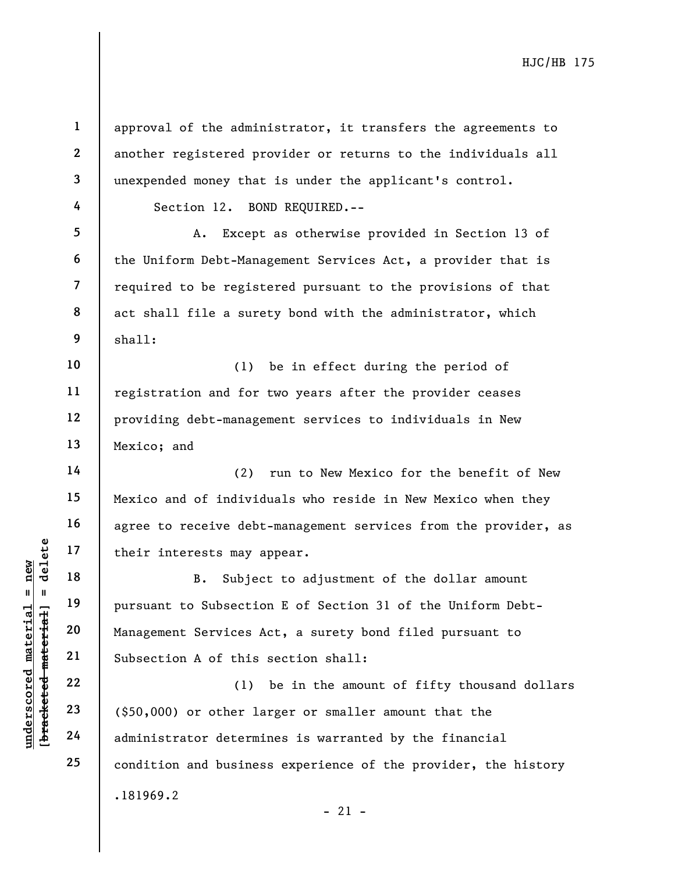**[bracketed material] = delete 1 2 3 4 5 6 7 8 9 10 11 12 13 14 15 16 17 18 19 20 21 22 23 24 25**  .181969.2 approval of the administrator, it transfers the agreements to another registered provider or returns to the individuals all unexpended money that is under the applicant's control. Section 12. BOND REQUIRED.-- A. Except as otherwise provided in Section 13 of the Uniform Debt-Management Services Act, a provider that is required to be registered pursuant to the provisions of that act shall file a surety bond with the administrator, which shall: (1) be in effect during the period of registration and for two years after the provider ceases providing debt-management services to individuals in New Mexico; and (2) run to New Mexico for the benefit of New Mexico and of individuals who reside in New Mexico when they agree to receive debt-management services from the provider, as their interests may appear. B. Subject to adjustment of the dollar amount pursuant to Subsection E of Section 31 of the Uniform Debt-Management Services Act, a surety bond filed pursuant to Subsection A of this section shall: (1) be in the amount of fifty thousand dollars (\$50,000) or other larger or smaller amount that the administrator determines is warranted by the financial condition and business experience of the provider, the history

**underscored material = new**

 $b$ racketed material] = delete  $anderscored material = new$ 

 $- 21 -$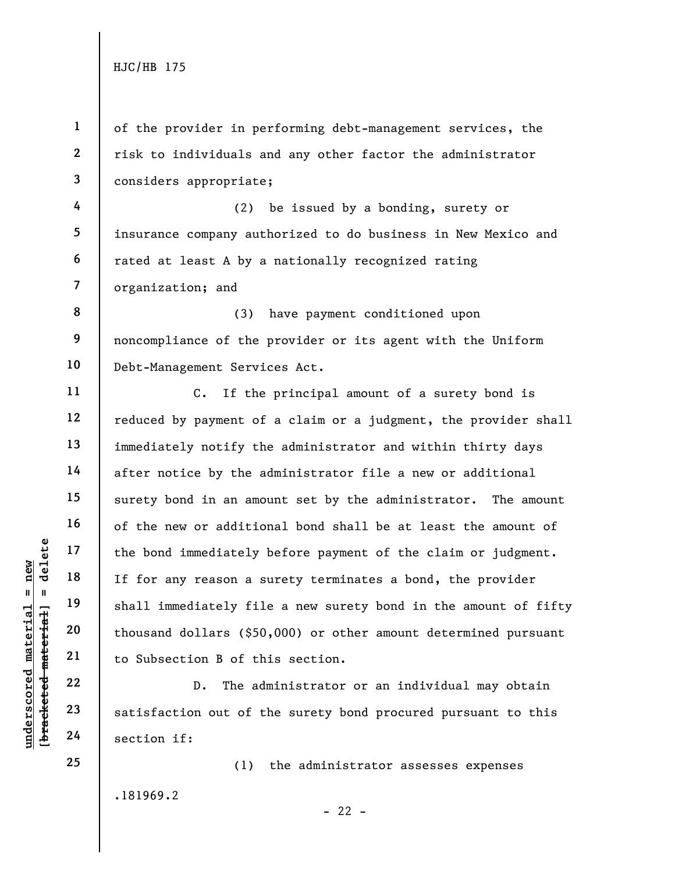**1 2 3**  of the provider in performing debt-management services, the risk to individuals and any other factor the administrator considers appropriate;

**4 5 6 7**  (2) be issued by a bonding, surety or insurance company authorized to do business in New Mexico and rated at least A by a nationally recognized rating organization; and

**8 9 10**  (3) have payment conditioned upon noncompliance of the provider or its agent with the Uniform Debt-Management Services Act.

C. If the principal amount of a surety bond is reduced by payment of a claim or a judgment, the provider shall immediately notify the administrator and within thirty days after notice by the administrator file a new or additional surety bond in an amount set by the administrator. The amount of the new or additional bond shall be at least the amount of the bond immediately before payment of the claim or judgment. If for any reason a surety terminates a bond, the provider shall immediately file a new surety bond in the amount of fifty thousand dollars (\$50,000) or other amount determined pursuant to Subsection B of this section.

D. The administrator or an individual may obtain satisfaction out of the surety bond procured pursuant to this section if:

.181969.2 (1) the administrator assesses expenses

 $b$ racketed material] = delete **[bracketed material] = delete**  $anderscored material = new$ **underscored material = new**

**25** 

**11** 

**12** 

**13** 

**14** 

**15** 

**16** 

**17** 

**18** 

**19** 

**20** 

**21** 

**22** 

**23** 

**24**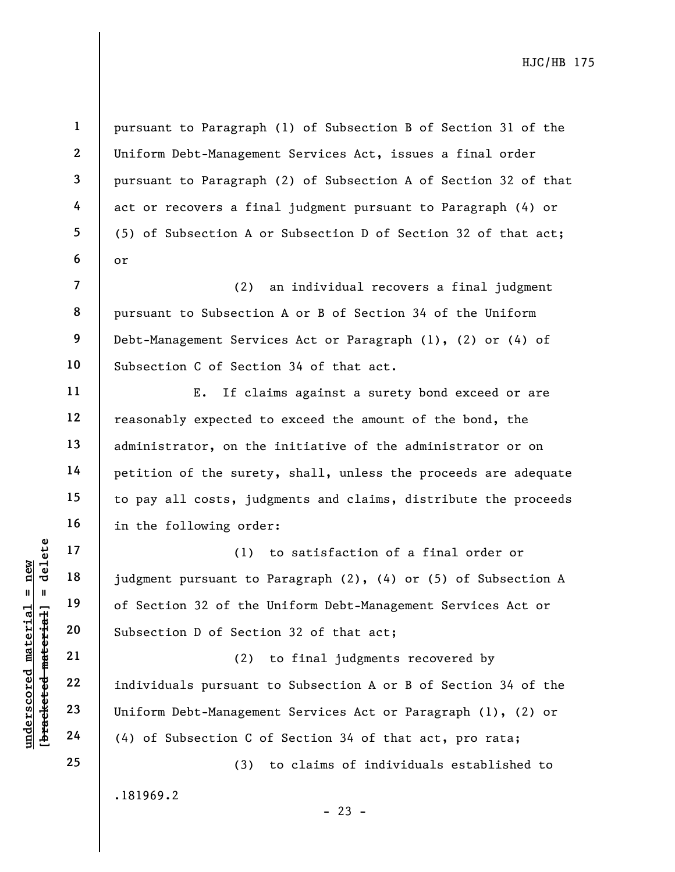pursuant to Paragraph (1) of Subsection B of Section 31 of the Uniform Debt-Management Services Act, issues a final order pursuant to Paragraph (2) of Subsection A of Section 32 of that act or recovers a final judgment pursuant to Paragraph (4) or (5) of Subsection A or Subsection D of Section 32 of that act; or

(2) an individual recovers a final judgment pursuant to Subsection A or B of Section 34 of the Uniform Debt-Management Services Act or Paragraph (1), (2) or (4) of Subsection C of Section 34 of that act.

E. If claims against a surety bond exceed or are reasonably expected to exceed the amount of the bond, the administrator, on the initiative of the administrator or on petition of the surety, shall, unless the proceeds are adequate to pay all costs, judgments and claims, distribute the proceeds in the following order:

(1) to satisfaction of a final order or judgment pursuant to Paragraph (2), (4) or (5) of Subsection A of Section 32 of the Uniform Debt-Management Services Act or Subsection D of Section 32 of that act;

(2) to final judgments recovered by individuals pursuant to Subsection A or B of Section 34 of the Uniform Debt-Management Services Act or Paragraph (1), (2) or (4) of Subsection C of Section 34 of that act, pro rata;

.181969.2

 $- 23 -$ 

(3) to claims of individuals established to

 $$ **[bracketed material] = delete**  $anderscored material = new$ **underscored material = new**

**1** 

**2** 

**3** 

**4** 

**5** 

**6** 

**7** 

**8** 

**9** 

**10** 

**11** 

**12** 

**13** 

**14** 

**15** 

**16** 

**17** 

**18** 

**19** 

**20** 

**21** 

**22** 

**23** 

**24** 

**25**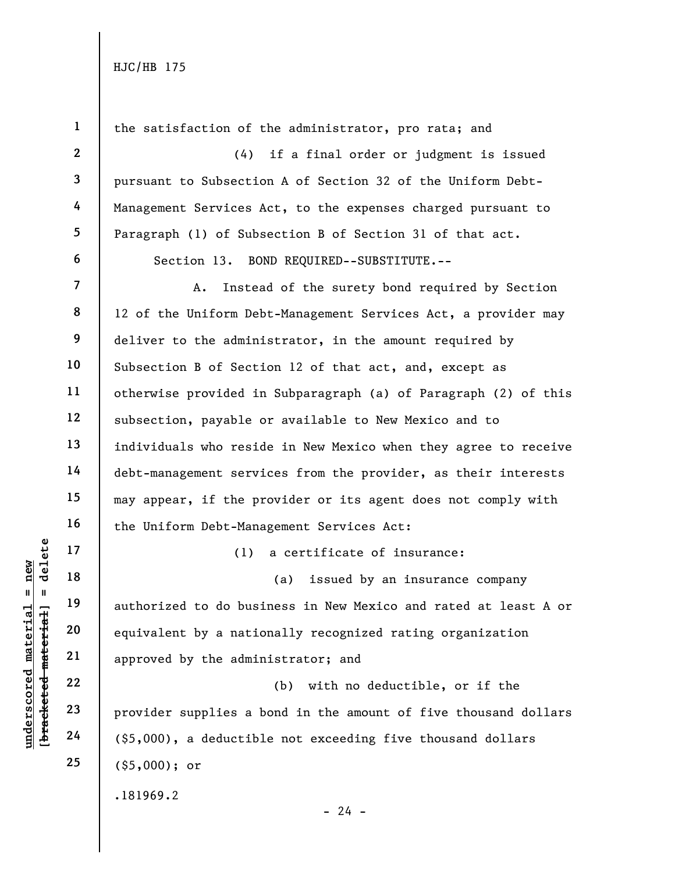|                                                         | $\mathbf{1}$   | the satisfaction of the administrator, pro rata; and            |
|---------------------------------------------------------|----------------|-----------------------------------------------------------------|
|                                                         | $\mathbf{2}$   | (4)<br>if a final order or judgment is issued                   |
|                                                         | $\mathbf{3}$   | pursuant to Subsection A of Section 32 of the Uniform Debt-     |
|                                                         | 4              | Management Services Act, to the expenses charged pursuant to    |
|                                                         | 5 <sub>5</sub> | Paragraph (1) of Subsection B of Section 31 of that act.        |
|                                                         | 6              | Section 13. BOND REQUIRED--SUBSTITUTE.--                        |
|                                                         | $\overline{7}$ | Instead of the surety bond required by Section<br>A.            |
|                                                         | 8              | 12 of the Uniform Debt-Management Services Act, a provider may  |
|                                                         | 9              | deliver to the administrator, in the amount required by         |
|                                                         | 10             | Subsection B of Section 12 of that act, and, except as          |
|                                                         | 11             | otherwise provided in Subparagraph (a) of Paragraph (2) of this |
|                                                         | 12             | subsection, payable or available to New Mexico and to           |
|                                                         | 13             | individuals who reside in New Mexico when they agree to receive |
|                                                         | 14             | debt-management services from the provider, as their interests  |
|                                                         | 15             | may appear, if the provider or its agent does not comply with   |
|                                                         | 16             | the Uniform Debt-Management Services Act:                       |
| delete                                                  | 17             | a certificate of insurance:<br>(1)                              |
| new                                                     | 18             | issued by an insurance company<br>(a)                           |
| $\mathbf{II}$<br>Ш                                      | 19             | authorized to do business in New Mexico and rated at least A or |
| underscored material<br>[ <del>bracketed material</del> | 20             | equivalent by a nationally recognized rating organization       |
|                                                         | 21             | approved by the administrator; and                              |
|                                                         | 22             | with no deductible, or if the<br>(b)                            |
|                                                         | 23             | provider supplies a bond in the amount of five thousand dollars |
|                                                         | 24             | $(55,000)$ , a deductible not exceeding five thousand dollars   |
|                                                         | 25             | $(§5,000);$ or                                                  |
|                                                         |                | .181969.2                                                       |
|                                                         |                | $-24 -$                                                         |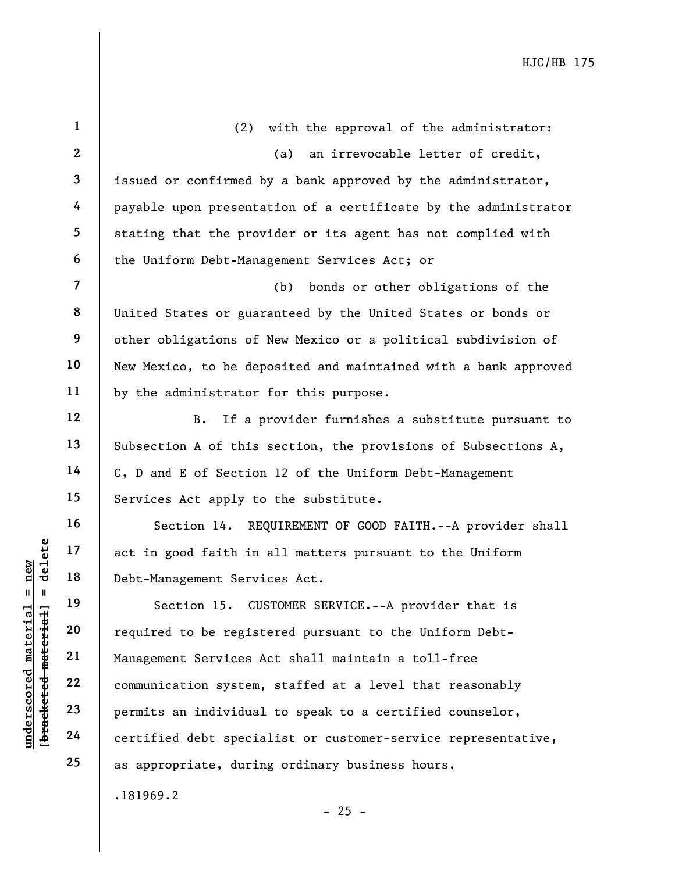| $\mathbf{1}$   | (2) with the approval of the administrator:                     |
|----------------|-----------------------------------------------------------------|
| $\mathbf{2}$   | an irrevocable letter of credit,<br>(a)                         |
| $\mathbf{3}$   | issued or confirmed by a bank approved by the administrator,    |
| 4              | payable upon presentation of a certificate by the administrator |
| 5              | stating that the provider or its agent has not complied with    |
| 6              | the Uniform Debt-Management Services Act; or                    |
| $\overline{7}$ | bonds or other obligations of the<br>(b)                        |
| 8              | United States or guaranteed by the United States or bonds or    |
| 9              | other obligations of New Mexico or a political subdivision of   |
| 10             | New Mexico, to be deposited and maintained with a bank approved |
| 11             | by the administrator for this purpose.                          |
| 12             | If a provider furnishes a substitute pursuant to<br><b>B</b> .  |
| 13             | Subsection A of this section, the provisions of Subsections A,  |
| 14             | C, D and E of Section 12 of the Uniform Debt-Management         |
| 15             | Services Act apply to the substitute.                           |
| 16             | Section 14. REQUIREMENT OF GOOD FAITH.--A provider shall        |
| 17             | act in good faith in all matters pursuant to the Uniform        |
| 18             | Debt-Management Services Act.                                   |
| 19             | Section 15. CUSTOMER SERVICE.--A provider that is               |
| 20             | required to be registered pursuant to the Uniform Debt-         |
| 21             | Management Services Act shall maintain a toll-free              |
| 22             | communication system, staffed at a level that reasonably        |
| 23             | permits an individual to speak to a certified counselor,        |
| 24             | certified debt specialist or customer-service representative,   |
| 25             | as appropriate, during ordinary business hours.                 |

.181969.2

**underscored material = new [bracketed material] = delete**

[bracketed material] = delete  $underscored material = new$ 

- 25 -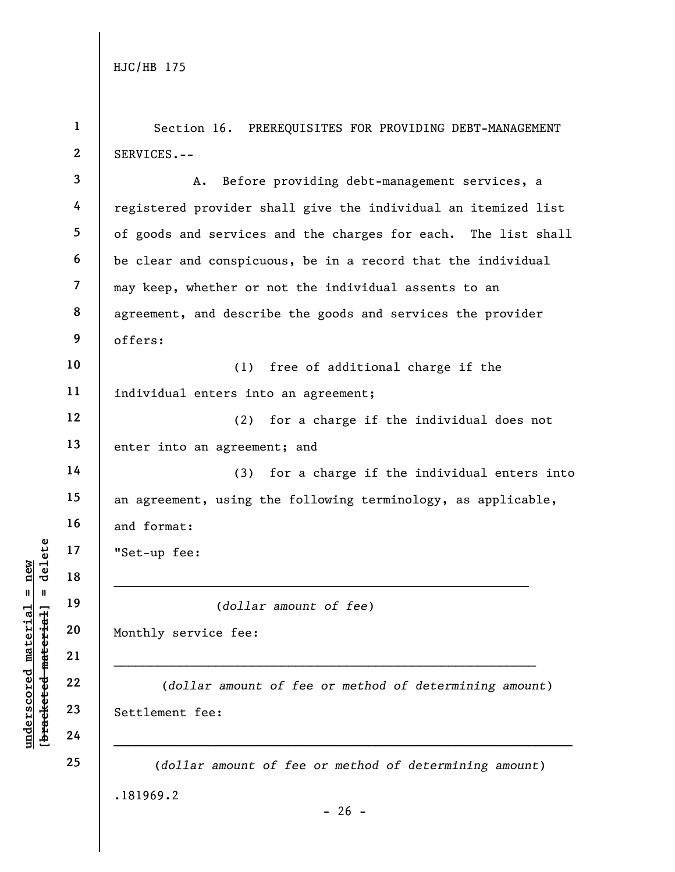**1** 

**2 3 4 5 6 7 8 9 10 11 12 13 14 15 16 17 18 19 20 21 22 23 24 25**  .181969.2  $- 26 -$ SERVICES.-- A. Before providing debt-management services, a registered provider shall give the individual an itemized list of goods and services and the charges for each. The list shall be clear and conspicuous, be in a record that the individual may keep, whether or not the individual assents to an agreement, and describe the goods and services the provider offers: (1) free of additional charge if the individual enters into an agreement; (2) for a charge if the individual does not enter into an agreement; and (3) for a charge if the individual enters into an agreement, using the following terminology, as applicable, and format: "Set-up fee: (*dollar amount of fee*) Monthly service fee:  $\mathcal{L}_\text{max}$  and  $\mathcal{L}_\text{max}$  and  $\mathcal{L}_\text{max}$  and  $\mathcal{L}_\text{max}$  and  $\mathcal{L}_\text{max}$  and  $\mathcal{L}_\text{max}$  (*dollar amount of fee or method of determining amount*) Settlement fee: (*dollar amount of fee or method of determining amount*)

Section 16. PREREQUISITES FOR PROVIDING DEBT-MANAGEMENT

 $$ **[bracketed material] = delete**  $anderscored material = new$ **underscored material = new**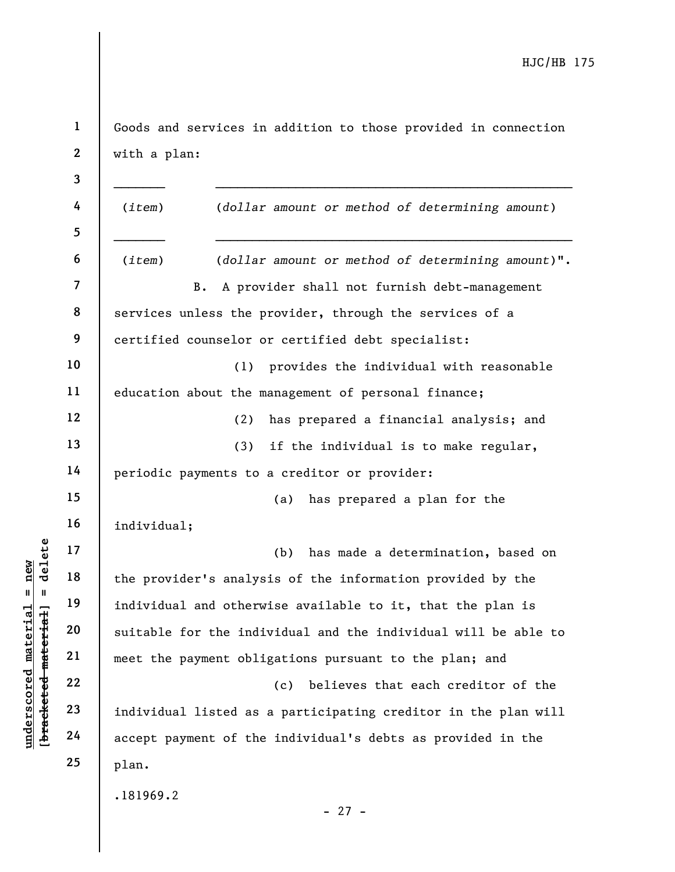**1 2**  Goods and services in addition to those provided in connection with a plan:

**3 4 5 6 7 8 9 10 11 12 13 14 15 16 17 18 19 20 21 22 23 24 25**  .181969.2 - 27 - (*item*) (*dollar amount or method of determining amount*) (*item*) (*dollar amount or method of determining amount*)". B. A provider shall not furnish debt-management services unless the provider, through the services of a certified counselor or certified debt specialist: (1) provides the individual with reasonable education about the management of personal finance; (2) has prepared a financial analysis; and (3) if the individual is to make regular, periodic payments to a creditor or provider: (a) has prepared a plan for the individual; (b) has made a determination, based on the provider's analysis of the information provided by the individual and otherwise available to it, that the plan is suitable for the individual and the individual will be able to meet the payment obligations pursuant to the plan; and (c) believes that each creditor of the individual listed as a participating creditor in the plan will accept payment of the individual's debts as provided in the plan.

**underscored material = new [bracketed material] = delete**

 $$ inderscored material = new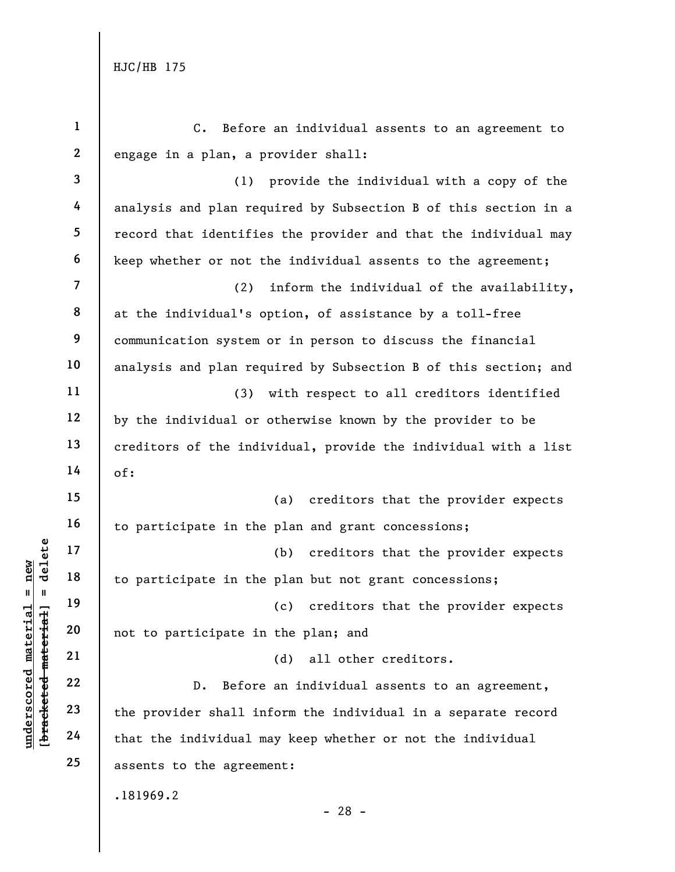| $\mathbf{1}$            | Before an individual assents to an agreement to<br>$c_{\bullet}$ |
|-------------------------|------------------------------------------------------------------|
| $\mathbf{2}$            | engage in a plan, a provider shall:                              |
| $\overline{\mathbf{3}}$ | (1) provide the individual with a copy of the                    |
| 4                       | analysis and plan required by Subsection B of this section in a  |
| 5                       | record that identifies the provider and that the individual may  |
| 6                       | keep whether or not the individual assents to the agreement;     |
| $\overline{\mathbf{7}}$ | (2)<br>inform the individual of the availability,                |
| 8                       | at the individual's option, of assistance by a toll-free         |
| 9                       | communication system or in person to discuss the financial       |
| 10                      | analysis and plan required by Subsection B of this section; and  |
| 11                      | (3)<br>with respect to all creditors identified                  |
| 12                      | by the individual or otherwise known by the provider to be       |
| 13                      | creditors of the individual, provide the individual with a list  |
| 14                      | of:                                                              |
| 15                      | creditors that the provider expects<br>(a)                       |
| 16                      | to participate in the plan and grant concessions;                |
| 17                      | (b) creditors that the provider expects                          |
| 18                      | to participate in the plan but not grant concessions;            |
| 19                      | creditors that the provider expects<br>(c)                       |
| 20                      | not to participate in the plan; and                              |
| 21                      | all other creditors.<br>(d)                                      |
| 22                      | Before an individual assents to an agreement,<br>$D$ .           |
| 23                      | the provider shall inform the individual in a separate record    |
| 24                      | that the individual may keep whether or not the individual       |
| 25                      | assents to the agreement:                                        |
|                         | .181969.2<br>- 28 -                                              |

[bracketed material] = delete **[bracketed material] = delete**  $underscored material = new$ **underscored material = new**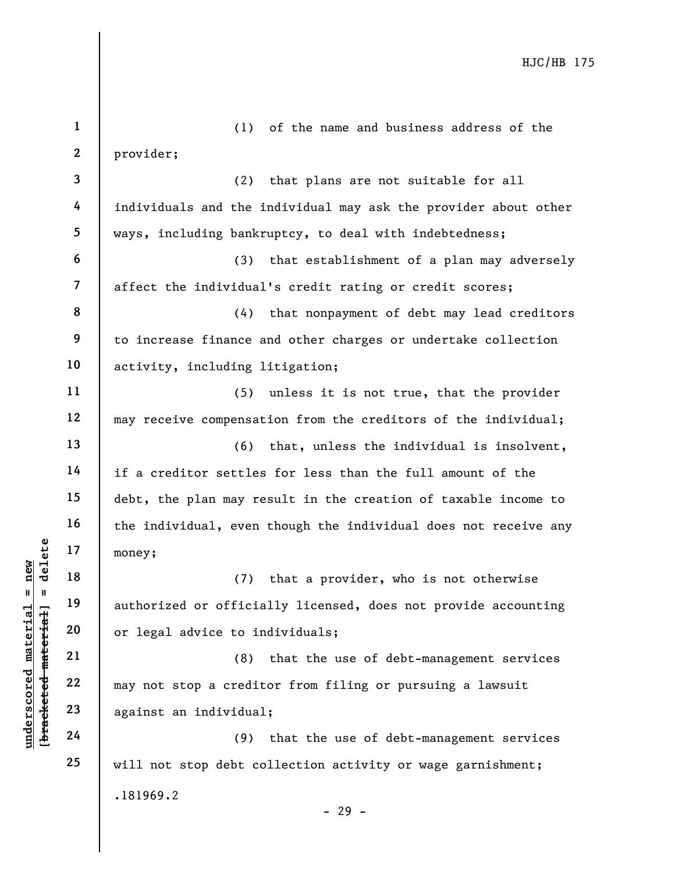| $\mathbf{1}$            | (1) of the name and business address of the                     |
|-------------------------|-----------------------------------------------------------------|
| $\boldsymbol{2}$        | provider;                                                       |
| 3                       | (2) that plans are not suitable for all                         |
| 4                       | individuals and the individual may ask the provider about other |
| 5                       | ways, including bankruptcy, to deal with indebtedness;          |
| 6                       | (3) that establishment of a plan may adversely                  |
| $\overline{\mathbf{7}}$ | affect the individual's credit rating or credit scores;         |
| 8                       | (4) that nonpayment of debt may lead creditors                  |
| 9                       | to increase finance and other charges or undertake collection   |
| 10                      | activity, including litigation;                                 |
| 11                      | (5) unless it is not true, that the provider                    |
| 12                      | may receive compensation from the creditors of the individual;  |
| 13                      | (6) that, unless the individual is insolvent,                   |
| 14                      | if a creditor settles for less than the full amount of the      |
| 15                      | debt, the plan may result in the creation of taxable income to  |
| 16                      | the individual, even though the individual does not receive any |
| 17                      | money;                                                          |
| 18                      | (7) that a provider, who is not otherwise                       |
| 19                      | authorized or officially licensed, does not provide accounting  |
| 20                      | or legal advice to individuals;                                 |
| 21                      | that the use of debt-management services<br>(8)                 |
| 22                      | may not stop a creditor from filing or pursuing a lawsuit       |
| 23                      | against an individual;                                          |
| 24                      | that the use of debt-management services<br>(9)                 |
| 25                      | will not stop debt collection activity or wage garnishment;     |
|                         | .181969.2                                                       |
|                         | $-29 -$                                                         |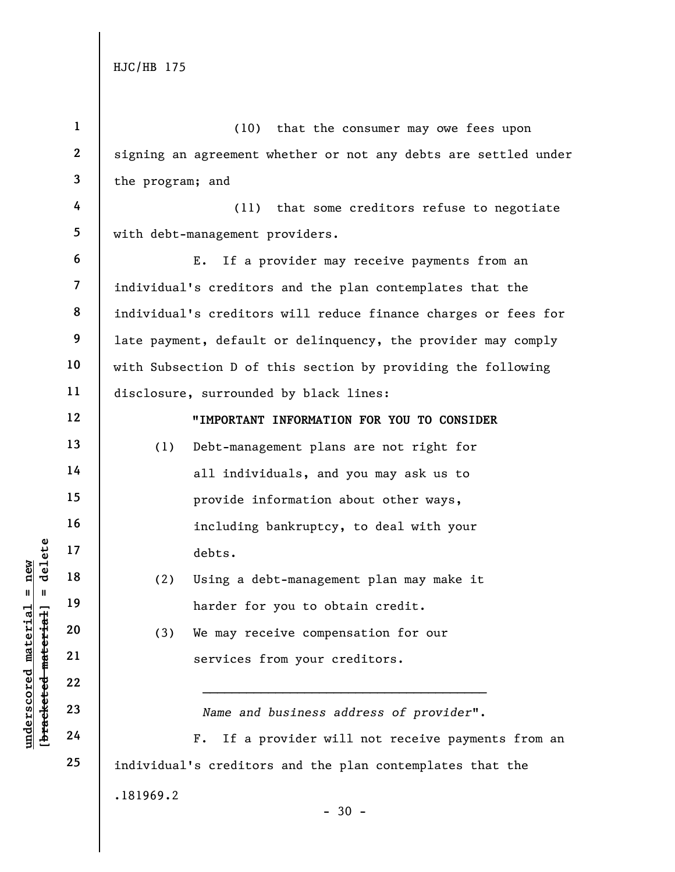**underscored material = new [bracketed material] = delete**

[bracketed material] = delete  $underscored material = new$ 

| $\mathbf{1}$   | (10) that the consumer may owe fees upon                        |
|----------------|-----------------------------------------------------------------|
| $\mathbf{2}$   | signing an agreement whether or not any debts are settled under |
| 3              | the program; and                                                |
| 4              | (11) that some creditors refuse to negotiate                    |
| 5              | with debt-management providers.                                 |
| 6              | If a provider may receive payments from an<br>Ε.                |
| $\overline{7}$ | individual's creditors and the plan contemplates that the       |
| 8              | individual's creditors will reduce finance charges or fees for  |
| 9              | late payment, default or delinquency, the provider may comply   |
| 10             | with Subsection D of this section by providing the following    |
| 11             | disclosure, surrounded by black lines:                          |
| 12             | "IMPORTANT INFORMATION FOR YOU TO CONSIDER                      |
| 13             | Debt-management plans are not right for<br>(1)                  |
| 14             | all individuals, and you may ask us to                          |
| 15             | provide information about other ways,                           |
| 16             | including bankruptcy, to deal with your                         |
| 17             | debts.                                                          |
| 18             | (2)<br>Using a debt-management plan may make it                 |
| 19             | harder for you to obtain credit.                                |
| 20             | (3)<br>We may receive compensation for our                      |
| 21             | services from your creditors.                                   |
| 22             |                                                                 |
| 23             | Name and business address of provider".                         |
| 24             | If a provider will not receive payments from an<br>$F$ .        |
| 25             | individual's creditors and the plan contemplates that the       |
|                | .181969.2                                                       |
|                | $-30 -$                                                         |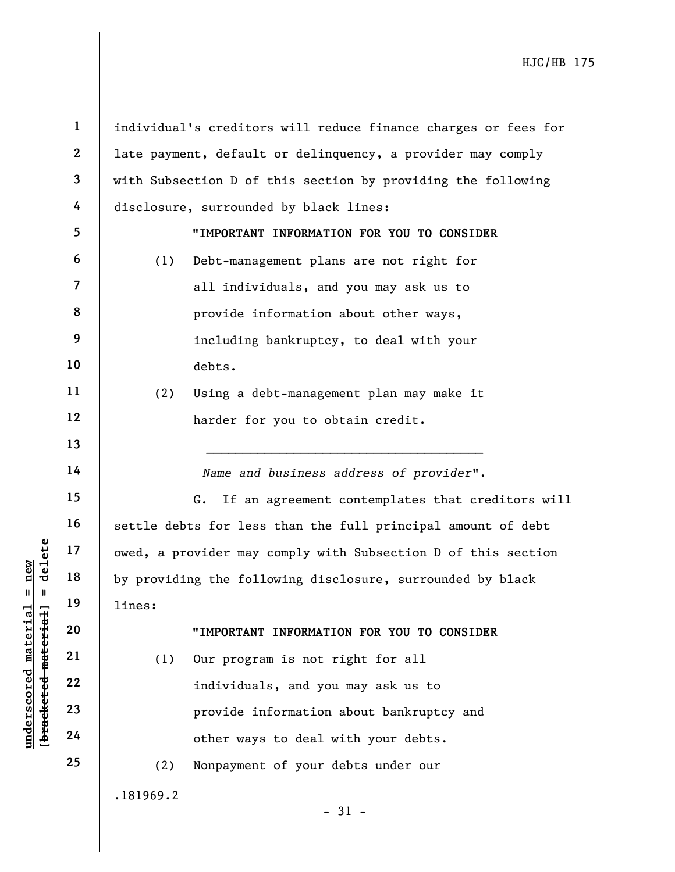**1**  individual's creditors will reduce finance charges or fees for **2**  late payment, default or delinquency, a provider may comply **3**  with Subsection D of this section by providing the following **4**  disclosure, surrounded by black lines: **5**  "**IMPORTANT INFORMATION FOR YOU TO CONSIDER 6**  (1) Debt-management plans are not right for **7**  all individuals, and you may ask us to **8**  provide information about other ways, **9**  including bankruptcy, to deal with your **10**  debts. **11**  (2) Using a debt-management plan may make it **12**  harder for you to obtain credit. **13**   $\mathcal{L}_\text{max}$  and  $\mathcal{L}_\text{max}$  and  $\mathcal{L}_\text{max}$  and  $\mathcal{L}_\text{max}$ **14**  *Name and business address of provider*". **15**  G. If an agreement contemplates that creditors will **16**  settle debts for less than the full principal amount of debt  $$ **[bracketed material] = delete 17**  owed, a provider may comply with Subsection D of this section **underscored material = new 18**  by providing the following disclosure, surrounded by black **19**  lines: **20**  "**IMPORTANT INFORMATION FOR YOU TO CONSIDER 21**  (1) Our program is not right for all **22**  individuals, and you may ask us to **23**  provide information about bankruptcy and **24**  other ways to deal with your debts. **25**  (2) Nonpayment of your debts under our.181969.2  $-31 -$ 

 $anderscored material = new$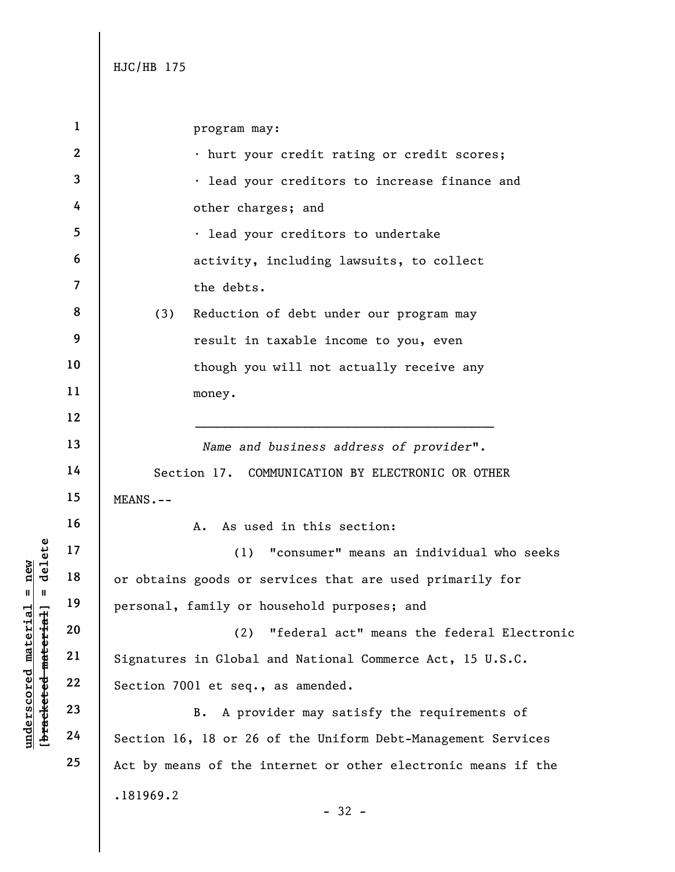**1 2 3 4 5 6 7 8 9 10 11 12 13 14 15 16 17 18 19 20 21 22 23 24 25**  .181969.2 - 32 program may: • hurt your credit rating or credit scores; • lead your creditors to increase finance and other charges; and • lead your creditors to undertake activity, including lawsuits, to collect the debts. (3) Reduction of debt under our program may result in taxable income to you, even though you will not actually receive any money. *Name and business address of provider*". Section 17. COMMUNICATION BY ELECTRONIC OR OTHER MEANS.-- A. As used in this section: (1) "consumer" means an individual who seeks or obtains goods or services that are used primarily for personal, family or household purposes; and (2) "federal act" means the federal Electronic Signatures in Global and National Commerce Act, 15 U.S.C. Section 7001 et seq., as amended. B. A provider may satisfy the requirements of Section 16, 18 or 26 of the Uniform Debt-Management Services Act by means of the internet or other electronic means if the

 $$ **[bracketed material] = delete**  $underscored material = new$ **underscored material = new**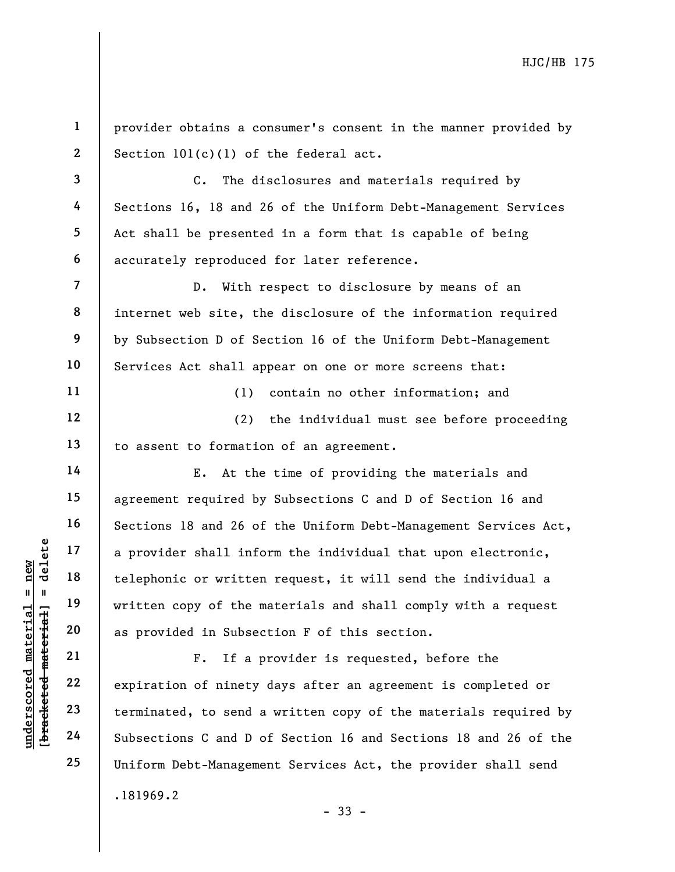**1 2 3 4 5 6 7 8 9 10 11 12 13 14 15 16 17 18 19**  provider obtains a consumer's consent in the manner provided by Section 101(c)(1) of the federal act. C. The disclosures and materials required by Sections 16, 18 and 26 of the Uniform Debt-Management Services Act shall be presented in a form that is capable of being accurately reproduced for later reference. D. With respect to disclosure by means of an internet web site, the disclosure of the information required by Subsection D of Section 16 of the Uniform Debt-Management Services Act shall appear on one or more screens that: (1) contain no other information; and (2) the individual must see before proceeding to assent to formation of an agreement. E. At the time of providing the materials and agreement required by Subsections C and D of Section 16 and Sections 18 and 26 of the Uniform Debt-Management Services Act, a provider shall inform the individual that upon electronic, telephonic or written request, it will send the individual a written copy of the materials and shall comply with a request

.181969.2 - 33 - F. If a provider is requested, before the expiration of ninety days after an agreement is completed or terminated, to send a written copy of the materials required by Subsections C and D of Section 16 and Sections 18 and 26 of the Uniform Debt-Management Services Act, the provider shall send

as provided in Subsection F of this section.

 $$ **[bracketed material] = delete** inderscored material = new **underscored material = new**

**20** 

**21** 

**22** 

**23** 

**24** 

**25**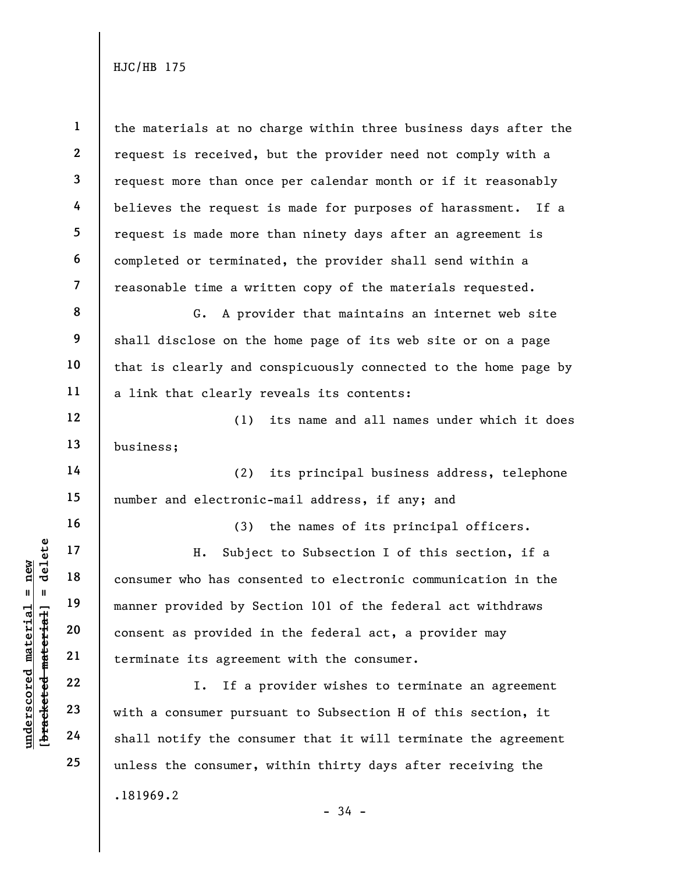**1 2 3 4 5 6 7 8 9 10 11 12 13 14 15 16 17 18 19 20 21 22 23 24 25**  .181969.2 the materials at no charge within three business days after the request is received, but the provider need not comply with a request more than once per calendar month or if it reasonably believes the request is made for purposes of harassment. If a request is made more than ninety days after an agreement is completed or terminated, the provider shall send within a reasonable time a written copy of the materials requested. G. A provider that maintains an internet web site shall disclose on the home page of its web site or on a page that is clearly and conspicuously connected to the home page by a link that clearly reveals its contents: (1) its name and all names under which it does business; (2) its principal business address, telephone number and electronic-mail address, if any; and (3) the names of its principal officers. H. Subject to Subsection I of this section, if a consumer who has consented to electronic communication in the manner provided by Section 101 of the federal act withdraws consent as provided in the federal act, a provider may terminate its agreement with the consumer. I. If a provider wishes to terminate an agreement with a consumer pursuant to Subsection H of this section, it shall notify the consumer that it will terminate the agreement unless the consumer, within thirty days after receiving the

 $$ **[bracketed material] = delete**  $anderscored material = new$ **underscored material = new**

- 34 -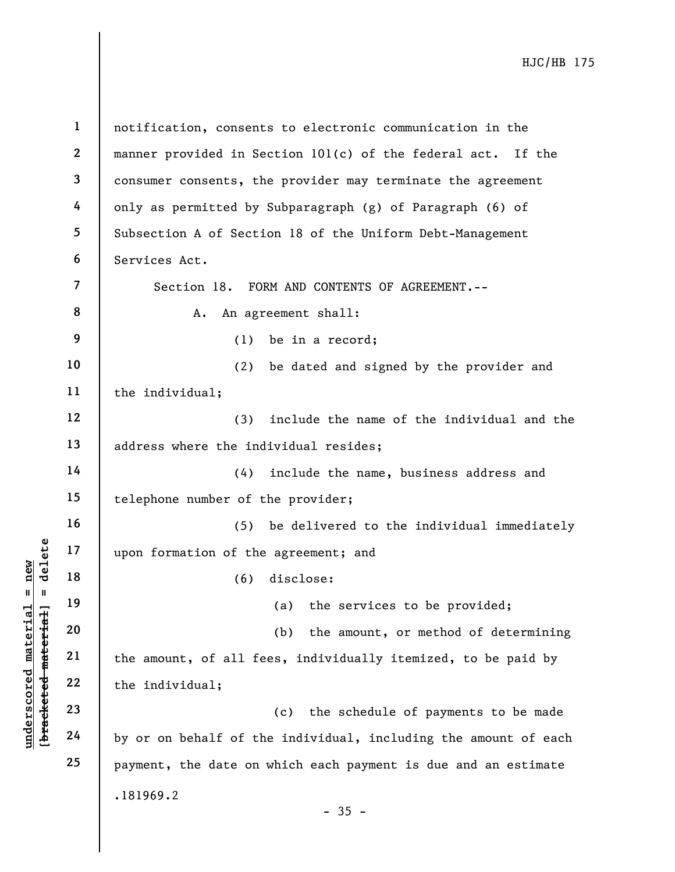**[bracketed material] = delete 1 2 3 4 5 6 7 8 9 10 11 12 13 14 15 16 17 18 19 20 21 22 23 24 25**  .181969.2 - 35 notification, consents to electronic communication in the manner provided in Section 101(c) of the federal act. If the consumer consents, the provider may terminate the agreement only as permitted by Subparagraph (g) of Paragraph (6) of Subsection A of Section 18 of the Uniform Debt-Management Services Act. Section 18. FORM AND CONTENTS OF AGREEMENT.-- A. An agreement shall: (1) be in a record; (2) be dated and signed by the provider and the individual; (3) include the name of the individual and the address where the individual resides; (4) include the name, business address and telephone number of the provider; (5) be delivered to the individual immediately upon formation of the agreement; and (6) disclose: (a) the services to be provided; (b) the amount, or method of determining the amount, of all fees, individually itemized, to be paid by the individual; (c) the schedule of payments to be made by or on behalf of the individual, including the amount of each payment, the date on which each payment is due and an estimate

**underscored material = new**

 $$  $anderscored material = new$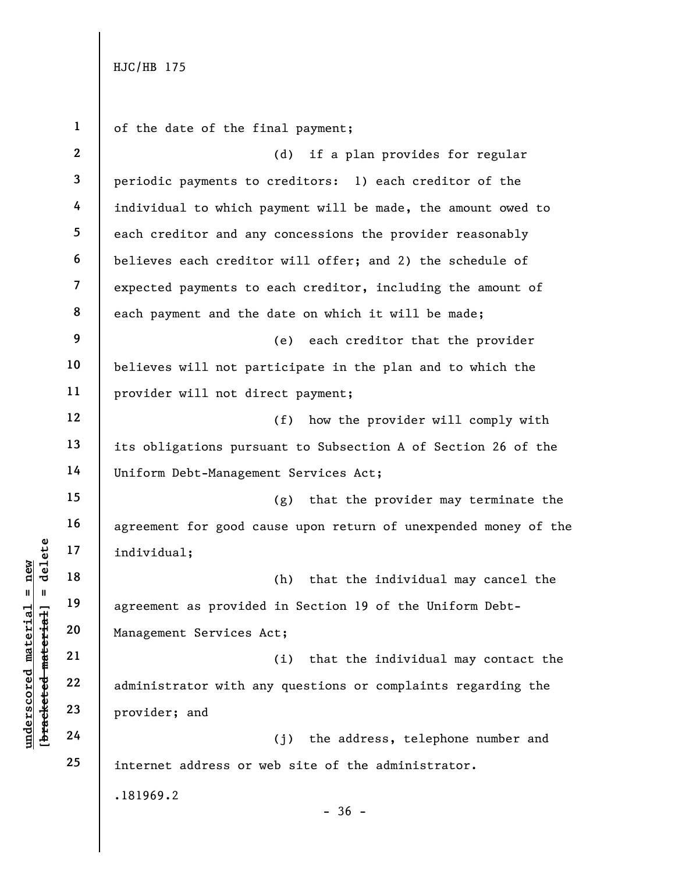**1 2 3 4 5 6 7 8 9 10 11 12 13 14 15 16 17 18 19 20 21 22 23 24 25**  .181969.2  $-36$ of the date of the final payment; (d) if a plan provides for regular periodic payments to creditors: 1) each creditor of the individual to which payment will be made, the amount owed to each creditor and any concessions the provider reasonably believes each creditor will offer; and 2) the schedule of expected payments to each creditor, including the amount of each payment and the date on which it will be made; (e) each creditor that the provider believes will not participate in the plan and to which the provider will not direct payment; (f) how the provider will comply with its obligations pursuant to Subsection A of Section 26 of the Uniform Debt-Management Services Act; (g) that the provider may terminate the agreement for good cause upon return of unexpended money of the individual; (h) that the individual may cancel the agreement as provided in Section 19 of the Uniform Debt-Management Services Act; (i) that the individual may contact the administrator with any questions or complaints regarding the provider; and (j) the address, telephone number and internet address or web site of the administrator.

 $b$ racketed material] = delete **[bracketed material] = delete**  $anderscored material = new$ **underscored material = new**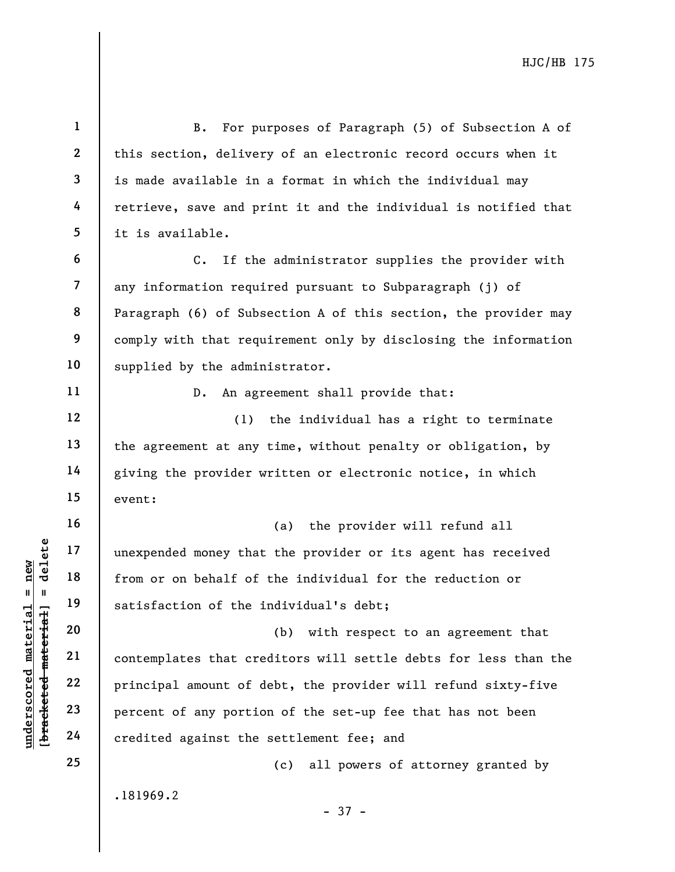**1 2 3 4 5 6 7 8 9 10 11 12 13 14 15 16 17 18 19 20 21 22 23 24 25**  .181969.2 - 37 - B. For purposes of Paragraph (5) of Subsection A of this section, delivery of an electronic record occurs when it is made available in a format in which the individual may retrieve, save and print it and the individual is notified that it is available. C. If the administrator supplies the provider with any information required pursuant to Subparagraph (j) of Paragraph (6) of Subsection A of this section, the provider may comply with that requirement only by disclosing the information supplied by the administrator. D. An agreement shall provide that: (1) the individual has a right to terminate the agreement at any time, without penalty or obligation, by giving the provider written or electronic notice, in which event: (a) the provider will refund all unexpended money that the provider or its agent has received from or on behalf of the individual for the reduction or satisfaction of the individual's debt; (b) with respect to an agreement that contemplates that creditors will settle debts for less than the principal amount of debt, the provider will refund sixty-five percent of any portion of the set-up fee that has not been credited against the settlement fee; and (c) all powers of attorney granted by

**underscored material = new [bracketed material] = delete**

 $$  $anderscored material = new$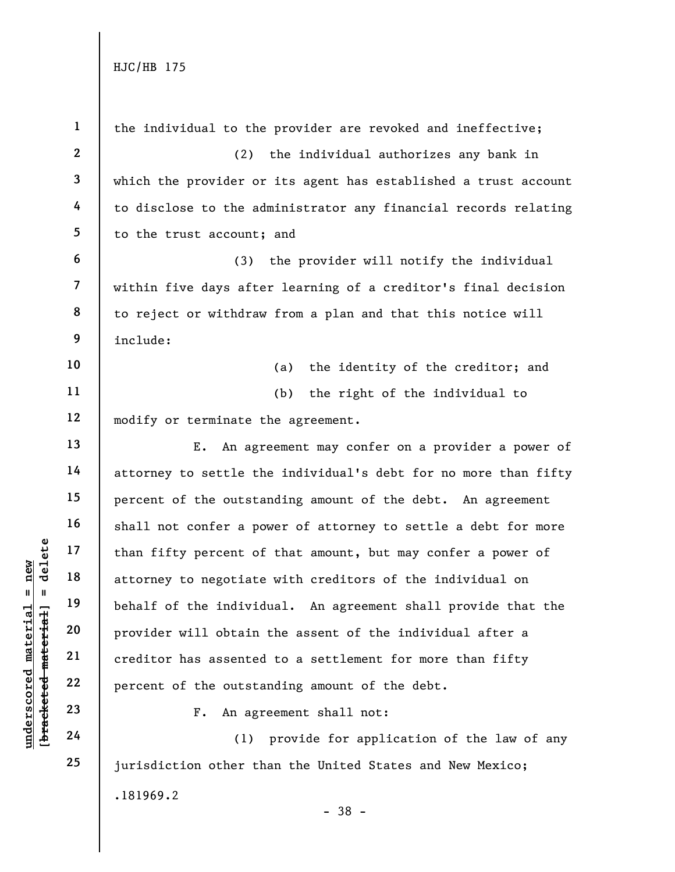| $\mathbf{1}$            | the individual to the provider are revoked and ineffective;     |
|-------------------------|-----------------------------------------------------------------|
| $\mathbf{2}$            | (2) the individual authorizes any bank in                       |
| $\mathbf{3}$            | which the provider or its agent has established a trust account |
| 4                       | to disclose to the administrator any financial records relating |
| 5                       | to the trust account; and                                       |
| 6                       | (3) the provider will notify the individual                     |
| $\overline{\mathbf{7}}$ | within five days after learning of a creditor's final decision  |
| 8                       | to reject or withdraw from a plan and that this notice will     |
| 9                       | include:                                                        |
| 10                      | (a) the identity of the creditor; and                           |
| 11                      | (b) the right of the individual to                              |
| 12                      | modify or terminate the agreement.                              |
| 13                      | E. An agreement may confer on a provider a power of             |
| 14                      | attorney to settle the individual's debt for no more than fifty |
| 15                      | percent of the outstanding amount of the debt. An agreement     |
| 16                      | shall not confer a power of attorney to settle a debt for more  |
| 17                      | than fifty percent of that amount, but may confer a power of    |
| 18                      | attorney to negotiate with creditors of the individual on       |
| 19                      | behalf of the individual. An agreement shall provide that the   |
| 20                      | provider will obtain the assent of the individual after a       |
| 21                      | creditor has assented to a settlement for more than fifty       |
| 22                      | percent of the outstanding amount of the debt.                  |
| 23                      | An agreement shall not:<br>$F$ .                                |
| 24                      | provide for application of the law of any<br>(1)                |
| 25                      | jurisdiction other than the United States and New Mexico;       |
|                         | .181969.2                                                       |

[bracketed material] = delete **[bracketed material] = delete**  $underscored material = new$ **underscored material = new**

- 38 -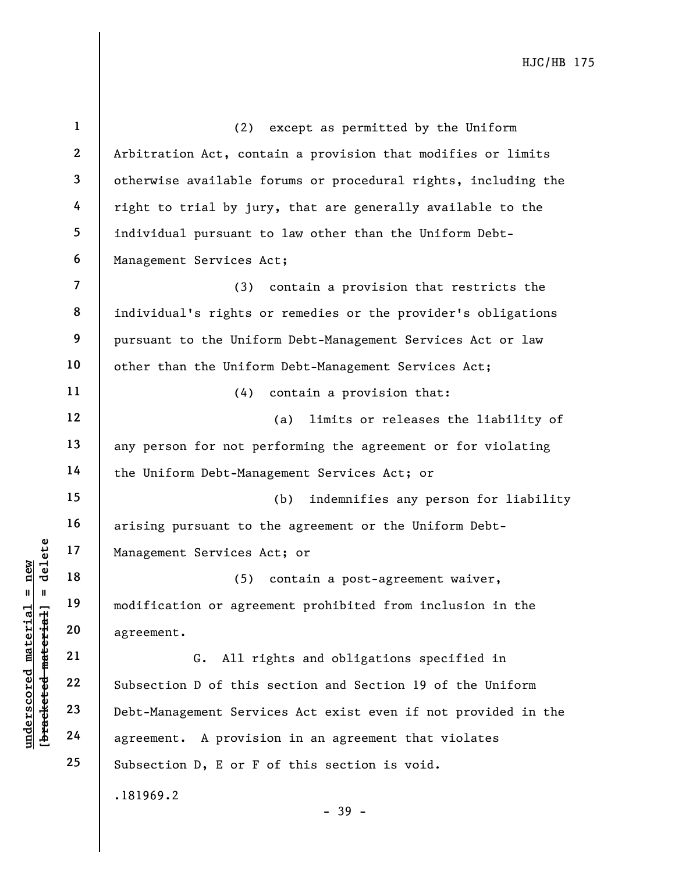**1 2 3 4 5 6 7 8 9 10 11 12 13 14 15 16 17 18 19 20 21 22 23 24 25**  .181969.2 (2) except as permitted by the Uniform Arbitration Act, contain a provision that modifies or limits otherwise available forums or procedural rights, including the right to trial by jury, that are generally available to the individual pursuant to law other than the Uniform Debt-Management Services Act; (3) contain a provision that restricts the individual's rights or remedies or the provider's obligations pursuant to the Uniform Debt-Management Services Act or law other than the Uniform Debt-Management Services Act; (4) contain a provision that: (a) limits or releases the liability of any person for not performing the agreement or for violating the Uniform Debt-Management Services Act; or (b) indemnifies any person for liability arising pursuant to the agreement or the Uniform Debt-Management Services Act; or (5) contain a post-agreement waiver, modification or agreement prohibited from inclusion in the agreement. G. All rights and obligations specified in Subsection D of this section and Section 19 of the Uniform Debt-Management Services Act exist even if not provided in the agreement. A provision in an agreement that violates Subsection D, E or F of this section is void.

- 39 -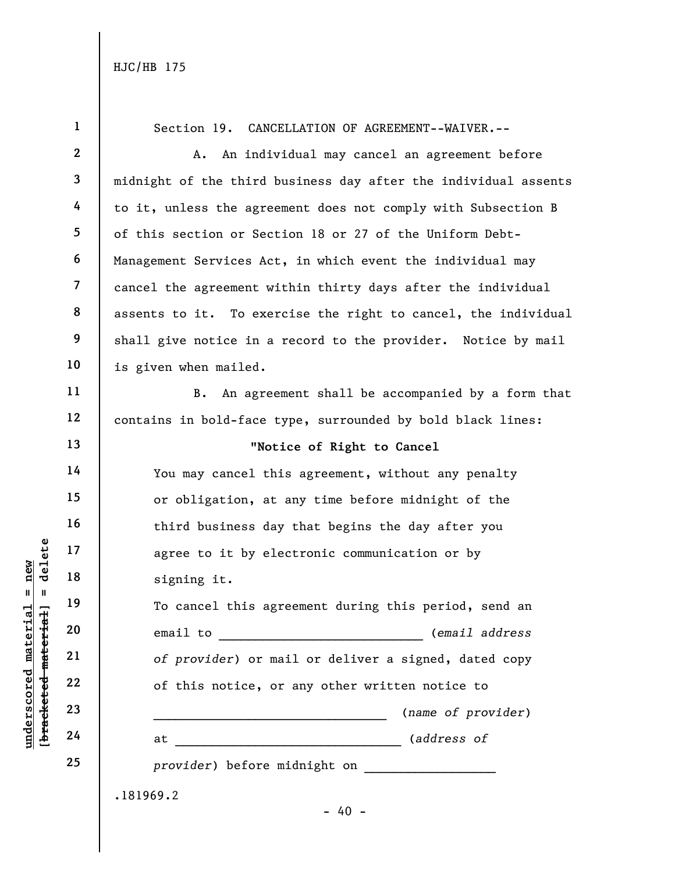**underscored material = new**

bracketed material]

 $underscored material = new$ 

delete

 $\mathbf{I}$ 

**[bracketed material] = delete 1 2 3 4 5 6 7 8 9 10 11 12 13 14 15 16 17 18 19 20 21 22 23 24 25**  .181969.2  $- 40 -$ Section 19. CANCELLATION OF AGREEMENT--WAIVER.-- A. An individual may cancel an agreement before midnight of the third business day after the individual assents to it, unless the agreement does not comply with Subsection B of this section or Section 18 or 27 of the Uniform Debt-Management Services Act, in which event the individual may cancel the agreement within thirty days after the individual assents to it. To exercise the right to cancel, the individual shall give notice in a record to the provider. Notice by mail is given when mailed. B. An agreement shall be accompanied by a form that contains in bold-face type, surrounded by bold black lines: "**Notice of Right to Cancel** You may cancel this agreement, without any penalty or obligation, at any time before midnight of the third business day that begins the day after you agree to it by electronic communication or by signing it. To cancel this agreement during this period, send an email to \_\_\_\_\_\_\_\_\_\_\_\_\_\_\_\_\_\_\_\_\_\_\_\_\_\_\_\_ (*email address of provider*) or mail or deliver a signed, dated copy of this notice, or any other written notice to \_\_\_\_\_\_\_\_\_\_\_\_\_\_\_\_\_\_\_\_\_\_\_\_\_\_\_\_\_\_\_\_ (*name of provider*) at \_\_\_\_\_\_\_\_\_\_\_\_\_\_\_\_\_\_\_\_\_\_\_\_\_\_\_\_\_\_\_ (*address of* provider) before midnight on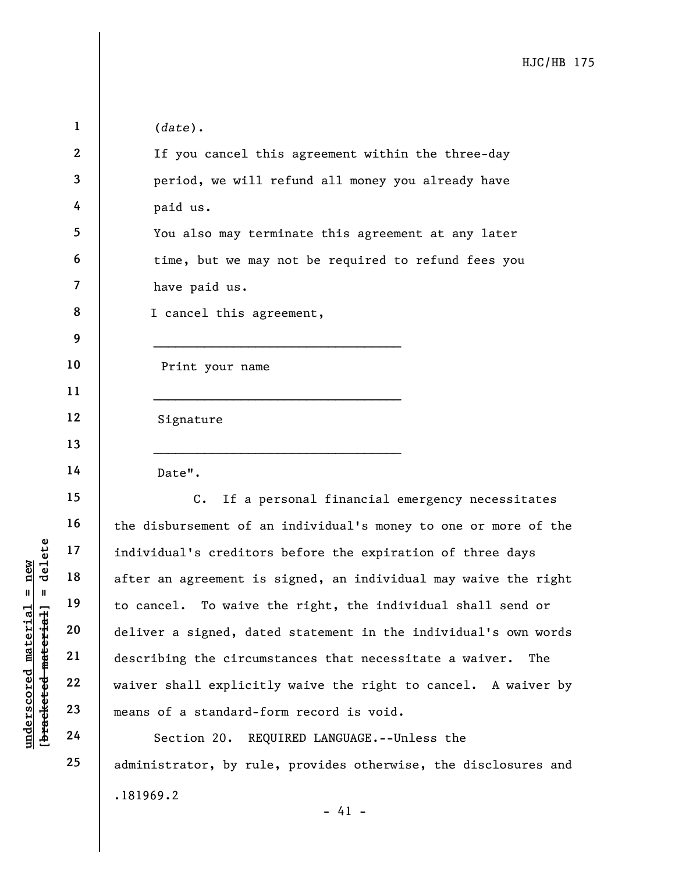| $\mathbf 1$      | $(data)$ .                                                      |
|------------------|-----------------------------------------------------------------|
| $\boldsymbol{2}$ | If you cancel this agreement within the three-day               |
| 3                | period, we will refund all money you already have               |
| 4                | paid us.                                                        |
| 5                | You also may terminate this agreement at any later              |
| 6                | time, but we may not be required to refund fees you             |
| 7                | have paid us.                                                   |
| 8                | I cancel this agreement,                                        |
| 9                |                                                                 |
| 10               | Print your name                                                 |
| 11               |                                                                 |
| 12               | Signature                                                       |
| 13               |                                                                 |
| 14               | Date".                                                          |
| 15               | If a personal financial emergency necessitates<br>$C$ .         |
| 16               | the disbursement of an individual's money to one or more of the |
| 17               | individual's creditors before the expiration of three days      |
| 18               | after an agreement is signed, an individual may waive the right |
| 19               | to cancel. To waive the right, the individual shall send or     |
| 20               | deliver a signed, dated statement in the individual's own words |
| 21               | describing the circumstances that necessitate a waiver.<br>The  |
| 22               | waiver shall explicitly waive the right to cancel. A waiver by  |
| 23               | means of a standard-form record is void.                        |
| 24               | Section 20. REOUIRED LANGUAGE.--Unless the                      |

.181969.2 - 41 - Section 20. REQUIRED LANGUAGE.--Unless the administrator, by rule, provides otherwise, the disclosures and

[bracketed material] = delete **[bracketed material] = delete**  $underscored material = new$ **underscored material = new**

**25**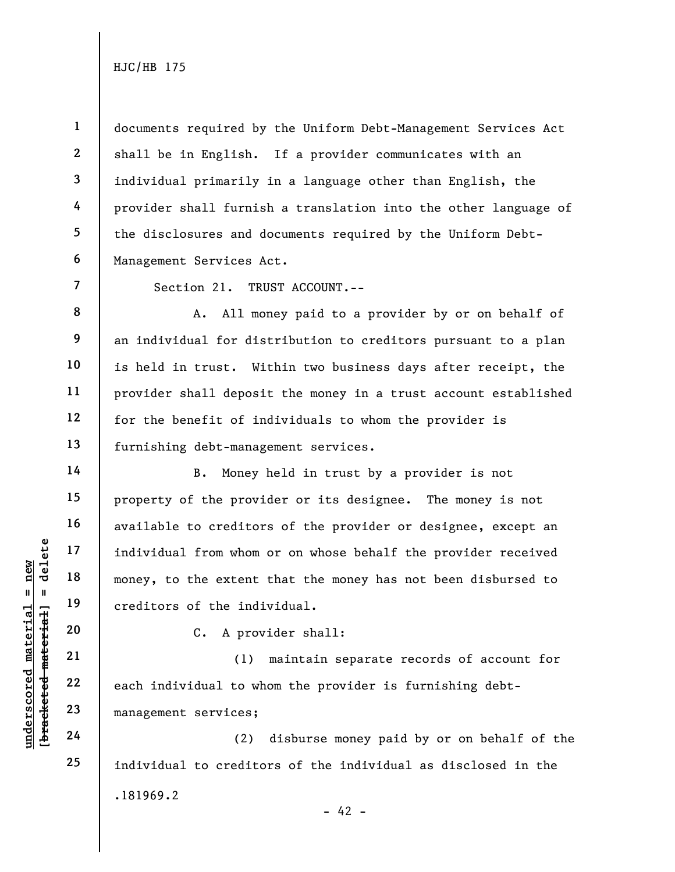**1** 

**4** 

**6** 

**7** 

**8** 

**9** 

**10** 

**11** 

**12** 

**13** 

**14** 

**15** 

**16** 

**17** 

**18** 

**19** 

**20** 

**21** 

**22** 

**23** 

**24** 

**25** 

**2 3 5**  documents required by the Uniform Debt-Management Services Act shall be in English. If a provider communicates with an individual primarily in a language other than English, the provider shall furnish a translation into the other language of the disclosures and documents required by the Uniform Debt-Management Services Act.

Section 21. TRUST ACCOUNT.--

A. All money paid to a provider by or on behalf of an individual for distribution to creditors pursuant to a plan is held in trust. Within two business days after receipt, the provider shall deposit the money in a trust account established for the benefit of individuals to whom the provider is furnishing debt-management services.

B. Money held in trust by a provider is not property of the provider or its designee. The money is not available to creditors of the provider or designee, except an individual from whom or on whose behalf the provider received money, to the extent that the money has not been disbursed to creditors of the individual.

C. A provider shall:

(1) maintain separate records of account for each individual to whom the provider is furnishing debtmanagement services;

.181969.2  $- 42 -$ (2) disburse money paid by or on behalf of the individual to creditors of the individual as disclosed in the

 $$ **[bracketed material] = delete** inderscored material = new **underscored material = new**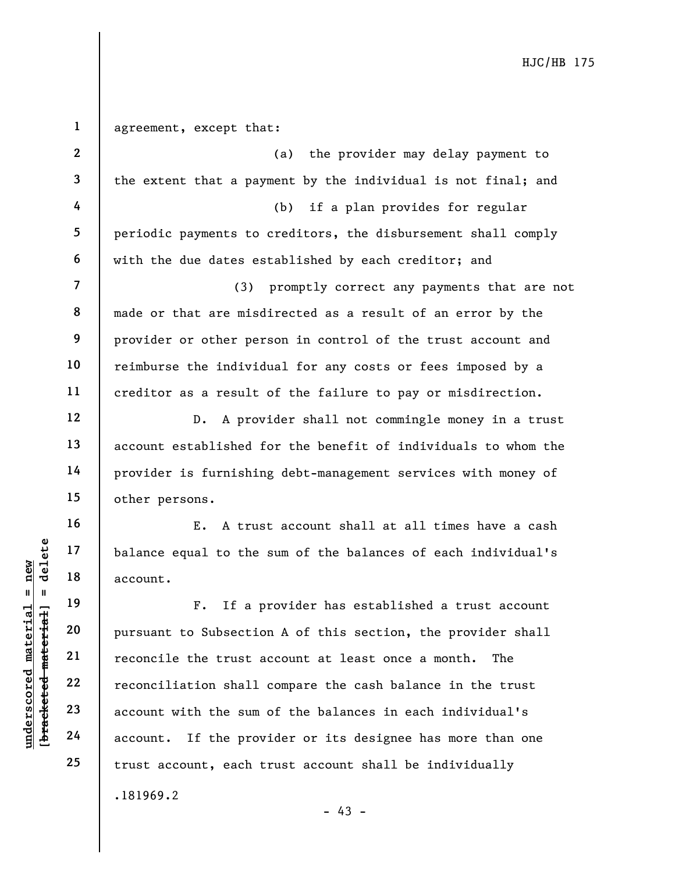| $\mathbf{1}$            | agreement, except that:                                        |
|-------------------------|----------------------------------------------------------------|
| $\mathbf{2}$            | (a) the provider may delay payment to                          |
| 3                       | the extent that a payment by the individual is not final; and  |
| 4                       | (b) if a plan provides for regular                             |
| 5                       | periodic payments to creditors, the disbursement shall comply  |
| 6                       | with the due dates established by each creditor; and           |
| $\overline{\mathbf{7}}$ | (3) promptly correct any payments that are not                 |
| 8                       | made or that are misdirected as a result of an error by the    |
| 9                       | provider or other person in control of the trust account and   |
| 10                      | reimburse the individual for any costs or fees imposed by a    |
| 11                      | creditor as a result of the failure to pay or misdirection.    |
| 12                      | D. A provider shall not commingle money in a trust             |
| 13                      | account established for the benefit of individuals to whom the |
| 14                      | provider is furnishing debt-management services with money of  |
| 15                      | other persons.                                                 |
| 16                      | E. A trust account shall at all times have a cash              |
| 17                      | balance equal to the sum of the balances of each individual's  |
| 18                      | account.                                                       |
| 19                      | If a provider has established a trust account<br>$F_{\bullet}$ |
| 20                      | pursuant to Subsection A of this section, the provider shall   |
| 21                      | reconcile the trust account at least once a month.<br>The      |
| 22                      | reconciliation shall compare the cash balance in the trust     |
| 23                      | account with the sum of the balances in each individual's      |
| 24                      | If the provider or its designee has more than one<br>account.  |
| 25                      | trust account, each trust account shall be individually        |
|                         | .181969.2                                                      |

**underscored material = new [bracketed material] = delete**

 $[$ bracketed material] = delete  $underscored material = new$ 

- 43 -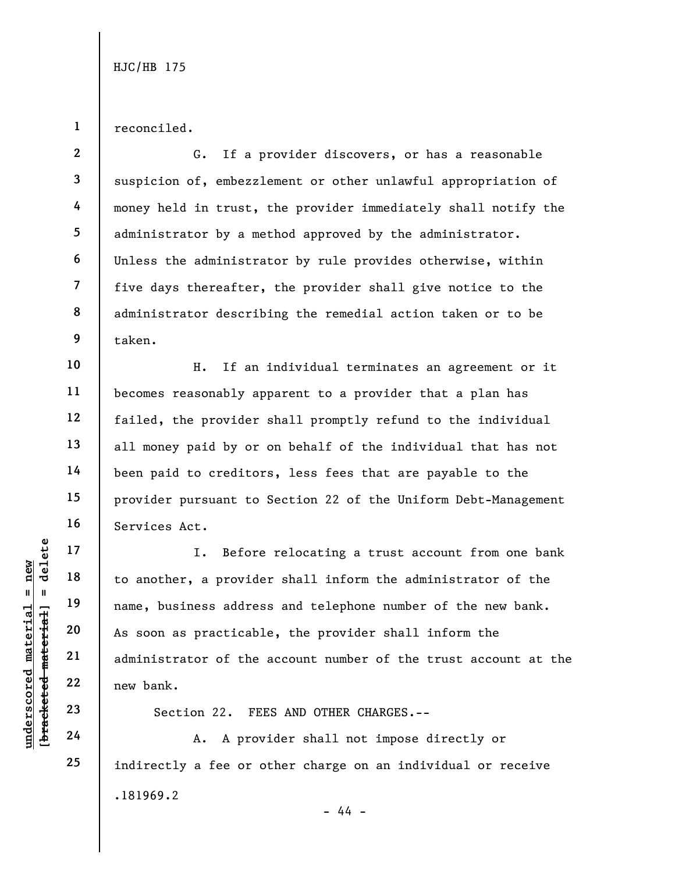reconciled.

**1** 

**10** 

**11** 

**12** 

**13** 

**14** 

**15** 

**16** 

**17** 

**18** 

**19** 

**20** 

**21** 

**22** 

**23** 

**24** 

**25** 

**2 3 4 5 6 7 8 9**  G. If a provider discovers, or has a reasonable suspicion of, embezzlement or other unlawful appropriation of money held in trust, the provider immediately shall notify the administrator by a method approved by the administrator. Unless the administrator by rule provides otherwise, within five days thereafter, the provider shall give notice to the administrator describing the remedial action taken or to be taken.

H. If an individual terminates an agreement or it becomes reasonably apparent to a provider that a plan has failed, the provider shall promptly refund to the individual all money paid by or on behalf of the individual that has not been paid to creditors, less fees that are payable to the provider pursuant to Section 22 of the Uniform Debt-Management Services Act.

I. Before relocating a trust account from one bank to another, a provider shall inform the administrator of the name, business address and telephone number of the new bank. As soon as practicable, the provider shall inform the administrator of the account number of the trust account at the new bank.

Section 22. FEES AND OTHER CHARGES.--

.181969.2 - 44 - A. A provider shall not impose directly or indirectly a fee or other charge on an individual or receive

 $$ **[bracketed material] = delete**  $anderscored material = new$ **underscored material = new**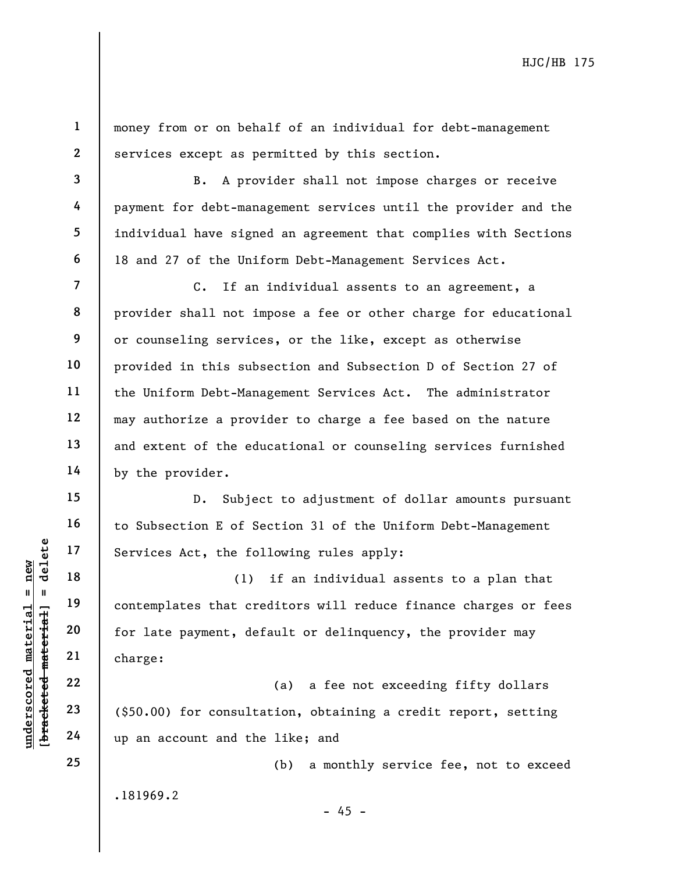**1 2** 

**3** 

**4** 

**5** 

**6** 

**7** 

**8** 

**9** 

**10** 

**11** 

**12** 

**13** 

**14** 

**15** 

**16** 

**17** 

**18** 

**19** 

**20** 

**21** 

**22** 

**23** 

**24** 

**25** 

money from or on behalf of an individual for debt-management services except as permitted by this section.

B. A provider shall not impose charges or receive payment for debt-management services until the provider and the individual have signed an agreement that complies with Sections 18 and 27 of the Uniform Debt-Management Services Act.

C. If an individual assents to an agreement, a provider shall not impose a fee or other charge for educational or counseling services, or the like, except as otherwise provided in this subsection and Subsection D of Section 27 of the Uniform Debt-Management Services Act. The administrator may authorize a provider to charge a fee based on the nature and extent of the educational or counseling services furnished by the provider.

D. Subject to adjustment of dollar amounts pursuant to Subsection E of Section 31 of the Uniform Debt-Management Services Act, the following rules apply:

(1) if an individual assents to a plan that contemplates that creditors will reduce finance charges or fees for late payment, default or delinquency, the provider may charge:

(a) a fee not exceeding fifty dollars (\$50.00) for consultation, obtaining a credit report, setting up an account and the like; and

(b) a monthly service fee, not to exceed

.181969.2

 $- 45 -$ 

 $b$ racketed material] = delete **[bracketed material] = delete**  $anderscored material = new$ **underscored material = new**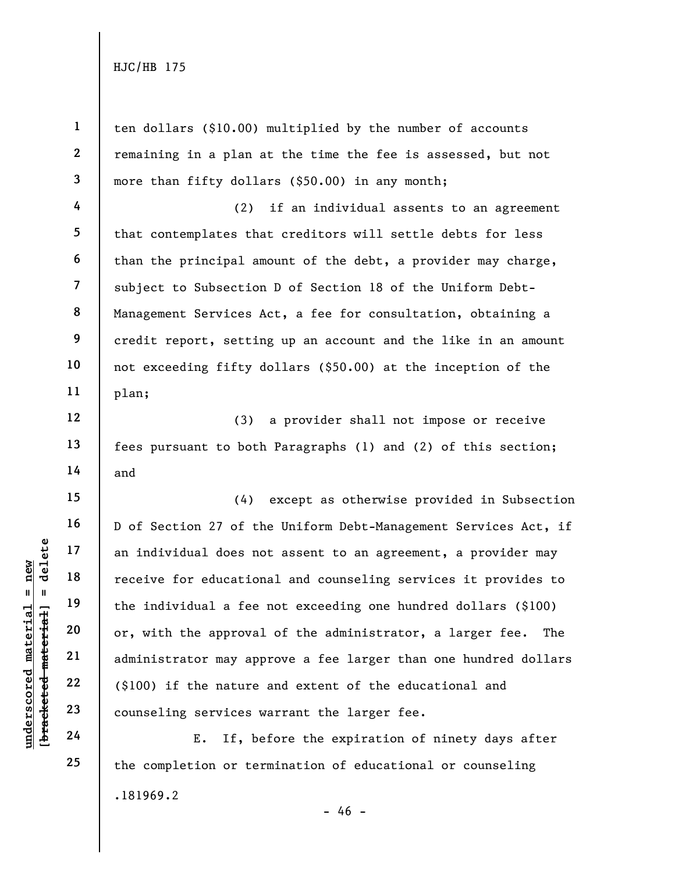**1 2 3 4 5 6 7 8 9 10 11 12 13 14 15 16 17 18 19 20 21 22 23 24**  ten dollars (\$10.00) multiplied by the number of accounts remaining in a plan at the time the fee is assessed, but not more than fifty dollars (\$50.00) in any month; (2) if an individual assents to an agreement that contemplates that creditors will settle debts for less than the principal amount of the debt, a provider may charge, subject to Subsection D of Section 18 of the Uniform Debt-Management Services Act, a fee for consultation, obtaining a credit report, setting up an account and the like in an amount not exceeding fifty dollars (\$50.00) at the inception of the plan; (3) a provider shall not impose or receive fees pursuant to both Paragraphs (1) and (2) of this section; and (4) except as otherwise provided in Subsection D of Section 27 of the Uniform Debt-Management Services Act, if an individual does not assent to an agreement, a provider may receive for educational and counseling services it provides to the individual a fee not exceeding one hundred dollars (\$100) or, with the approval of the administrator, a larger fee. The administrator may approve a fee larger than one hundred dollars (\$100) if the nature and extent of the educational and counseling services warrant the larger fee. E. If, before the expiration of ninety days after

.181969.2  $- 46$ the completion or termination of educational or counseling

 $$ **[bracketed material] = delete**  $anderscored material = new$ **underscored material = new**

**25**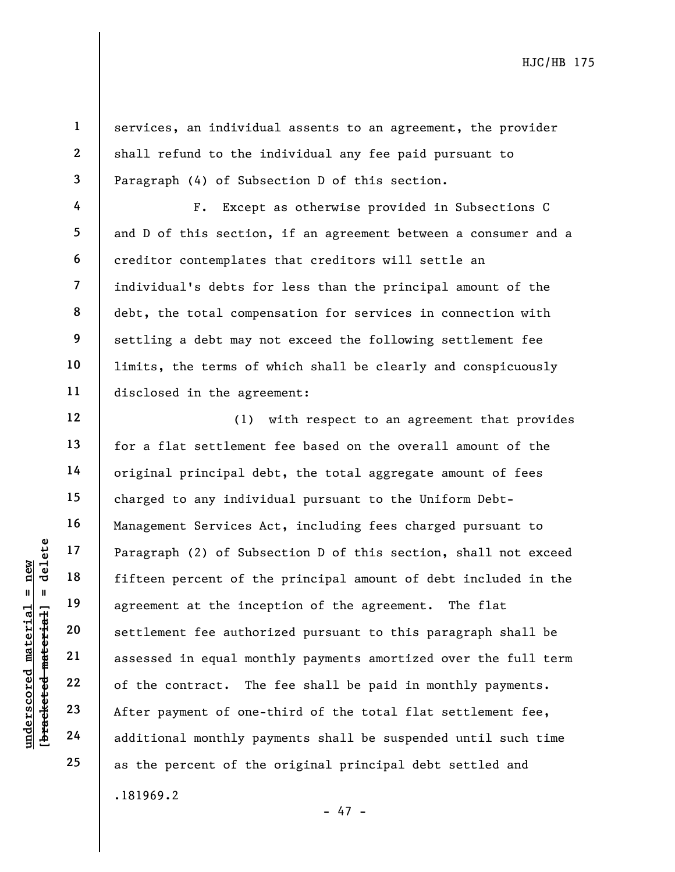**2 3** 

**4** 

**5** 

**6** 

**10** 

**11** 

**12** 

**13** 

**14** 

**15** 

**16** 

**17** 

**18** 

**19** 

**20** 

**21** 

**22** 

**23** 

**24** 

**25** 

**1** 

services, an individual assents to an agreement, the provider shall refund to the individual any fee paid pursuant to Paragraph (4) of Subsection D of this section.

**7 8 9**  F. Except as otherwise provided in Subsections C and D of this section, if an agreement between a consumer and a creditor contemplates that creditors will settle an individual's debts for less than the principal amount of the debt, the total compensation for services in connection with settling a debt may not exceed the following settlement fee limits, the terms of which shall be clearly and conspicuously disclosed in the agreement:

.181969.2 (1) with respect to an agreement that provides for a flat settlement fee based on the overall amount of the original principal debt, the total aggregate amount of fees charged to any individual pursuant to the Uniform Debt-Management Services Act, including fees charged pursuant to Paragraph (2) of Subsection D of this section, shall not exceed fifteen percent of the principal amount of debt included in the agreement at the inception of the agreement. The flat settlement fee authorized pursuant to this paragraph shall be assessed in equal monthly payments amortized over the full term of the contract. The fee shall be paid in monthly payments. After payment of one-third of the total flat settlement fee, additional monthly payments shall be suspended until such time as the percent of the original principal debt settled and

- 47 -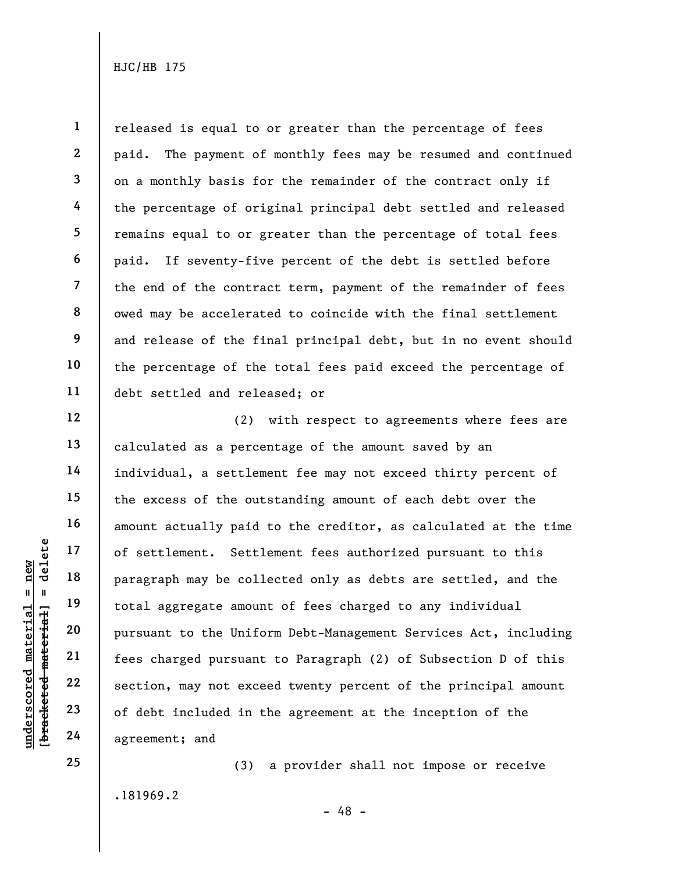**1** 

**underscored material = new**

 $anderscored material = new$ 

**25** 

released is equal to or greater than the percentage of fees paid. The payment of monthly fees may be resumed and continued on a monthly basis for the remainder of the contract only if the percentage of original principal debt settled and released remains equal to or greater than the percentage of total fees paid. If seventy-five percent of the debt is settled before the end of the contract term, payment of the remainder of fees owed may be accelerated to coincide with the final settlement and release of the final principal debt, but in no event should the percentage of the total fees paid exceed the percentage of debt settled and released; or

(2) with respect to agreements where fees are calculated as a percentage of the amount saved by an individual, a settlement fee may not exceed thirty percent of the excess of the outstanding amount of each debt over the amount actually paid to the creditor, as calculated at the time of settlement. Settlement fees authorized pursuant to this paragraph may be collected only as debts are settled, and the total aggregate amount of fees charged to any individual pursuant to the Uniform Debt-Management Services Act, including fees charged pursuant to Paragraph (2) of Subsection D of this section, may not exceed twenty percent of the principal amount of debt included in the agreement at the inception of the agreement; and

.181969.2

(3) a provider shall not impose or receive

- 48 -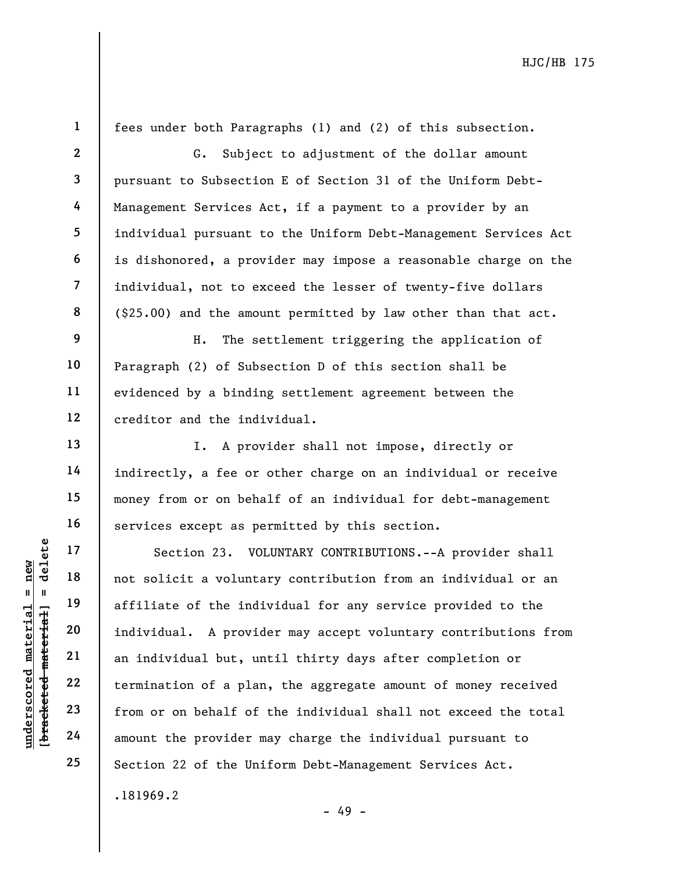**24** 

inderscored material = new

**25** 

**1** 

**2** 

fees under both Paragraphs (1) and (2) of this subsection.

G. Subject to adjustment of the dollar amount pursuant to Subsection E of Section 31 of the Uniform Debt-Management Services Act, if a payment to a provider by an individual pursuant to the Uniform Debt-Management Services Act is dishonored, a provider may impose a reasonable charge on the individual, not to exceed the lesser of twenty-five dollars (\$25.00) and the amount permitted by law other than that act.

H. The settlement triggering the application of Paragraph (2) of Subsection D of this section shall be evidenced by a binding settlement agreement between the creditor and the individual.

I. A provider shall not impose, directly or indirectly, a fee or other charge on an individual or receive money from or on behalf of an individual for debt-management services except as permitted by this section.

.181969.2 Section 23. VOLUNTARY CONTRIBUTIONS.--A provider shall not solicit a voluntary contribution from an individual or an affiliate of the individual for any service provided to the individual. A provider may accept voluntary contributions from an individual but, until thirty days after completion or termination of a plan, the aggregate amount of money received from or on behalf of the individual shall not exceed the total amount the provider may charge the individual pursuant to Section 22 of the Uniform Debt-Management Services Act.

- 49 -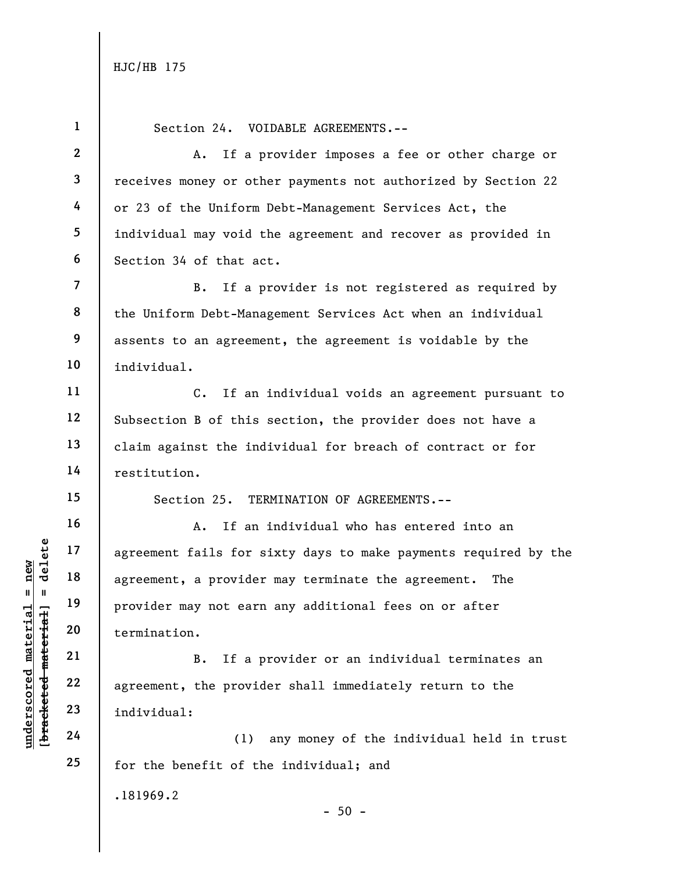**1** 

**2** 

**3** 

**4** 

**5** 

**6** 

**7** 

**8** 

**9** 

**underscored material = new**

 $b$ racketed material] = delete  $anderscored material = new$ 

Section 24. VOIDABLE AGREEMENTS.--

A. If a provider imposes a fee or other charge or receives money or other payments not authorized by Section 22 or 23 of the Uniform Debt-Management Services Act, the individual may void the agreement and recover as provided in Section 34 of that act.

B. If a provider is not registered as required by the Uniform Debt-Management Services Act when an individual assents to an agreement, the agreement is voidable by the individual.

C. If an individual voids an agreement pursuant to Subsection B of this section, the provider does not have a claim against the individual for breach of contract or for restitution.

**25** 

Section 25. TERMINATION OF AGREEMENTS.--

A. If an individual who has entered into an agreement fails for sixty days to make payments required by the agreement, a provider may terminate the agreement. The provider may not earn any additional fees on or after termination.

B. If a provider or an individual terminates an agreement, the provider shall immediately return to the individual:

(1) any money of the individual held in trust for the benefit of the individual; and

.181969.2

 $-50 -$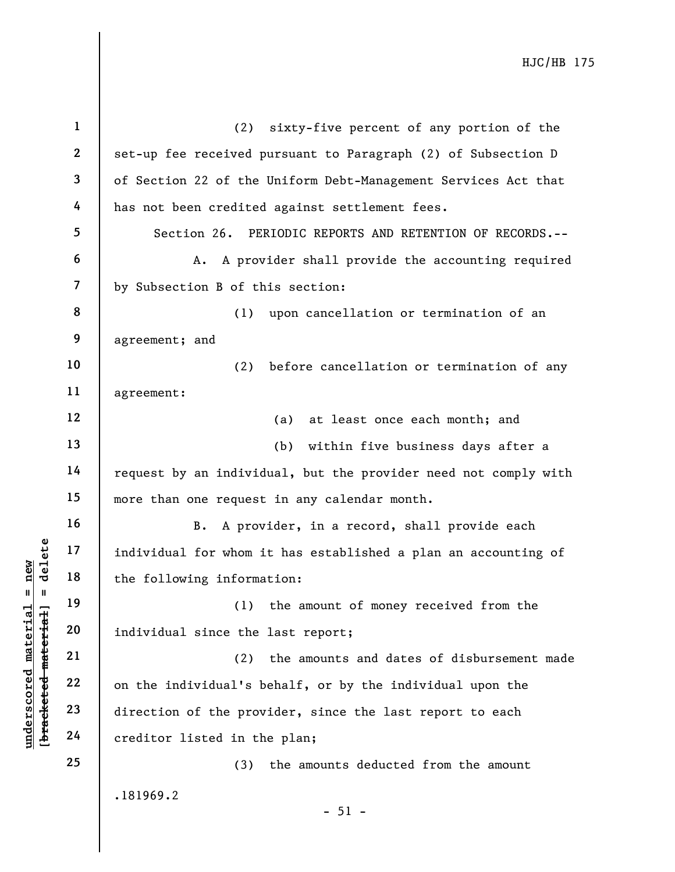| $\mathbf{1}$             | (2) sixty-five percent of any portion of the                    |
|--------------------------|-----------------------------------------------------------------|
| $\mathbf{2}$             | set-up fee received pursuant to Paragraph (2) of Subsection D   |
| 3                        | of Section 22 of the Uniform Debt-Management Services Act that  |
| 4                        | has not been credited against settlement fees.                  |
| 5                        | Section 26. PERIODIC REPORTS AND RETENTION OF RECORDS.--        |
| 6                        | A. A provider shall provide the accounting required             |
| $\overline{\mathcal{L}}$ | by Subsection B of this section:                                |
| 8                        | (1) upon cancellation or termination of an                      |
| 9                        | agreement; and                                                  |
| 10                       | (2)<br>before cancellation or termination of any                |
| 11                       | agreement:                                                      |
| 12                       | (a) at least once each month; and                               |
| 13                       | (b) within five business days after a                           |
| 14                       | request by an individual, but the provider need not comply with |
| 15                       | more than one request in any calendar month.                    |
| 16                       | B. A provider, in a record, shall provide each                  |
| 17                       | individual for whom it has established a plan an accounting of  |
| 18                       | the following information:                                      |
| 19                       | (1) the amount of money received from the                       |
| 20                       | individual since the last report;                               |
| 21                       | the amounts and dates of disbursement made<br>(2)               |
| 22                       | on the individual's behalf, or by the individual upon the       |
| 23                       | direction of the provider, since the last report to each        |
| 24                       | creditor listed in the plan;                                    |
| 25                       | the amounts deducted from the amount<br>(3)                     |
|                          | .181969.2<br>$-51 -$                                            |

**underscored material = new [bracketed material] = delete**

[bracketed material] = delete  $underscored material = new$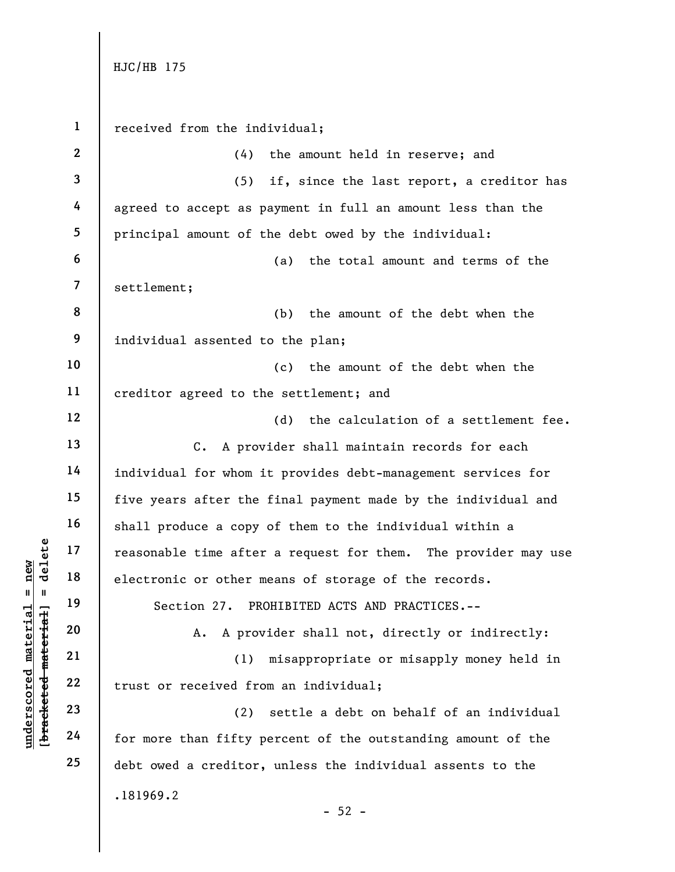**underscored material = new**

 $$ inderscored material = new

**[bracketed material] = delete 1 2 3 4 5 6 7 8 9 10 11 12 13 14 15 16 17 18 19 20 21 22 23 24 25**  .181969.2  $-52$ received from the individual; (4) the amount held in reserve; and (5) if, since the last report, a creditor has agreed to accept as payment in full an amount less than the principal amount of the debt owed by the individual: (a) the total amount and terms of the settlement; (b) the amount of the debt when the individual assented to the plan; (c) the amount of the debt when the creditor agreed to the settlement; and (d) the calculation of a settlement fee. C. A provider shall maintain records for each individual for whom it provides debt-management services for five years after the final payment made by the individual and shall produce a copy of them to the individual within a reasonable time after a request for them. The provider may use electronic or other means of storage of the records. Section 27. PROHIBITED ACTS AND PRACTICES.-- A. A provider shall not, directly or indirectly: (1) misappropriate or misapply money held in trust or received from an individual; (2) settle a debt on behalf of an individual for more than fifty percent of the outstanding amount of the debt owed a creditor, unless the individual assents to the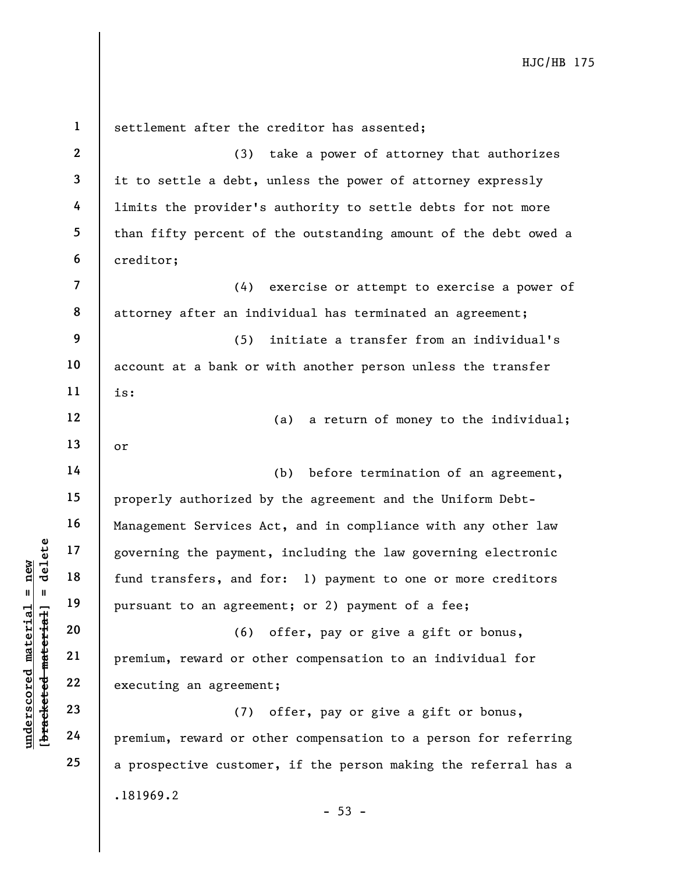**1 2 3 4 5 6 7 8 9 10 11 12 13 14 15 16 17 18 19 20 21 22 23 24 25**  .181969.2  $-53$ settlement after the creditor has assented; (3) take a power of attorney that authorizes it to settle a debt, unless the power of attorney expressly limits the provider's authority to settle debts for not more than fifty percent of the outstanding amount of the debt owed a creditor; (4) exercise or attempt to exercise a power of attorney after an individual has terminated an agreement; (5) initiate a transfer from an individual's account at a bank or with another person unless the transfer is: (a) a return of money to the individual; or (b) before termination of an agreement, properly authorized by the agreement and the Uniform Debt-Management Services Act, and in compliance with any other law governing the payment, including the law governing electronic fund transfers, and for: 1) payment to one or more creditors pursuant to an agreement; or 2) payment of a fee; (6) offer, pay or give a gift or bonus, premium, reward or other compensation to an individual for executing an agreement; (7) offer, pay or give a gift or bonus, premium, reward or other compensation to a person for referring a prospective customer, if the person making the referral has a

**underscored material = new [bracketed material] = delete**

 $$  $anderscored material = new$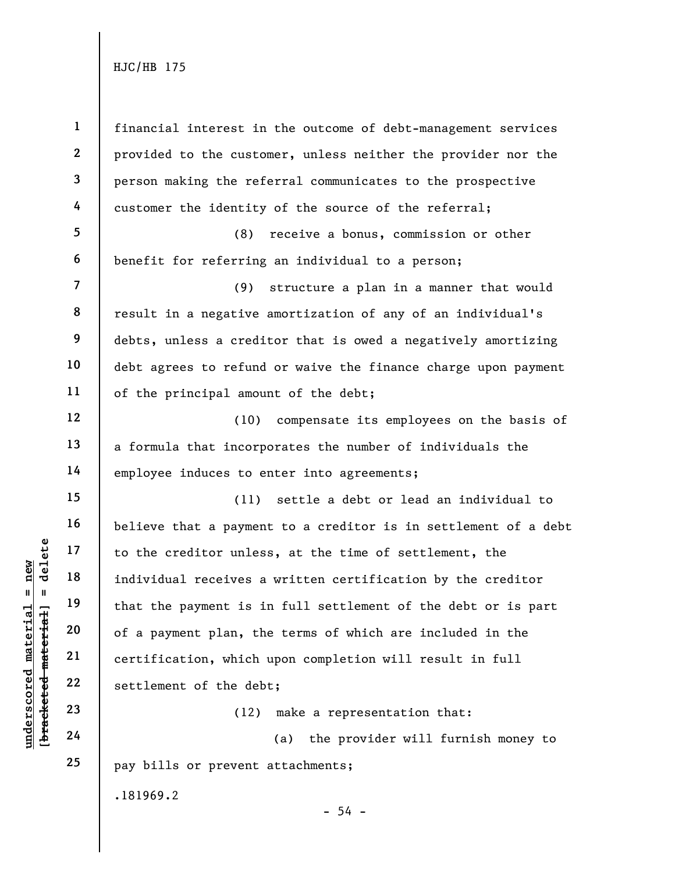**1 2 3 4 5 6 7 8 9 10 11 12 13 14 15 16 17 18 19 20 21 22 23 24 25**  .181969.2 financial interest in the outcome of debt-management services provided to the customer, unless neither the provider nor the person making the referral communicates to the prospective customer the identity of the source of the referral; (8) receive a bonus, commission or other benefit for referring an individual to a person; (9) structure a plan in a manner that would result in a negative amortization of any of an individual's debts, unless a creditor that is owed a negatively amortizing debt agrees to refund or waive the finance charge upon payment of the principal amount of the debt; (10) compensate its employees on the basis of a formula that incorporates the number of individuals the employee induces to enter into agreements; (11) settle a debt or lead an individual to believe that a payment to a creditor is in settlement of a debt to the creditor unless, at the time of settlement, the individual receives a written certification by the creditor that the payment is in full settlement of the debt or is part of a payment plan, the terms of which are included in the certification, which upon completion will result in full settlement of the debt; (12) make a representation that: (a) the provider will furnish money to pay bills or prevent attachments;

 $$ **[bracketed material] = delete underscored material = new**

inderscored material = new

 $-54 -$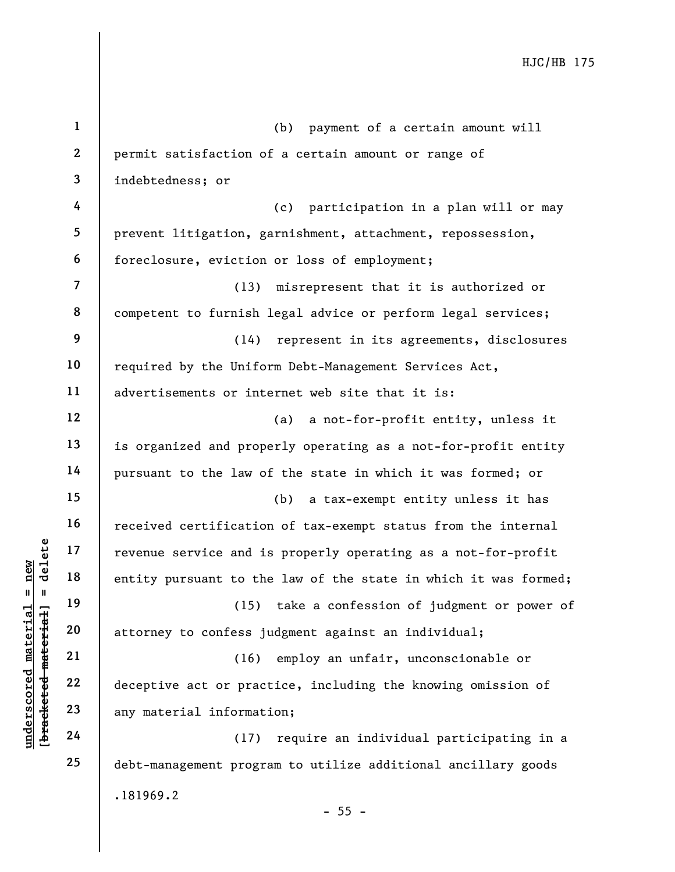**1 2 3 4 5 6 7 8 9 10 11 12 13 14 15 16 17 18 19 20 21 22 23 24 25**  .181969.2 (b) payment of a certain amount will permit satisfaction of a certain amount or range of indebtedness; or (c) participation in a plan will or may prevent litigation, garnishment, attachment, repossession, foreclosure, eviction or loss of employment; (13) misrepresent that it is authorized or competent to furnish legal advice or perform legal services; (14) represent in its agreements, disclosures required by the Uniform Debt-Management Services Act, advertisements or internet web site that it is: (a) a not-for-profit entity, unless it is organized and properly operating as a not-for-profit entity pursuant to the law of the state in which it was formed; or (b) a tax-exempt entity unless it has received certification of tax-exempt status from the internal revenue service and is properly operating as a not-for-profit entity pursuant to the law of the state in which it was formed; (15) take a confession of judgment or power of attorney to confess judgment against an individual; (16) employ an unfair, unconscionable or deceptive act or practice, including the knowing omission of any material information; (17) require an individual participating in a debt-management program to utilize additional ancillary goods

**underscored material = new [bracketed material] = delete**

 $$ inderscored material = new

 $- 55 -$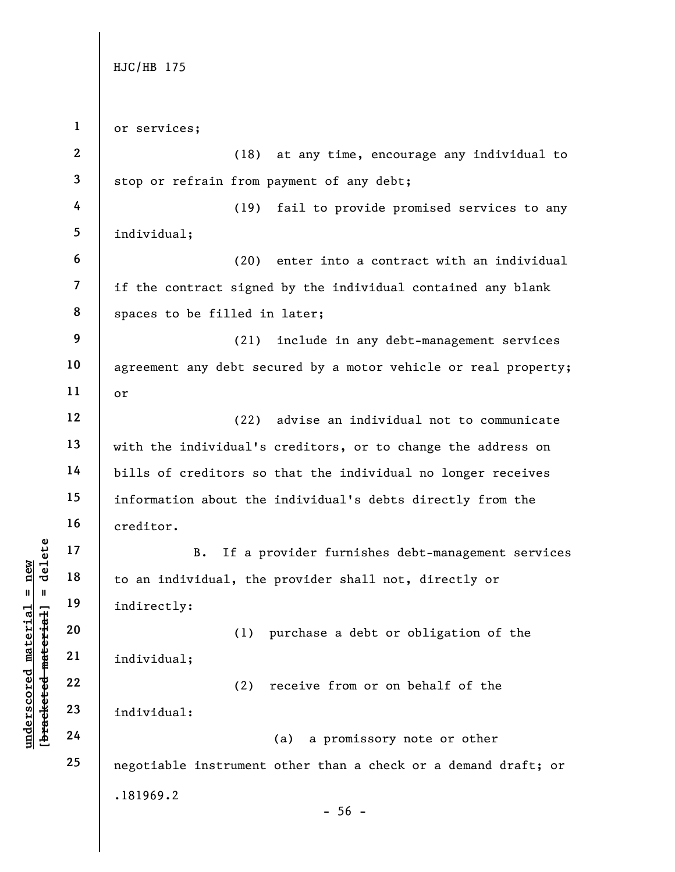**1 2 3 4 5 6 7 8 9 10 11 12 13 14 15 16 17 18 19 20 21 22 23 24 25**  .181969.2  $-56$ or services; (18) at any time, encourage any individual to stop or refrain from payment of any debt; (19) fail to provide promised services to any individual; (20) enter into a contract with an individual if the contract signed by the individual contained any blank spaces to be filled in later; (21) include in any debt-management services agreement any debt secured by a motor vehicle or real property; or (22) advise an individual not to communicate with the individual's creditors, or to change the address on bills of creditors so that the individual no longer receives information about the individual's debts directly from the creditor. B. If a provider furnishes debt-management services to an individual, the provider shall not, directly or indirectly: (1) purchase a debt or obligation of the individual; (2) receive from or on behalf of the individual: (a) a promissory note or other negotiable instrument other than a check or a demand draft; or

 $$ **[bracketed material] = delete**  $anderscored material = new$ **underscored material = new**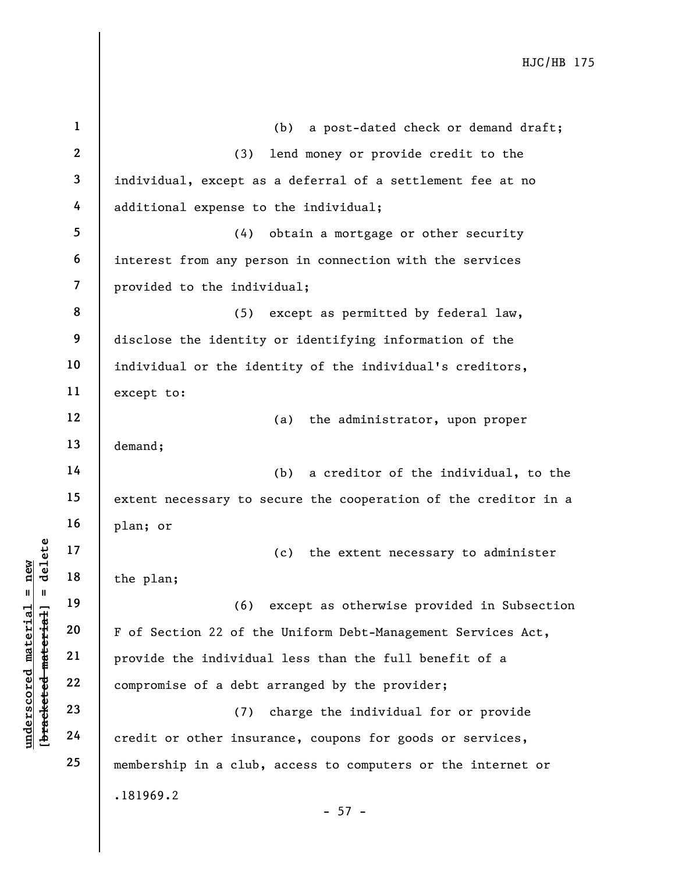| $\mathbf{1}$     | a post-dated check or demand draft;<br>(b)                      |
|------------------|-----------------------------------------------------------------|
| $\boldsymbol{2}$ | lend money or provide credit to the<br>(3)                      |
| 3                | individual, except as a deferral of a settlement fee at no      |
| 4                | additional expense to the individual;                           |
| 5                | obtain a mortgage or other security<br>(4)                      |
| 6                |                                                                 |
|                  | interest from any person in connection with the services        |
| $\overline{7}$   | provided to the individual;                                     |
| 8                | (5)<br>except as permitted by federal law,                      |
| 9                | disclose the identity or identifying information of the         |
| 10               | individual or the identity of the individual's creditors,       |
| 11               | except to:                                                      |
| 12               | the administrator, upon proper<br>(a)                           |
| 13               | demand;                                                         |
| 14               | a creditor of the individual, to the<br>(b)                     |
| 15               | extent necessary to secure the cooperation of the creditor in a |
| 16               | plan; or                                                        |
| 17               | the extent necessary to administer<br>(c)                       |
| 18               | the plan;                                                       |
| 19               | (6) except as otherwise provided in Subsection                  |
| 20               | F of Section 22 of the Uniform Debt-Management Services Act,    |
| 21               | provide the individual less than the full benefit of a          |
| 22               | compromise of a debt arranged by the provider;                  |
| 23               | (7) charge the individual for or provide                        |
| 24               | credit or other insurance, coupons for goods or services,       |
| 25               | membership in a club, access to computers or the internet or    |
|                  | .181969.2                                                       |
|                  | $-57 -$                                                         |

**underscored material = new [bracketed material] = delete**

[bracketed material] = delete  $underscored material = new$ 

 $\vert$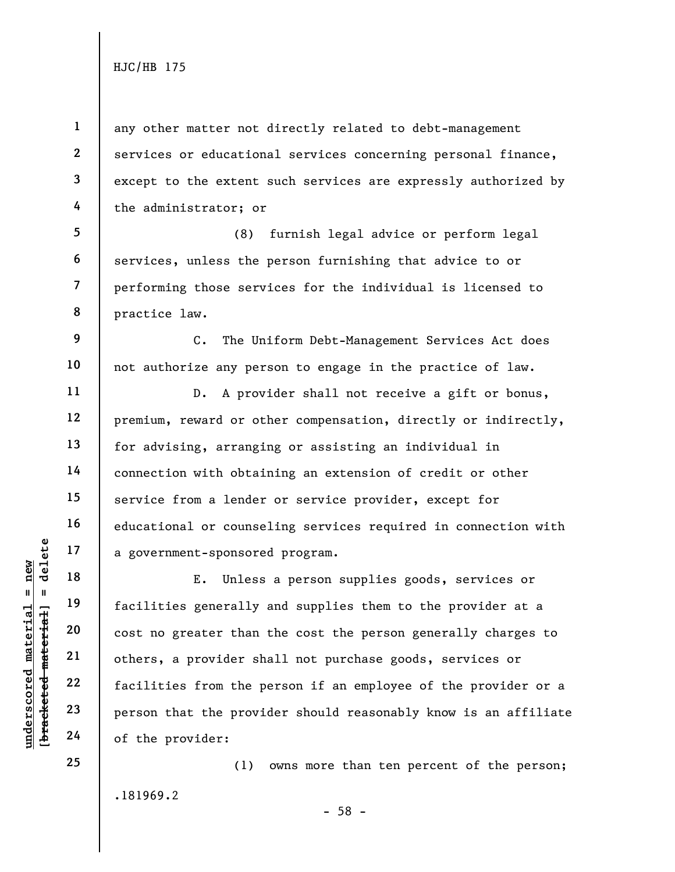**1** 

**2** 

**3** 

**4** 

**9** 

**underscored material = new**

 $anderscored material = new$ 

**24** 

**25** 

any other matter not directly related to debt-management services or educational services concerning personal finance, except to the extent such services are expressly authorized by the administrator; or

**5 6 7 8**  (8) furnish legal advice or perform legal services, unless the person furnishing that advice to or performing those services for the individual is licensed to practice law.

C. The Uniform Debt-Management Services Act does not authorize any person to engage in the practice of law.

D. A provider shall not receive a gift or bonus, premium, reward or other compensation, directly or indirectly, for advising, arranging or assisting an individual in connection with obtaining an extension of credit or other service from a lender or service provider, except for educational or counseling services required in connection with a government-sponsored program.

E. Unless a person supplies goods, services or facilities generally and supplies them to the provider at a cost no greater than the cost the person generally charges to others, a provider shall not purchase goods, services or facilities from the person if an employee of the provider or a person that the provider should reasonably know is an affiliate of the provider:

.181969.2 (1) owns more than ten percent of the person;

- 58 -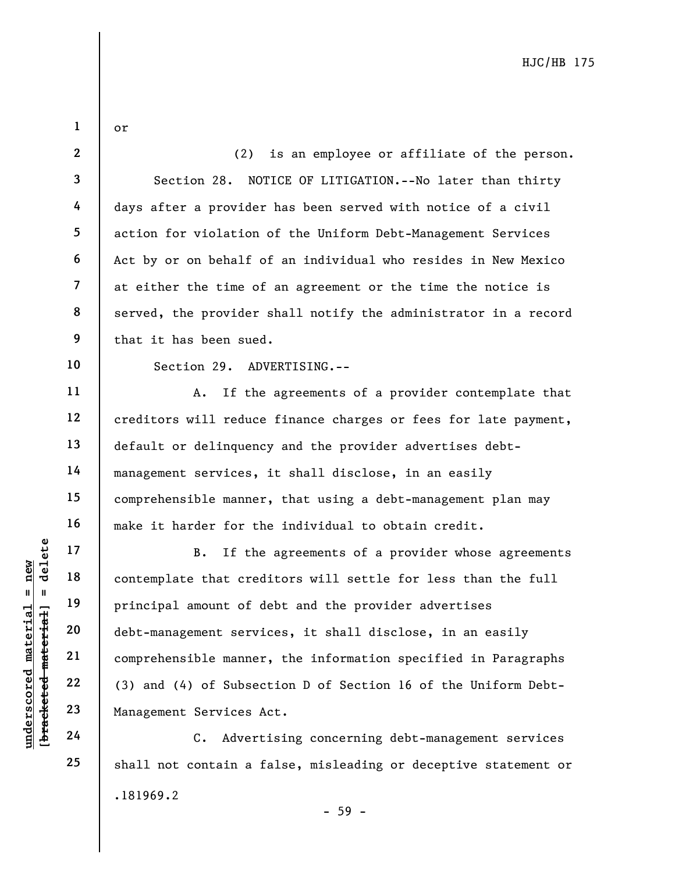**2 3 4 5 6 7 8 9 10 11 12 13 14 15 16 17 18 19**  (2) is an employee or affiliate of the person. Section 28. NOTICE OF LITIGATION.--No later than thirty days after a provider has been served with notice of a civil action for violation of the Uniform Debt-Management Services Act by or on behalf of an individual who resides in New Mexico at either the time of an agreement or the time the notice is served, the provider shall notify the administrator in a record that it has been sued. Section 29. ADVERTISING.-- A. If the agreements of a provider contemplate that creditors will reduce finance charges or fees for late payment, default or delinquency and the provider advertises debtmanagement services, it shall disclose, in an easily comprehensible manner, that using a debt-management plan may make it harder for the individual to obtain credit. B. If the agreements of a provider whose agreements contemplate that creditors will settle for less than the full principal amount of debt and the provider advertises

debt-management services, it shall disclose, in an easily comprehensible manner, the information specified in Paragraphs (3) and (4) of Subsection D of Section 16 of the Uniform Debt-Management Services Act.

.181969.2 - 59 - C. Advertising concerning debt-management services shall not contain a false, misleading or deceptive statement or

 $$ **[bracketed material] = delete** inderscored material = new **underscored material = new**

**20** 

**21** 

**22** 

**23** 

**24** 

**25** 

or

**1**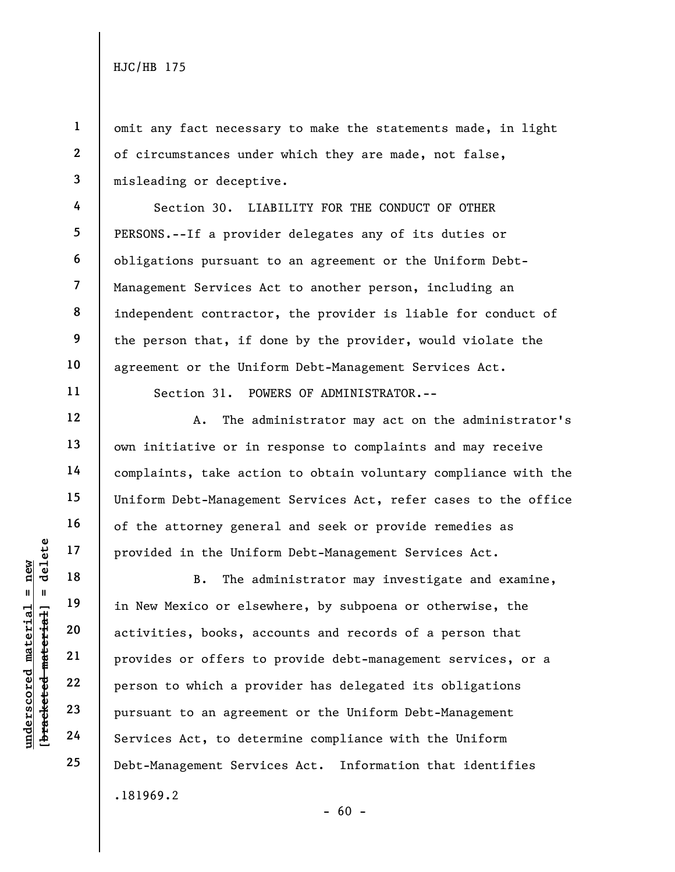**1** 

**2** 

**3** 

**4** 

**5** 

**6** 

**7** 

**8** 

**9** 

**10** 

**11** 

**12** 

**13** 

**14** 

**15** 

**16** 

**17** 

**18** 

**19** 

**20** 

**21** 

**22** 

**23** 

**24** 

**25** 

omit any fact necessary to make the statements made, in light of circumstances under which they are made, not false, misleading or deceptive.

Section 30. LIABILITY FOR THE CONDUCT OF OTHER PERSONS.--If a provider delegates any of its duties or obligations pursuant to an agreement or the Uniform Debt-Management Services Act to another person, including an independent contractor, the provider is liable for conduct of the person that, if done by the provider, would violate the agreement or the Uniform Debt-Management Services Act.

Section 31. POWERS OF ADMINISTRATOR.--

A. The administrator may act on the administrator's own initiative or in response to complaints and may receive complaints, take action to obtain voluntary compliance with the Uniform Debt-Management Services Act, refer cases to the office of the attorney general and seek or provide remedies as provided in the Uniform Debt-Management Services Act.

.181969.2  $- 60 -$ B. The administrator may investigate and examine, in New Mexico or elsewhere, by subpoena or otherwise, the activities, books, accounts and records of a person that provides or offers to provide debt-management services, or a person to which a provider has delegated its obligations pursuant to an agreement or the Uniform Debt-Management Services Act, to determine compliance with the Uniform Debt-Management Services Act. Information that identifies

 $$ **[bracketed material] = delete**  $anderscored material = new$ **underscored material = new**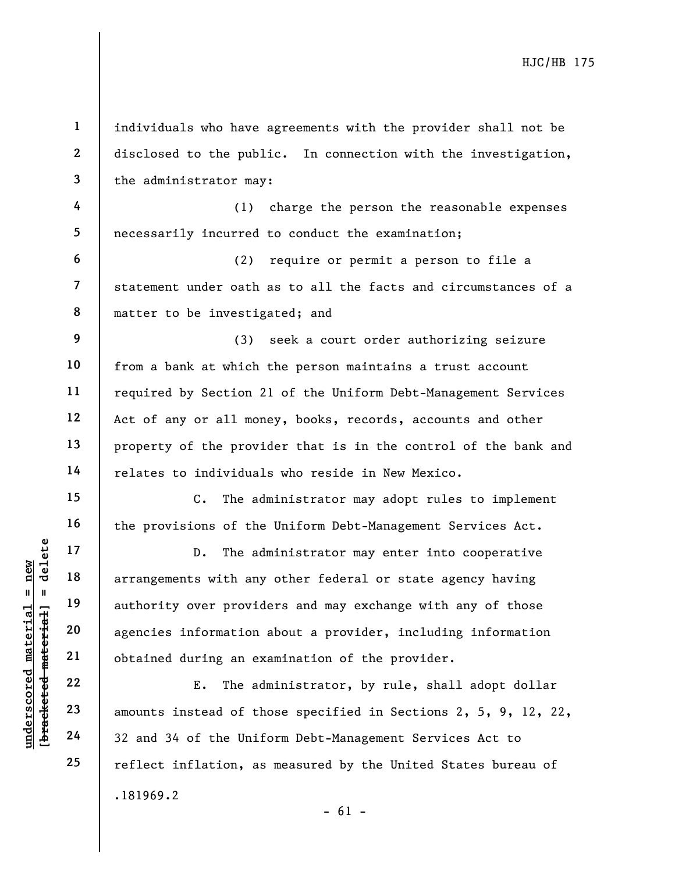**1 2 3**  individuals who have agreements with the provider shall not be disclosed to the public. In connection with the investigation, the administrator may:

**4 5**  (1) charge the person the reasonable expenses necessarily incurred to conduct the examination;

(2) require or permit a person to file a statement under oath as to all the facts and circumstances of a matter to be investigated; and

**9**  (3) seek a court order authorizing seizure from a bank at which the person maintains a trust account required by Section 21 of the Uniform Debt-Management Services Act of any or all money, books, records, accounts and other property of the provider that is in the control of the bank and relates to individuals who reside in New Mexico.

C. The administrator may adopt rules to implement the provisions of the Uniform Debt-Management Services Act.

D. The administrator may enter into cooperative arrangements with any other federal or state agency having authority over providers and may exchange with any of those agencies information about a provider, including information obtained during an examination of the provider.

.181969.2  $- 61 -$ E. The administrator, by rule, shall adopt dollar amounts instead of those specified in Sections 2, 5, 9, 12, 22, 32 and 34 of the Uniform Debt-Management Services Act to reflect inflation, as measured by the United States bureau of

 $$ **[bracketed material] = delete**  $anderscored material = new$ **underscored material = new**

**6** 

**7** 

**8** 

**10** 

**11** 

**12** 

**13** 

**14** 

**15** 

**16** 

**17** 

**18** 

**19** 

**20** 

**21** 

**22** 

**23** 

**24** 

**25**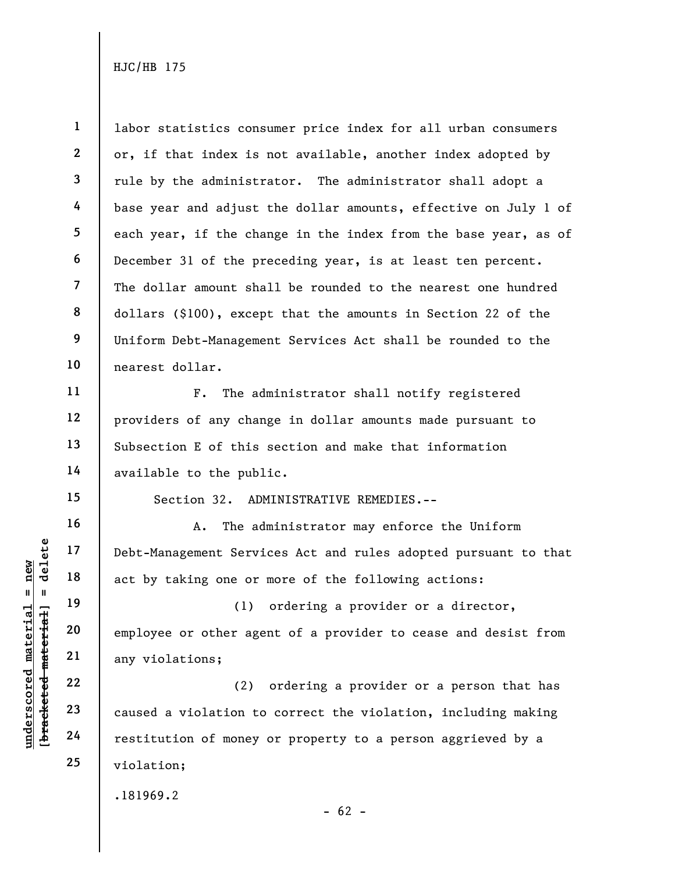**1** 

**underscored material = new**

 $anderscored material = new$ 

labor statistics consumer price index for all urban consumers or, if that index is not available, another index adopted by rule by the administrator. The administrator shall adopt a base year and adjust the dollar amounts, effective on July 1 of each year, if the change in the index from the base year, as of December 31 of the preceding year, is at least ten percent. The dollar amount shall be rounded to the nearest one hundred dollars (\$100), except that the amounts in Section 22 of the Uniform Debt-Management Services Act shall be rounded to the nearest dollar.

F. The administrator shall notify registered providers of any change in dollar amounts made pursuant to Subsection E of this section and make that information available to the public.

Section 32. ADMINISTRATIVE REMEDIES.--

A. The administrator may enforce the Uniform Debt-Management Services Act and rules adopted pursuant to that act by taking one or more of the following actions:

(1) ordering a provider or a director, employee or other agent of a provider to cease and desist from any violations;

(2) ordering a provider or a person that has caused a violation to correct the violation, including making restitution of money or property to a person aggrieved by a violation;

.181969.2

 $- 62 -$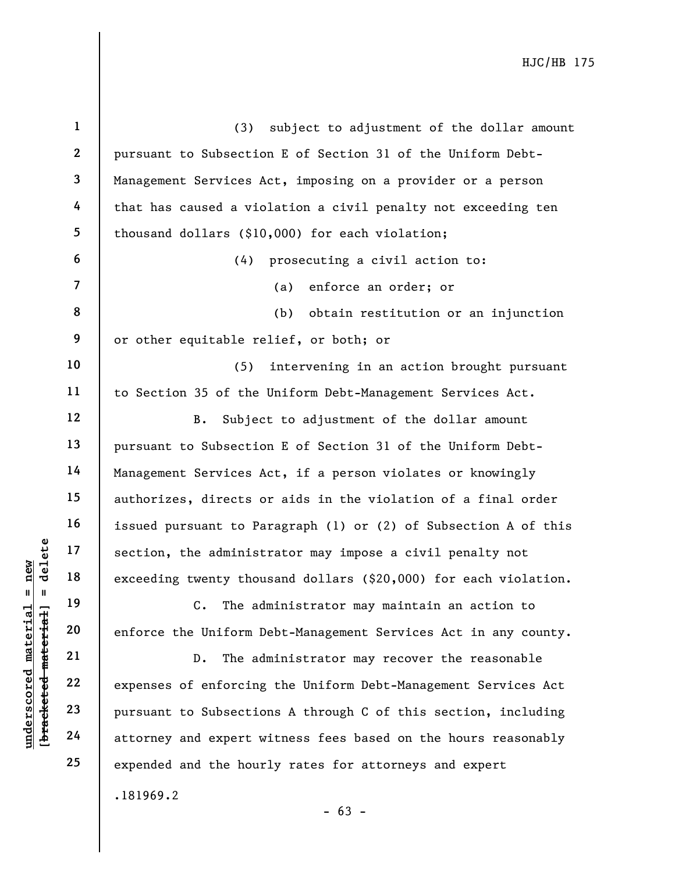| $\mathbf{1}$   | (3) subject to adjustment of the dollar amount                   |
|----------------|------------------------------------------------------------------|
| $\mathbf{2}$   | pursuant to Subsection E of Section 31 of the Uniform Debt-      |
| $\mathbf{3}$   | Management Services Act, imposing on a provider or a person      |
| 4              | that has caused a violation a civil penalty not exceeding ten    |
| 5              | thousand dollars (\$10,000) for each violation;                  |
| 6              | (4) prosecuting a civil action to:                               |
| $\overline{7}$ | (a) enforce an order; or                                         |
| 8              | (b)<br>obtain restitution or an injunction                       |
| 9              | or other equitable relief, or both; or                           |
| 10             | (5)<br>intervening in an action brought pursuant                 |
| 11             | to Section 35 of the Uniform Debt-Management Services Act.       |
| 12             | Subject to adjustment of the dollar amount<br>$B$ .              |
| 13             | pursuant to Subsection E of Section 31 of the Uniform Debt-      |
| 14             | Management Services Act, if a person violates or knowingly       |
| 15             | authorizes, directs or aids in the violation of a final order    |
| 16             | issued pursuant to Paragraph (1) or (2) of Subsection A of this  |
| 17             | section, the administrator may impose a civil penalty not        |
| 18             | exceeding twenty thousand dollars (\$20,000) for each violation. |
| 19             | The administrator may maintain an action to<br>$\mathsf{C}$ .    |
| 20             | enforce the Uniform Debt-Management Services Act in any county.  |
| 21             | The administrator may recover the reasonable<br>$D$ .            |
| 22             | expenses of enforcing the Uniform Debt-Management Services Act   |
| 23             | pursuant to Subsections A through C of this section, including   |
| 24             | attorney and expert witness fees based on the hours reasonably   |
| 25             | expended and the hourly rates for attorneys and expert           |
|                | .181969.2                                                        |

- 63 -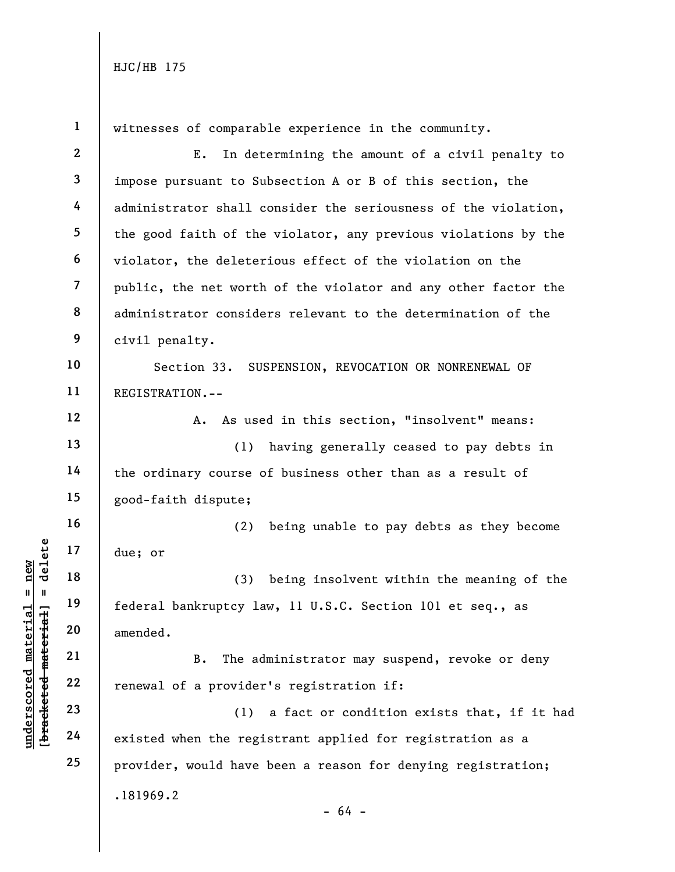**underscored material = new**

 $anderscored material = new$ 

**1**  witnesses of comparable experience in the community. **2**  E. In determining the amount of a civil penalty to **3**  impose pursuant to Subsection A or B of this section, the **4**  administrator shall consider the seriousness of the violation, **5**  the good faith of the violator, any previous violations by the **6**  violator, the deleterious effect of the violation on the **7**  public, the net worth of the violator and any other factor the **8**  administrator considers relevant to the determination of the **9**  civil penalty. **10**  Section 33. SUSPENSION, REVOCATION OR NONRENEWAL OF **11**  REGISTRATION.-- **12**  A. As used in this section, "insolvent" means: **13**  (1) having generally ceased to pay debts in **14**  the ordinary course of business other than as a result of **15**  good-faith dispute; **16**  (2) being unable to pay debts as they become  $b$ racketed material] = delete **[bracketed material] = delete 17**  due; or **18**  (3) being insolvent within the meaning of the **19**  federal bankruptcy law, 11 U.S.C. Section 101 et seq., as **20**  amended. **21**  B. The administrator may suspend, revoke or deny **22**  renewal of a provider's registration if: **23**  (1) a fact or condition exists that, if it had **24**  existed when the registrant applied for registration as a **25**  provider, would have been a reason for denying registration;.181969.2 - 64 -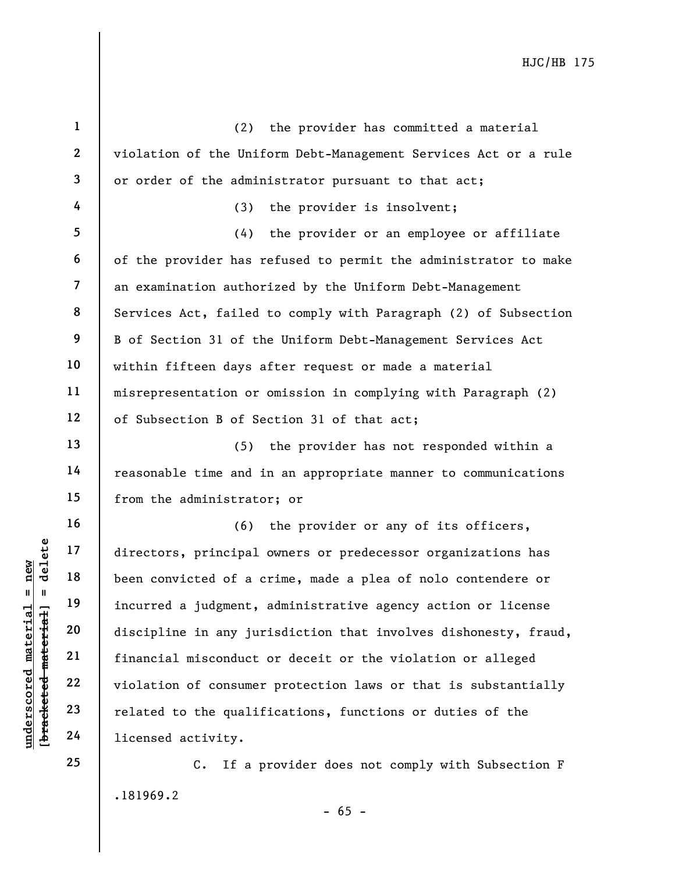| $\mathbf{1}$   | (2) the provider has committed a material                       |
|----------------|-----------------------------------------------------------------|
| $\mathbf{2}$   | violation of the Uniform Debt-Management Services Act or a rule |
| $\mathbf{3}$   | or order of the administrator pursuant to that act;             |
| 4              | (3) the provider is insolvent;                                  |
| 5              | (4) the provider or an employee or affiliate                    |
| 6              | of the provider has refused to permit the administrator to make |
| $\overline{7}$ | an examination authorized by the Uniform Debt-Management        |
| 8              | Services Act, failed to comply with Paragraph (2) of Subsection |
| 9              | B of Section 31 of the Uniform Debt-Management Services Act     |
| 10             | within fifteen days after request or made a material            |
| 11             | misrepresentation or omission in complying with Paragraph (2)   |
| 12             | of Subsection B of Section 31 of that act;                      |
| 13             | (5) the provider has not responded within a                     |
| 14             | reasonable time and in an appropriate manner to communications  |
| 15             | from the administrator; or                                      |
| 16             | (6) the provider or any of its officers,                        |
| 17             | directors, principal owners or predecessor organizations has    |
| 18             | been convicted of a crime, made a plea of nolo contendere or    |
| 19             | incurred a judgment, administrative agency action or license    |
| 20             | discipline in any jurisdiction that involves dishonesty, fraud, |
| 21             | financial misconduct or deceit or the violation or alleged      |
| 22             | violation of consumer protection laws or that is substantially  |
| 23             | related to the qualifications, functions or duties of the       |
| 24             | licensed activity.                                              |
| 25             | C. If a provider does not comply with Subsection F              |

.181969.2 C. If a provider does not comply with Subsection F

**underscored material = new [bracketed material] = delete**

[bracketed material] = delete  $underscored material = new$ 

- 65 -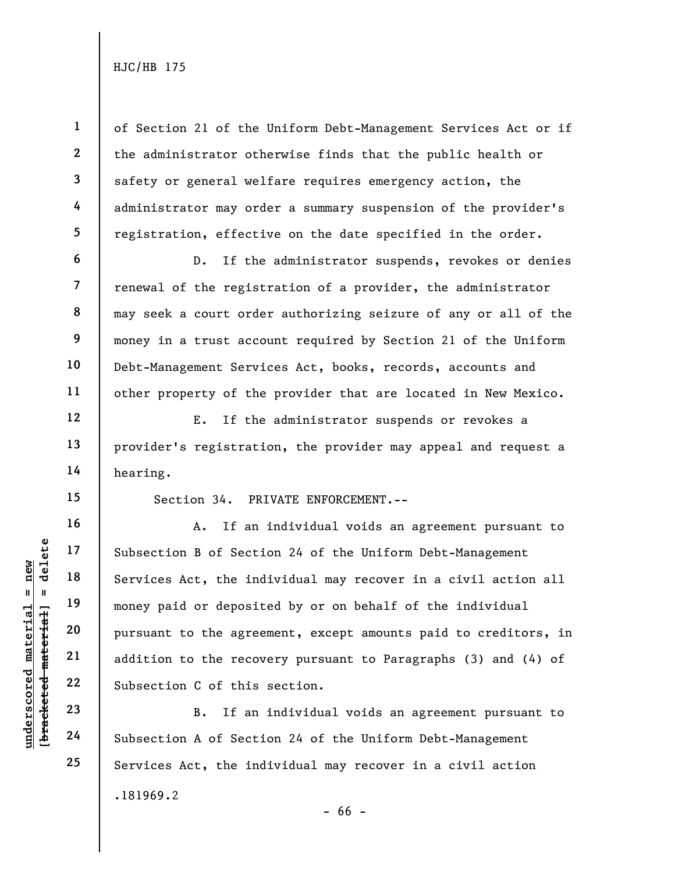of Section 21 of the Uniform Debt-Management Services Act or if the administrator otherwise finds that the public health or safety or general welfare requires emergency action, the administrator may order a summary suspension of the provider's registration, effective on the date specified in the order.

D. If the administrator suspends, revokes or denies renewal of the registration of a provider, the administrator may seek a court order authorizing seizure of any or all of the money in a trust account required by Section 21 of the Uniform Debt-Management Services Act, books, records, accounts and other property of the provider that are located in New Mexico.

E. If the administrator suspends or revokes a provider's registration, the provider may appeal and request a hearing.

**15** 

**1** 

**2** 

**3** 

**4** 

**5** 

**6** 

**7** 

**8** 

**9** 

**10** 

**11** 

**12** 

**13** 

**14** 

**16** 

**17** 

**18** 

**19** 

**20** 

**21** 

**22** 

**23** 

**24** 

**25** 

Section 34. PRIVATE ENFORCEMENT.--

A. If an individual voids an agreement pursuant to Subsection B of Section 24 of the Uniform Debt-Management Services Act, the individual may recover in a civil action all money paid or deposited by or on behalf of the individual pursuant to the agreement, except amounts paid to creditors, in addition to the recovery pursuant to Paragraphs (3) and (4) of Subsection C of this section.

.181969.2 - 66 - B. If an individual voids an agreement pursuant to Subsection A of Section 24 of the Uniform Debt-Management Services Act, the individual may recover in a civil action

 $$ **[bracketed material] = delete**  $anderscored material = new$ **underscored material = new**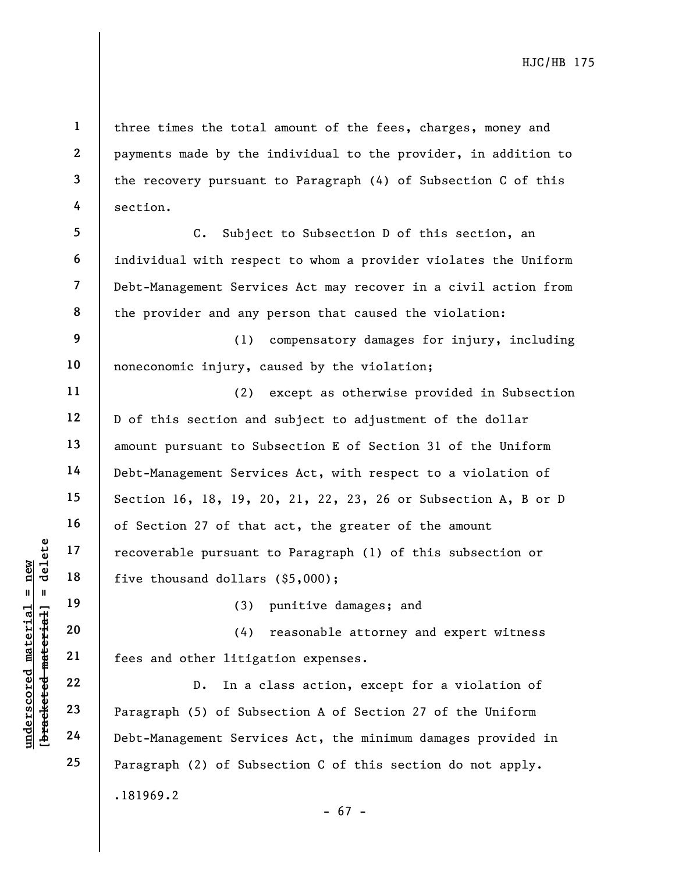three times the total amount of the fees, charges, money and payments made by the individual to the provider, in addition to the recovery pursuant to Paragraph (4) of Subsection C of this section.

**7 8**  C. Subject to Subsection D of this section, an individual with respect to whom a provider violates the Uniform Debt-Management Services Act may recover in a civil action from the provider and any person that caused the violation:

**9 10**  (1) compensatory damages for injury, including noneconomic injury, caused by the violation;

(2) except as otherwise provided in Subsection D of this section and subject to adjustment of the dollar amount pursuant to Subsection E of Section 31 of the Uniform Debt-Management Services Act, with respect to a violation of Section 16, 18, 19, 20, 21, 22, 23, 26 or Subsection A, B or D of Section 27 of that act, the greater of the amount recoverable pursuant to Paragraph (1) of this subsection or five thousand dollars (\$5,000);

(3) punitive damages; and

(4) reasonable attorney and expert witness fees and other litigation expenses.

.181969.2 - 67 - D. In a class action, except for a violation of Paragraph (5) of Subsection A of Section 27 of the Uniform Debt-Management Services Act, the minimum damages provided in Paragraph (2) of Subsection C of this section do not apply.

 $$ **[bracketed material] = delete** inderscored material = new **underscored material = new**

**1** 

**2** 

**3** 

**4** 

**5** 

**6** 

**11** 

**12** 

**13** 

**14** 

**15** 

**16** 

**17** 

**18** 

**19** 

**20** 

**21** 

**22** 

**23** 

**24** 

**25**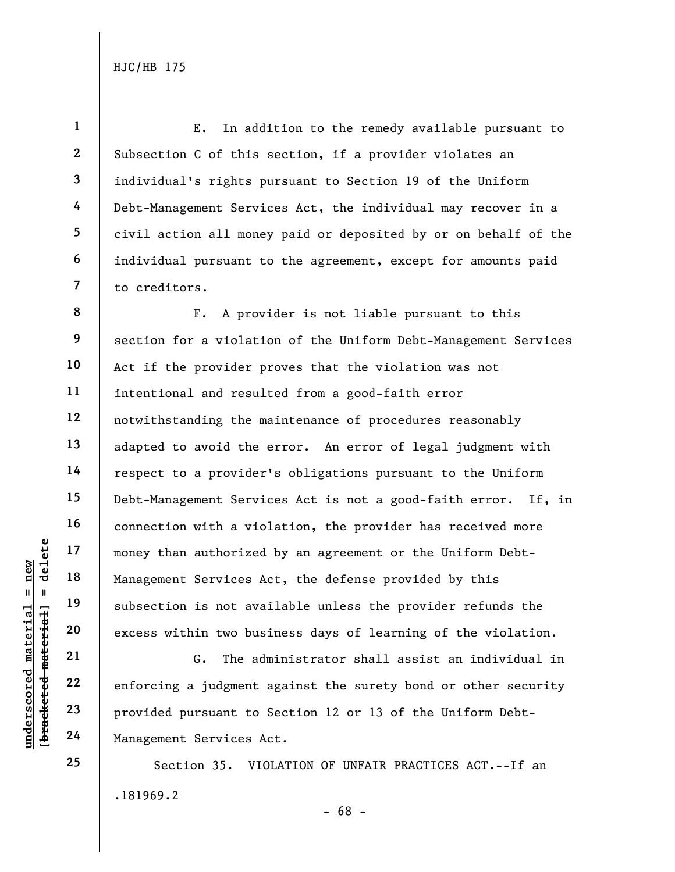**1 2 3 4 5 6 7**  E. In addition to the remedy available pursuant to Subsection C of this section, if a provider violates an individual's rights pursuant to Section 19 of the Uniform Debt-Management Services Act, the individual may recover in a civil action all money paid or deposited by or on behalf of the individual pursuant to the agreement, except for amounts paid to creditors.

**8 9 10 11 12 13 14 15 16 17 18 19 20**  F. A provider is not liable pursuant to this section for a violation of the Uniform Debt-Management Services Act if the provider proves that the violation was not intentional and resulted from a good-faith error notwithstanding the maintenance of procedures reasonably adapted to avoid the error. An error of legal judgment with respect to a provider's obligations pursuant to the Uniform Debt-Management Services Act is not a good-faith error. If, in connection with a violation, the provider has received more money than authorized by an agreement or the Uniform Debt-Management Services Act, the defense provided by this subsection is not available unless the provider refunds the excess within two business days of learning of the violation.

G. The administrator shall assist an individual in enforcing a judgment against the surety bond or other security provided pursuant to Section 12 or 13 of the Uniform Debt-Management Services Act.

.181969.2 - 68 - Section 35. VIOLATION OF UNFAIR PRACTICES ACT.--If an

 $b$ racketed material] = delete **[bracketed material] = delete**  $anderscored material = new$ **underscored material = new**

**24 25** 

**21** 

**22** 

**23**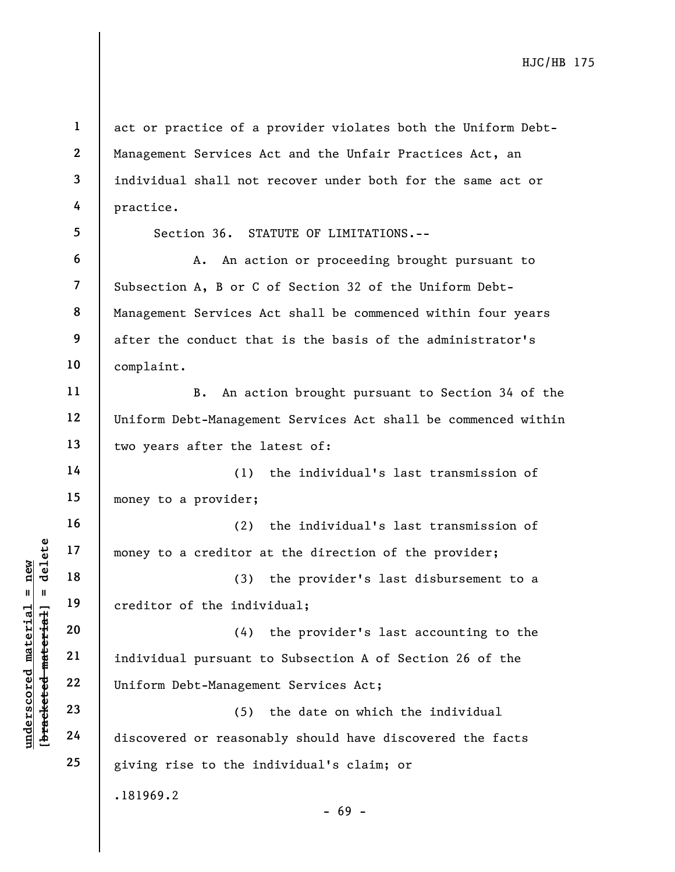$b$ racketed material] = delete **[bracketed material] = delete**  $anderscored material = new$ **underscored material = new**

**16** 

**17** 

**18** 

**19** 

**1 2 3 4 5**  act or practice of a provider violates both the Uniform Debt-Management Services Act and the Unfair Practices Act, an individual shall not recover under both for the same act or practice.

Section 36. STATUTE OF LIMITATIONS.--

**6 7 8 9 10**  A. An action or proceeding brought pursuant to Subsection A, B or C of Section 32 of the Uniform Debt-Management Services Act shall be commenced within four years after the conduct that is the basis of the administrator's complaint.

**11 12 13**  B. An action brought pursuant to Section 34 of the Uniform Debt-Management Services Act shall be commenced within two years after the latest of:

**14 15**  (1) the individual's last transmission of money to a provider;

(2) the individual's last transmission of money to a creditor at the direction of the provider;

(3) the provider's last disbursement to a creditor of the individual;

**20 21 22**  (4) the provider's last accounting to the individual pursuant to Subsection A of Section 26 of the Uniform Debt-Management Services Act;

**23 24 25**  (5) the date on which the individual discovered or reasonably should have discovered the facts giving rise to the individual's claim; or

.181969.2

- 69 -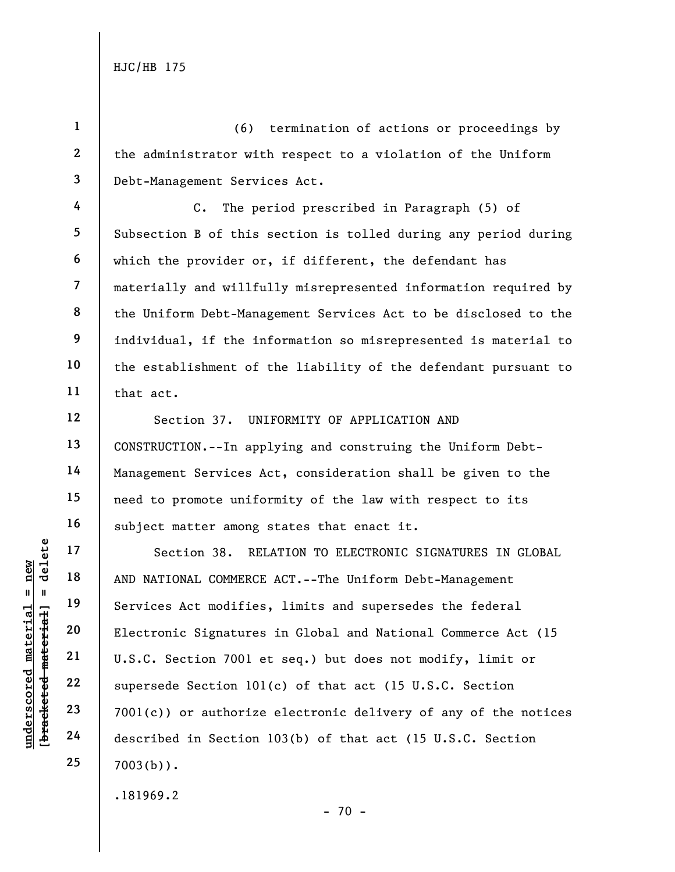**1** 

**4** 

**5** 

**6** 

**7** 

**8** 

**9** 

**10** 

**11** 

**12** 

**13** 

**14** 

**15** 

**16** 

**17** 

**18** 

**19** 

**20** 

**21** 

**22** 

**23** 

**24** 

**25** 

**2 3**  (6) termination of actions or proceedings by the administrator with respect to a violation of the Uniform Debt-Management Services Act.

C. The period prescribed in Paragraph (5) of Subsection B of this section is tolled during any period during which the provider or, if different, the defendant has materially and willfully misrepresented information required by the Uniform Debt-Management Services Act to be disclosed to the individual, if the information so misrepresented is material to the establishment of the liability of the defendant pursuant to that act.

Section 37. UNIFORMITY OF APPLICATION AND CONSTRUCTION.--In applying and construing the Uniform Debt-Management Services Act, consideration shall be given to the need to promote uniformity of the law with respect to its subject matter among states that enact it.

Section 38. RELATION TO ELECTRONIC SIGNATURES IN GLOBAL AND NATIONAL COMMERCE ACT.--The Uniform Debt-Management Services Act modifies, limits and supersedes the federal Electronic Signatures in Global and National Commerce Act (15 U.S.C. Section 7001 et seq.) but does not modify, limit or supersede Section 101(c) of that act (15 U.S.C. Section 7001(c)) or authorize electronic delivery of any of the notices described in Section 103(b) of that act (15 U.S.C. Section  $7003(b)$ .

.181969.2

 $- 70 -$